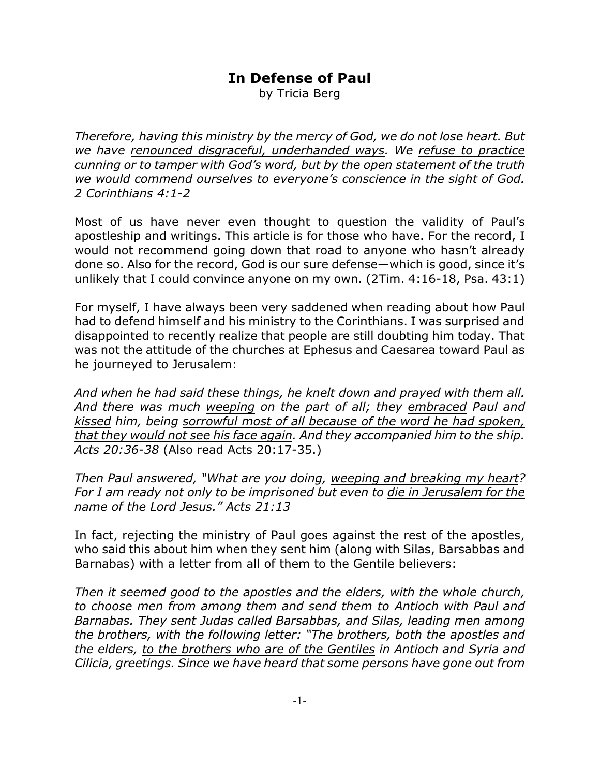# **In Defense of Paul**

by Tricia Berg

*Therefore, having this ministry by the mercy of God, we do not lose heart. But we have renounced disgraceful, underhanded ways. We refuse to practice cunning or to tamper with God's word, but by the open statement of the truth we would commend ourselves to everyone's conscience in the sight of God. 2 Corinthians 4:1-2*

Most of us have never even thought to question the validity of Paul's apostleship and writings. This article is for those who have. For the record, I would not recommend going down that road to anyone who hasn't already done so. Also for the record, God is our sure defense—which is good, since it's unlikely that I could convince anyone on my own. (2Tim. 4:16-18, Psa. 43:1)

For myself, I have always been very saddened when reading about how Paul had to defend himself and his ministry to the Corinthians. I was surprised and disappointed to recently realize that people are still doubting him today. That was not the attitude of the churches at Ephesus and Caesarea toward Paul as he journeyed to Jerusalem:

*And when he had said these things, he knelt down and prayed with them all. And there was much weeping on the part of all; they embraced Paul and kissed him, being sorrowful most of all because of the word he had spoken, that they would not see his face again. And they accompanied him to the ship. Acts 20:36-38* (Also read Acts 20:17-35.)

*Then Paul answered, "What are you doing, weeping and breaking my heart? For I am ready not only to be imprisoned but even to die in Jerusalem for the name of the Lord Jesus." Acts 21:13*

In fact, rejecting the ministry of Paul goes against the rest of the apostles, who said this about him when they sent him (along with Silas, Barsabbas and Barnabas) with a letter from all of them to the Gentile believers:

*Then it seemed good to the apostles and the elders, with the whole church, to choose men from among them and send them to Antioch with Paul and Barnabas. They sent Judas called Barsabbas, and Silas, leading men among the brothers, with the following letter: "The brothers, both the apostles and the elders, to the brothers who are of the Gentiles in Antioch and Syria and Cilicia, greetings. Since we have heard that some persons have gone out from*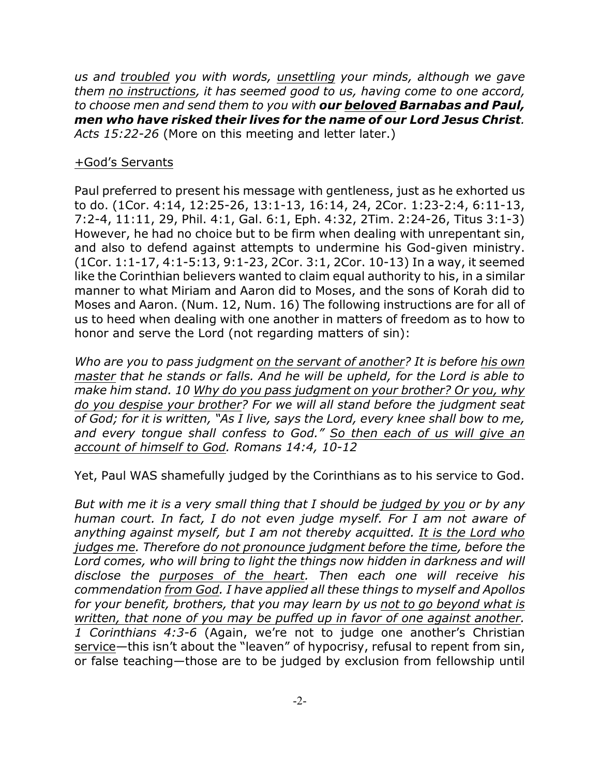*us and troubled you with words, unsettling your minds, although we gave them no instructions, it has seemed good to us, having come to one accord, to choose men and send them to you with our beloved Barnabas and Paul, men who have risked their lives for the name of our Lord Jesus Christ. Acts 15:22-26* (More on this meeting and letter later.)

# +God's Servants

Paul preferred to present his message with gentleness, just as he exhorted us to do. (1Cor. 4:14, 12:25-26, 13:1-13, 16:14, 24, 2Cor. 1:23-2:4, 6:11-13, 7:2-4, 11:11, 29, Phil. 4:1, Gal. 6:1, Eph. 4:32, 2Tim. 2:24-26, Titus 3:1-3) However, he had no choice but to be firm when dealing with unrepentant sin, and also to defend against attempts to undermine his God-given ministry. (1Cor. 1:1-17, 4:1-5:13, 9:1-23, 2Cor. 3:1, 2Cor. 10-13) In a way, it seemed like the Corinthian believers wanted to claim equal authority to his, in a similar manner to what Miriam and Aaron did to Moses, and the sons of Korah did to Moses and Aaron. (Num. 12, Num. 16) The following instructions are for all of us to heed when dealing with one another in matters of freedom as to how to honor and serve the Lord (not regarding matters of sin):

*Who are you to pass judgment on the servant of another? It is before his own master that he stands or falls. And he will be upheld, for the Lord is able to make him stand. 10 Why do you pass judgment on your brother? Or you, why do you despise your brother? For we will all stand before the judgment seat of God; for it is written, "As I live, says the Lord, every knee shall bow to me, and every tongue shall confess to God." So then each of us will give an account of himself to God. Romans 14:4, 10-12*

Yet, Paul WAS shamefully judged by the Corinthians as to his service to God.

*But with me it is a very small thing that I should be judged by you or by any human court. In fact, I do not even judge myself. For I am not aware of anything against myself, but I am not thereby acquitted. It is the Lord who judges me. Therefore do not pronounce judgment before the time, before the Lord comes, who will bring to light the things now hidden in darkness and will disclose the purposes of the heart. Then each one will receive his commendation from God. I have applied all these things to myself and Apollos for your benefit, brothers, that you may learn by us not to go beyond what is written, that none of you may be puffed up in favor of one against another. 1 Corinthians 4:3-6* (Again, we're not to judge one another's Christian service—this isn't about the "leaven" of hypocrisy, refusal to repent from sin, or false teaching—those are to be judged by exclusion from fellowship until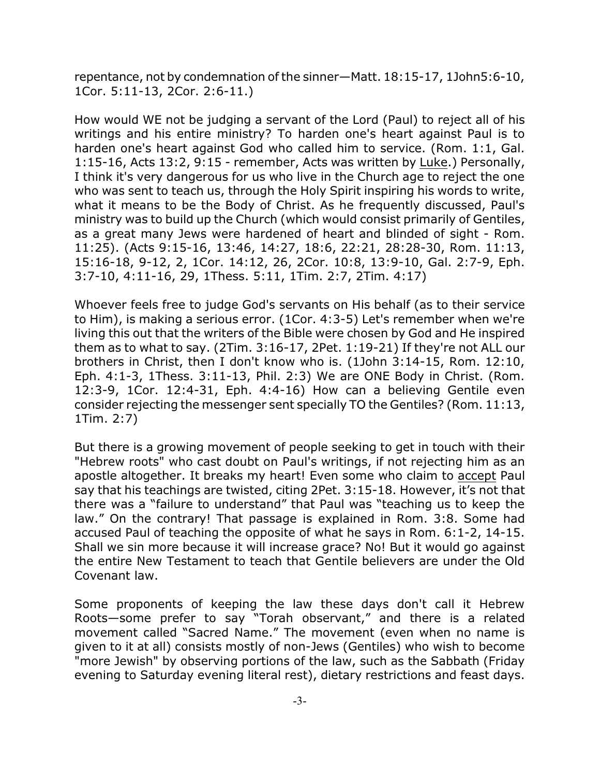repentance, not by condemnation of the sinner—Matt. 18:15-17, 1John5:6-10, 1Cor. 5:11-13, 2Cor. 2:6-11.)

How would WE not be judging a servant of the Lord (Paul) to reject all of his writings and his entire ministry? To harden one's heart against Paul is to harden one's heart against God who called him to service. (Rom. 1:1, Gal. 1:15-16, Acts 13:2, 9:15 - remember, Acts was written by Luke.) Personally, I think it's very dangerous for us who live in the Church age to reject the one who was sent to teach us, through the Holy Spirit inspiring his words to write, what it means to be the Body of Christ. As he frequently discussed, Paul's ministry was to build up the Church (which would consist primarily of Gentiles, as a great many Jews were hardened of heart and blinded of sight - Rom. 11:25). (Acts 9:15-16, 13:46, 14:27, 18:6, 22:21, 28:28-30, Rom. 11:13, 15:16-18, 9-12, 2, 1Cor. 14:12, 26, 2Cor. 10:8, 13:9-10, Gal. 2:7-9, Eph. 3:7-10, 4:11-16, 29, 1Thess. 5:11, 1Tim. 2:7, 2Tim. 4:17)

Whoever feels free to judge God's servants on His behalf (as to their service to Him), is making a serious error. (1Cor. 4:3-5) Let's remember when we're living this out that the writers of the Bible were chosen by God and He inspired them as to what to say. (2Tim. 3:16-17, 2Pet. 1:19-21) If they're not ALL our brothers in Christ, then I don't know who is. (1John 3:14-15, Rom. 12:10, Eph. 4:1-3, 1Thess. 3:11-13, Phil. 2:3) We are ONE Body in Christ. (Rom. 12:3-9, 1Cor. 12:4-31, Eph. 4:4-16) How can a believing Gentile even consider rejecting the messenger sent specially TO the Gentiles? (Rom. 11:13, 1Tim. 2:7)

But there is a growing movement of people seeking to get in touch with their "Hebrew roots" who cast doubt on Paul's writings, if not rejecting him as an apostle altogether. It breaks my heart! Even some who claim to accept Paul say that his teachings are twisted, citing 2Pet. 3:15-18. However, it's not that there was a "failure to understand" that Paul was "teaching us to keep the law." On the contrary! That passage is explained in Rom. 3:8. Some had accused Paul of teaching the opposite of what he says in Rom. 6:1-2, 14-15. Shall we sin more because it will increase grace? No! But it would go against the entire New Testament to teach that Gentile believers are under the Old Covenant law.

Some proponents of keeping the law these days don't call it Hebrew Roots—some prefer to say "Torah observant," and there is a related movement called "Sacred Name." The movement (even when no name is given to it at all) consists mostly of non-Jews (Gentiles) who wish to become "more Jewish" by observing portions of the law, such as the Sabbath (Friday evening to Saturday evening literal rest), dietary restrictions and feast days.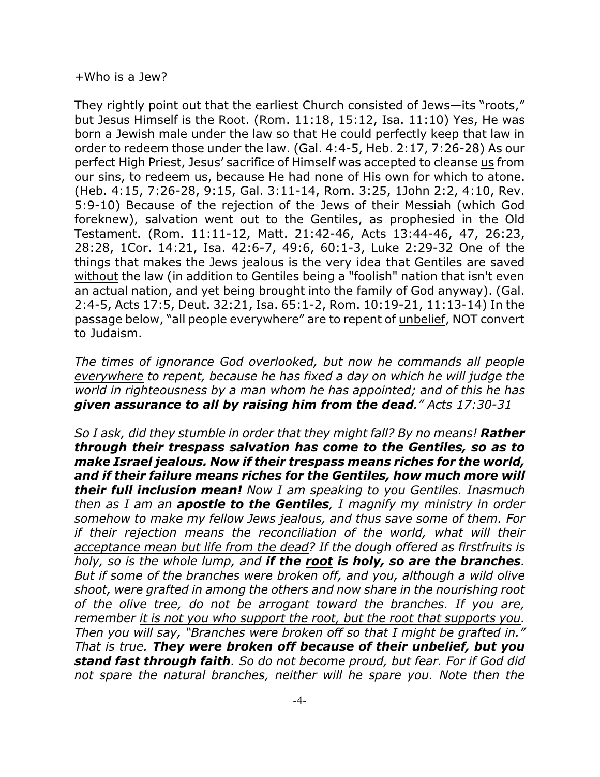#### +Who is a Jew?

They rightly point out that the earliest Church consisted of Jews—its "roots," but Jesus Himself is the Root. (Rom. 11:18, 15:12, Isa. 11:10) Yes, He was born a Jewish male under the law so that He could perfectly keep that law in order to redeem those under the law. (Gal. 4:4-5, Heb. 2:17, 7:26-28) As our perfect High Priest, Jesus' sacrifice of Himself was accepted to cleanse us from our sins, to redeem us, because He had none of His own for which to atone. (Heb. 4:15, 7:26-28, 9:15, Gal. 3:11-14, Rom. 3:25, 1John 2:2, 4:10, Rev. 5:9-10) Because of the rejection of the Jews of their Messiah (which God foreknew), salvation went out to the Gentiles, as prophesied in the Old Testament. (Rom. 11:11-12, Matt. 21:42-46, Acts 13:44-46, 47, 26:23, 28:28, 1Cor. 14:21, Isa. 42:6-7, 49:6, 60:1-3, Luke 2:29-32 One of the things that makes the Jews jealous is the very idea that Gentiles are saved without the law (in addition to Gentiles being a "foolish" nation that isn't even an actual nation, and yet being brought into the family of God anyway). (Gal. 2:4-5, Acts 17:5, Deut. 32:21, Isa. 65:1-2, Rom. 10:19-21, 11:13-14) In the passage below, "all people everywhere" are to repent of unbelief, NOT convert to Judaism.

*The times of ignorance God overlooked, but now he commands all people everywhere to repent, because he has fixed a day on which he will judge the world in righteousness by a man whom he has appointed; and of this he has given assurance to all by raising him from the dead." Acts 17:30-31*

*So I ask, did they stumble in order that they might fall? By no means! Rather through their trespass salvation has come to the Gentiles, so as to make Israel jealous. Now if their trespass means riches for the world, and if their failure means riches for the Gentiles, how much more will their full inclusion mean! Now I am speaking to you Gentiles. Inasmuch then as I am an apostle to the Gentiles, I magnify my ministry in order somehow to make my fellow Jews jealous, and thus save some of them. For if their rejection means the reconciliation of the world, what will their acceptance mean but life from the dead? If the dough offered as firstfruits is holy, so is the whole lump, and if the root is holy, so are the branches. But if some of the branches were broken off, and you, although a wild olive shoot, were grafted in among the others and now share in the nourishing root of the olive tree, do not be arrogant toward the branches. If you are, remember it is not you who support the root, but the root that supports you. Then you will say, "Branches were broken off so that I might be grafted in." That is true. They were broken off because of their unbelief, but you stand fast through faith. So do not become proud, but fear. For if God did not spare the natural branches, neither will he spare you. Note then the*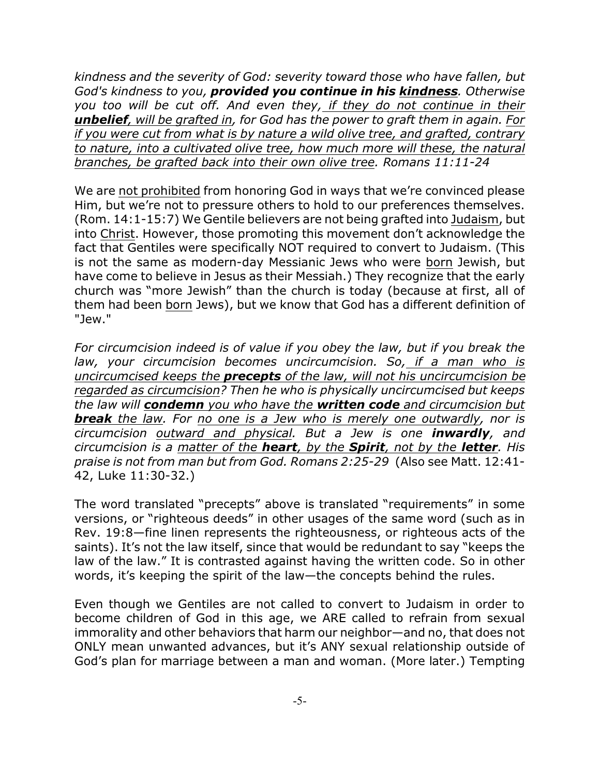*kindness and the severity of God: severity toward those who have fallen, but God's kindness to you, provided you continue in his kindness. Otherwise you too will be cut off. And even they, if they do not continue in their unbelief, will be grafted in, for God has the power to graft them in again. For if you were cut from what is by nature a wild olive tree, and grafted, contrary to nature, into a cultivated olive tree, how much more will these, the natural branches, be grafted back into their own olive tree. Romans 11:11-24*

We are not prohibited from honoring God in ways that we're convinced please Him, but we're not to pressure others to hold to our preferences themselves. (Rom. 14:1-15:7) We Gentile believers are not being grafted into Judaism, but into Christ. However, those promoting this movement don't acknowledge the fact that Gentiles were specifically NOT required to convert to Judaism. (This is not the same as modern-day Messianic Jews who were born Jewish, but have come to believe in Jesus as their Messiah.) They recognize that the early church was "more Jewish" than the church is today (because at first, all of them had been born Jews), but we know that God has a different definition of "Jew."

*For circumcision indeed is of value if you obey the law, but if you break the law, your circumcision becomes uncircumcision. So, if a man who is uncircumcised keeps the precepts of the law, will not his uncircumcision be regarded as circumcision? Then he who is physically uncircumcised but keeps the law will condemn you who have the written code and circumcision but break the law. For no one is a Jew who is merely one outwardly, nor is circumcision outward and physical. But a Jew is one inwardly, and circumcision is a matter of the heart, by the Spirit, not by the letter. His praise is not from man but from God. Romans 2:25-29* (Also see Matt. 12:41- 42, Luke 11:30-32.)

The word translated "precepts" above is translated "requirements" in some versions, or "righteous deeds" in other usages of the same word (such as in Rev. 19:8—fine linen represents the righteousness, or righteous acts of the saints). It's not the law itself, since that would be redundant to say "keeps the law of the law." It is contrasted against having the written code. So in other words, it's keeping the spirit of the law—the concepts behind the rules.

Even though we Gentiles are not called to convert to Judaism in order to become children of God in this age, we ARE called to refrain from sexual immorality and other behaviors that harm our neighbor—and no, that does not ONLY mean unwanted advances, but it's ANY sexual relationship outside of God's plan for marriage between a man and woman. (More later.) Tempting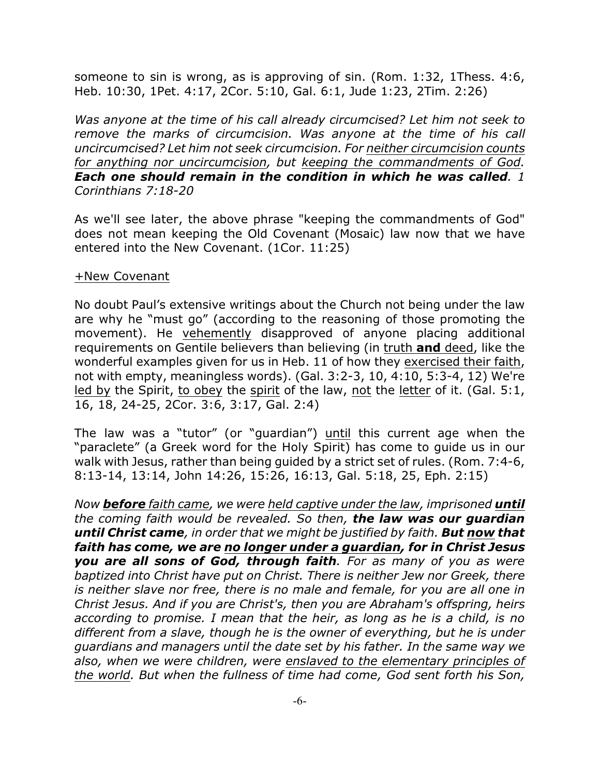someone to sin is wrong, as is approving of sin. (Rom. 1:32, 1Thess. 4:6, Heb. 10:30, 1Pet. 4:17, 2Cor. 5:10, Gal. 6:1, Jude 1:23, 2Tim. 2:26)

*Was anyone at the time of his call already circumcised? Let him not seek to remove the marks of circumcision. Was anyone at the time of his call uncircumcised? Let him not seek circumcision. For neither circumcision counts for anything nor uncircumcision, but keeping the commandments of God. Each one should remain in the condition in which he was called. 1 Corinthians 7:18-20*

As we'll see later, the above phrase "keeping the commandments of God" does not mean keeping the Old Covenant (Mosaic) law now that we have entered into the New Covenant. (1Cor. 11:25)

#### +New Covenant

No doubt Paul's extensive writings about the Church not being under the law are why he "must go" (according to the reasoning of those promoting the movement). He vehemently disapproved of anyone placing additional requirements on Gentile believers than believing (in truth **and** deed, like the wonderful examples given for us in Heb. 11 of how they exercised their faith, not with empty, meaningless words). (Gal. 3:2-3, 10, 4:10, 5:3-4, 12) We're led by the Spirit, to obey the spirit of the law, not the letter of it. (Gal. 5:1, 16, 18, 24-25, 2Cor. 3:6, 3:17, Gal. 2:4)

The law was a "tutor" (or "guardian") until this current age when the "paraclete" (a Greek word for the Holy Spirit) has come to guide us in our walk with Jesus, rather than being guided by a strict set of rules. (Rom. 7:4-6, 8:13-14, 13:14, John 14:26, 15:26, 16:13, Gal. 5:18, 25, Eph. 2:15)

*Now before faith came, we were held captive under the law, imprisoned until the coming faith would be revealed. So then, the law was our guardian until Christ came, in order that we might be justified by faith. But now that faith has come, we are no longer under a guardian, for in Christ Jesus you are all sons of God, through faith. For as many of you as were baptized into Christ have put on Christ. There is neither Jew nor Greek, there is neither slave nor free, there is no male and female, for you are all one in Christ Jesus. And if you are Christ's, then you are Abraham's offspring, heirs according to promise. I mean that the heir, as long as he is a child, is no different from a slave, though he is the owner of everything, but he is under guardians and managers until the date set by his father. In the same way we also, when we were children, were enslaved to the elementary principles of the world. But when the fullness of time had come, God sent forth his Son,*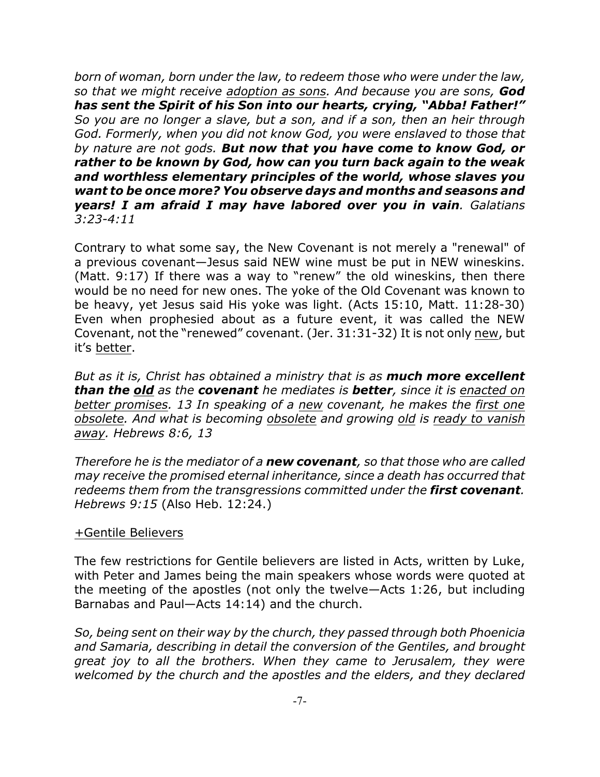*born of woman, born under the law, to redeem those who were under the law, so that we might receive adoption as sons. And because you are sons, God has sent the Spirit of his Son into our hearts, crying, "Abba! Father!" So you are no longer a slave, but a son, and if a son, then an heir through God. Formerly, when you did not know God, you were enslaved to those that by nature are not gods. But now that you have come to know God, or rather to be known by God, how can you turn back again to the weak and worthless elementary principles of the world, whose slaves you want to be once more? You observe days and months and seasons and years! I am afraid I may have labored over you in vain. Galatians 3:23-4:11*

Contrary to what some say, the New Covenant is not merely a "renewal" of a previous covenant—Jesus said NEW wine must be put in NEW wineskins. (Matt. 9:17) If there was a way to "renew" the old wineskins, then there would be no need for new ones. The yoke of the Old Covenant was known to be heavy, yet Jesus said His yoke was light. (Acts 15:10, Matt. 11:28-30) Even when prophesied about as a future event, it was called the NEW Covenant, not the "renewed" covenant. (Jer. 31:31-32) It is not only new, but it's better.

*But as it is, Christ has obtained a ministry that is as much more excellent than the old as the covenant he mediates is better, since it is enacted on better promises. 13 In speaking of a new covenant, he makes the first one obsolete. And what is becoming obsolete and growing old is ready to vanish away. Hebrews 8:6, 13*

*Therefore he is the mediator of a new covenant, so that those who are called may receive the promised eternal inheritance, since a death has occurred that redeems them from the transgressions committed under the first covenant. Hebrews 9:15* (Also Heb. 12:24.)

#### +Gentile Believers

The few restrictions for Gentile believers are listed in Acts, written by Luke, with Peter and James being the main speakers whose words were quoted at the meeting of the apostles (not only the twelve—Acts 1:26, but including Barnabas and Paul—Acts 14:14) and the church.

*So, being sent on their way by the church, they passed through both Phoenicia and Samaria, describing in detail the conversion of the Gentiles, and brought great joy to all the brothers. When they came to Jerusalem, they were welcomed by the church and the apostles and the elders, and they declared*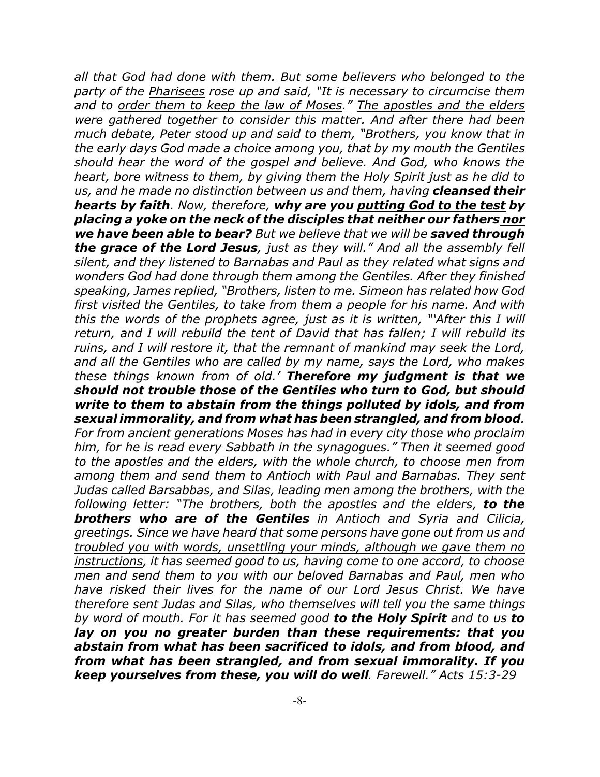*all that God had done with them. But some believers who belonged to the party of the Pharisees rose up and said, "It is necessary to circumcise them and to order them to keep the law of Moses." The apostles and the elders were gathered together to consider this matter. And after there had been much debate, Peter stood up and said to them, "Brothers, you know that in the early days God made a choice among you, that by my mouth the Gentiles should hear the word of the gospel and believe. And God, who knows the heart, bore witness to them, by giving them the Holy Spirit just as he did to us, and he made no distinction between us and them, having cleansed their hearts by faith. Now, therefore, why are you putting God to the test by placing a yoke on the neck of the disciples that neither our fathers nor we have been able to bear? But we believe that we will be saved through the grace of the Lord Jesus, just as they will." And all the assembly fell silent, and they listened to Barnabas and Paul as they related what signs and wonders God had done through them among the Gentiles. After they finished speaking, James replied, "Brothers, listen to me. Simeon has related how God first visited the Gentiles, to take from them a people for his name. And with this the words of the prophets agree, just as it is written, "'After this I will return, and I will rebuild the tent of David that has fallen; I will rebuild its ruins, and I will restore it, that the remnant of mankind may seek the Lord, and all the Gentiles who are called by my name, says the Lord, who makes these things known from of old.' Therefore my judgment is that we should not trouble those of the Gentiles who turn to God, but should write to them to abstain from the things polluted by idols, and from sexual immorality, and from what has been strangled, and from blood. For from ancient generations Moses has had in every city those who proclaim him, for he is read every Sabbath in the synagogues." Then it seemed good to the apostles and the elders, with the whole church, to choose men from among them and send them to Antioch with Paul and Barnabas. They sent Judas called Barsabbas, and Silas, leading men among the brothers, with the following letter: "The brothers, both the apostles and the elders, to the brothers who are of the Gentiles in Antioch and Syria and Cilicia, greetings. Since we have heard that some persons have gone out from us and troubled you with words, unsettling your minds, although we gave them no instructions, it has seemed good to us, having come to one accord, to choose men and send them to you with our beloved Barnabas and Paul, men who have risked their lives for the name of our Lord Jesus Christ. We have therefore sent Judas and Silas, who themselves will tell you the same things by word of mouth. For it has seemed good to the Holy Spirit and to us to lay on you no greater burden than these requirements: that you abstain from what has been sacrificed to idols, and from blood, and from what has been strangled, and from sexual immorality. If you keep yourselves from these, you will do well. Farewell." Acts 15:3-29*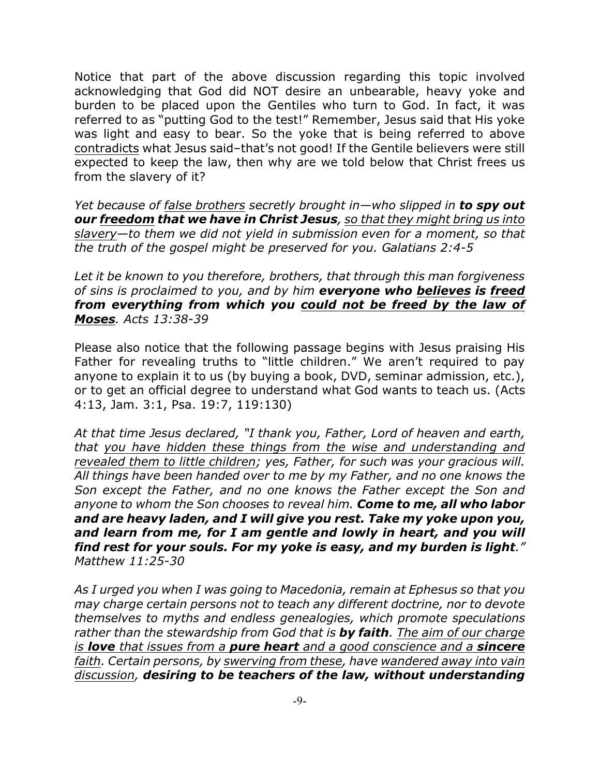Notice that part of the above discussion regarding this topic involved acknowledging that God did NOT desire an unbearable, heavy yoke and burden to be placed upon the Gentiles who turn to God. In fact, it was referred to as "putting God to the test!" Remember, Jesus said that His yoke was light and easy to bear. So the yoke that is being referred to above contradicts what Jesus said–that's not good! If the Gentile believers were still expected to keep the law, then why are we told below that Christ frees us from the slavery of it?

*Yet because of false brothers secretly brought in—who slipped in to spy out our freedom that we have in Christ Jesus, so that they might bring us into slavery—to them we did not yield in submission even for a moment, so that the truth of the gospel might be preserved for you. Galatians 2:4-5*

*Let it be known to you therefore, brothers, that through this man forgiveness of sins is proclaimed to you, and by him everyone who believes is freed from everything from which you could not be freed by the law of Moses. Acts 13:38-39*

Please also notice that the following passage begins with Jesus praising His Father for revealing truths to "little children." We aren't required to pay anyone to explain it to us (by buying a book, DVD, seminar admission, etc.), or to get an official degree to understand what God wants to teach us. (Acts 4:13, Jam. 3:1, Psa. 19:7, 119:130)

*At that time Jesus declared, "I thank you, Father, Lord of heaven and earth, that you have hidden these things from the wise and understanding and revealed them to little children; yes, Father, for such was your gracious will. All things have been handed over to me by my Father, and no one knows the Son except the Father, and no one knows the Father except the Son and anyone to whom the Son chooses to reveal him. Come to me, all who labor and are heavy laden, and I will give you rest. Take my yoke upon you, and learn from me, for I am gentle and lowly in heart, and you will find rest for your souls. For my yoke is easy, and my burden is light." Matthew 11:25-30*

*As I urged you when I was going to Macedonia, remain at Ephesus so that you may charge certain persons not to teach any different doctrine, nor to devote themselves to myths and endless genealogies, which promote speculations rather than the stewardship from God that is by faith. The aim of our charge is love that issues from a pure heart and a good conscience and a sincere faith. Certain persons, by swerving from these, have wandered away into vain discussion, desiring to be teachers of the law, without understanding*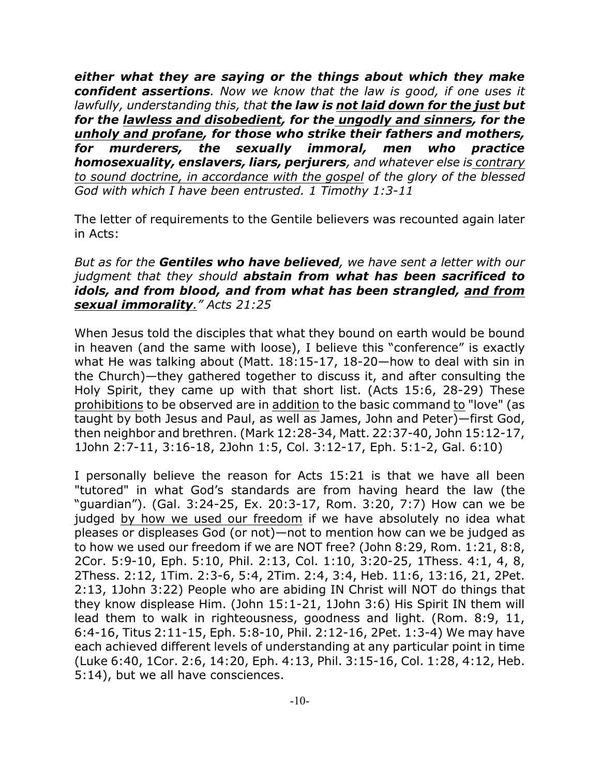*either what they are saying or the things about which they make confident assertions. Now we know that the law is good, if one uses it lawfully, understanding this, that the law is not laid down for the just but for the lawless and disobedient, for the ungodly and sinners, for the unholy and profane, for those who strike their fathers and mothers, for murderers, the sexually immoral, men who practice homosexuality, enslavers, liars, perjurers, and whatever else is contrary to sound doctrine, in accordance with the gospel of the glory of the blessed God with which I have been entrusted. 1 Timothy 1:3-11*

The letter of requirements to the Gentile believers was recounted again later in Acts:

## *But as for the Gentiles who have believed, we have sent a letter with our judgment that they should abstain from what has been sacrificed to idols, and from blood, and from what has been strangled, and from sexual immorality." Acts 21:25*

When Jesus told the disciples that what they bound on earth would be bound in heaven (and the same with loose), I believe this "conference" is exactly what He was talking about (Matt. 18:15-17, 18-20—how to deal with sin in the Church)—they gathered together to discuss it, and after consulting the Holy Spirit, they came up with that short list. (Acts 15:6, 28-29) These prohibitions to be observed are in addition to the basic command to "love" (as taught by both Jesus and Paul, as well as James, John and Peter)—first God, then neighbor and brethren. (Mark 12:28-34, Matt. 22:37-40, John 15:12-17, 1John 2:7-11, 3:16-18, 2John 1:5, Col. 3:12-17, Eph. 5:1-2, Gal. 6:10)

I personally believe the reason for Acts 15:21 is that we have all been "tutored" in what God's standards are from having heard the law (the "guardian"). (Gal. 3:24-25, Ex. 20:3-17, Rom. 3:20, 7:7) How can we be judged by how we used our freedom if we have absolutely no idea what pleases or displeases God (or not)—not to mention how can we be judged as to how we used our freedom if we are NOT free? (John 8:29, Rom. 1:21, 8:8, 2Cor. 5:9-10, Eph. 5:10, Phil. 2:13, Col. 1:10, 3:20-25, 1Thess. 4:1, 4, 8, 2Thess. 2:12, 1Tim. 2:3-6, 5:4, 2Tim. 2:4, 3:4, Heb. 11:6, 13:16, 21, 2Pet. 2:13, 1John 3:22) People who are abiding IN Christ will NOT do things that they know displease Him. (John 15:1-21, 1John 3:6) His Spirit IN them will lead them to walk in righteousness, goodness and light. (Rom. 8:9, 11, 6:4-16, Titus 2:11-15, Eph. 5:8-10, Phil. 2:12-16, 2Pet. 1:3-4) We may have each achieved different levels of understanding at any particular point in time (Luke 6:40, 1Cor. 2:6, 14:20, Eph. 4:13, Phil. 3:15-16, Col. 1:28, 4:12, Heb. 5:14), but we all have consciences.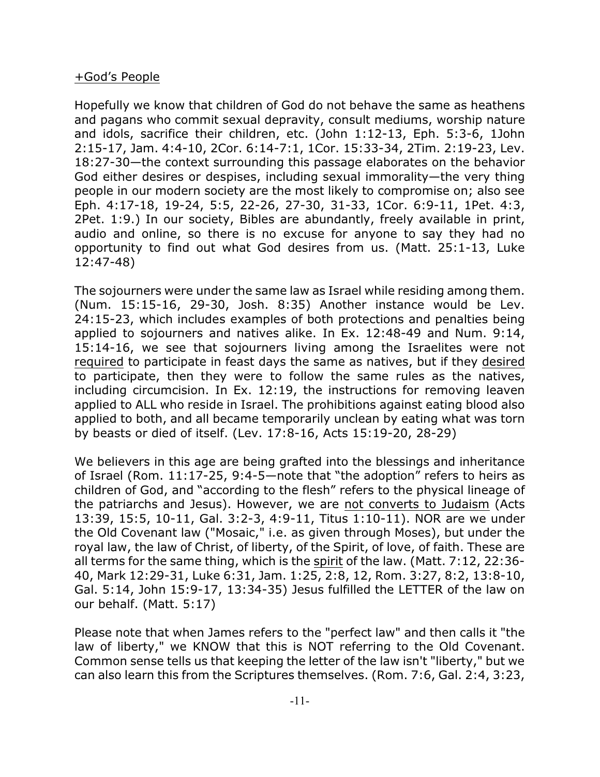### +God's People

Hopefully we know that children of God do not behave the same as heathens and pagans who commit sexual depravity, consult mediums, worship nature and idols, sacrifice their children, etc. (John 1:12-13, Eph. 5:3-6, 1John 2:15-17, Jam. 4:4-10, 2Cor. 6:14-7:1, 1Cor. 15:33-34, 2Tim. 2:19-23, Lev. 18:27-30—the context surrounding this passage elaborates on the behavior God either desires or despises, including sexual immorality—the very thing people in our modern society are the most likely to compromise on; also see Eph. 4:17-18, 19-24, 5:5, 22-26, 27-30, 31-33, 1Cor. 6:9-11, 1Pet. 4:3, 2Pet. 1:9.) In our society, Bibles are abundantly, freely available in print, audio and online, so there is no excuse for anyone to say they had no opportunity to find out what God desires from us. (Matt. 25:1-13, Luke 12:47-48)

The sojourners were under the same law as Israel while residing among them. (Num. 15:15-16, 29-30, Josh. 8:35) Another instance would be Lev. 24:15-23, which includes examples of both protections and penalties being applied to sojourners and natives alike. In Ex. 12:48-49 and Num. 9:14, 15:14-16, we see that sojourners living among the Israelites were not required to participate in feast days the same as natives, but if they desired to participate, then they were to follow the same rules as the natives, including circumcision. In Ex. 12:19, the instructions for removing leaven applied to ALL who reside in Israel. The prohibitions against eating blood also applied to both, and all became temporarily unclean by eating what was torn by beasts or died of itself. (Lev. 17:8-16, Acts 15:19-20, 28-29)

We believers in this age are being grafted into the blessings and inheritance of Israel (Rom. 11:17-25, 9:4-5—note that "the adoption" refers to heirs as children of God, and "according to the flesh" refers to the physical lineage of the patriarchs and Jesus). However, we are not converts to Judaism (Acts 13:39, 15:5, 10-11, Gal. 3:2-3, 4:9-11, Titus 1:10-11). NOR are we under the Old Covenant law ("Mosaic," i.e. as given through Moses), but under the royal law, the law of Christ, of liberty, of the Spirit, of love, of faith. These are all terms for the same thing, which is the spirit of the law. (Matt. 7:12, 22:36- 40, Mark 12:29-31, Luke 6:31, Jam. 1:25, 2:8, 12, Rom. 3:27, 8:2, 13:8-10, Gal. 5:14, John 15:9-17, 13:34-35) Jesus fulfilled the LETTER of the law on our behalf. (Matt. 5:17)

Please note that when James refers to the "perfect law" and then calls it "the law of liberty," we KNOW that this is NOT referring to the Old Covenant. Common sense tells us that keeping the letter of the law isn't "liberty," but we can also learn this from the Scriptures themselves. (Rom. 7:6, Gal. 2:4, 3:23,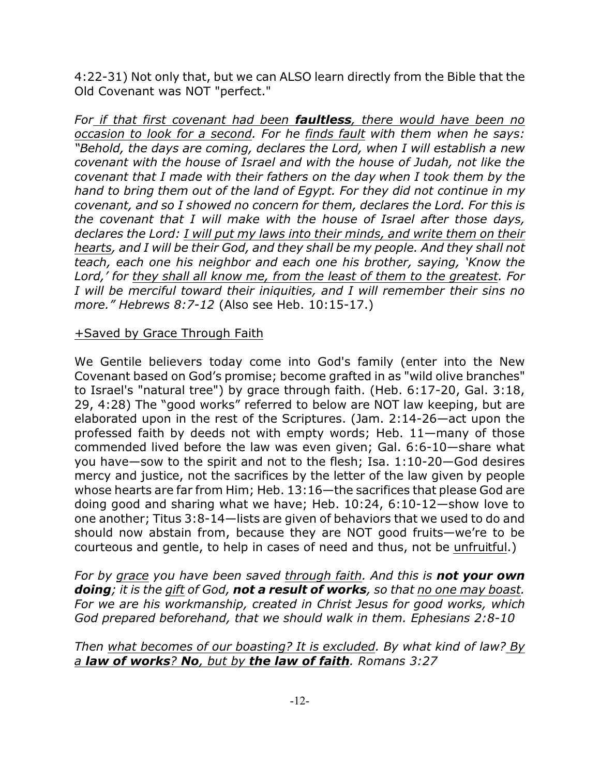4:22-31) Not only that, but we can ALSO learn directly from the Bible that the Old Covenant was NOT "perfect."

*For if that first covenant had been faultless, there would have been no occasion to look for a second. For he finds fault with them when he says: "Behold, the days are coming, declares the Lord, when I will establish a new covenant with the house of Israel and with the house of Judah, not like the covenant that I made with their fathers on the day when I took them by the hand to bring them out of the land of Egypt. For they did not continue in my covenant, and so I showed no concern for them, declares the Lord. For this is the covenant that I will make with the house of Israel after those days, declares the Lord: I will put my laws into their minds, and write them on their hearts, and I will be their God, and they shall be my people. And they shall not teach, each one his neighbor and each one his brother, saying, 'Know the Lord,' for they shall all know me, from the least of them to the greatest. For I will be merciful toward their iniquities, and I will remember their sins no more." Hebrews 8:7-12* (Also see Heb. 10:15-17.)

## +Saved by Grace Through Faith

We Gentile believers today come into God's family (enter into the New Covenant based on God's promise; become grafted in as "wild olive branches" to Israel's "natural tree") by grace through faith. (Heb. 6:17-20, Gal. 3:18, 29, 4:28) The "good works" referred to below are NOT law keeping, but are elaborated upon in the rest of the Scriptures. (Jam. 2:14-26—act upon the professed faith by deeds not with empty words; Heb. 11—many of those commended lived before the law was even given; Gal. 6:6-10—share what you have—sow to the spirit and not to the flesh; Isa. 1:10-20—God desires mercy and justice, not the sacrifices by the letter of the law given by people whose hearts are far from Him; Heb. 13:16—the sacrifices that please God are doing good and sharing what we have; Heb. 10:24, 6:10-12—show love to one another; Titus 3:8-14—lists are given of behaviors that we used to do and should now abstain from, because they are NOT good fruits—we're to be courteous and gentle, to help in cases of need and thus, not be unfruitful.)

*For by grace you have been saved through faith. And this is not your own doing; it is the gift of God, not a result of works, so that no one may boast. For we are his workmanship, created in Christ Jesus for good works, which God prepared beforehand, that we should walk in them. Ephesians 2:8-10*

*Then what becomes of our boasting? It is excluded. By what kind of law? By a law of works? No, but by the law of faith. Romans 3:27*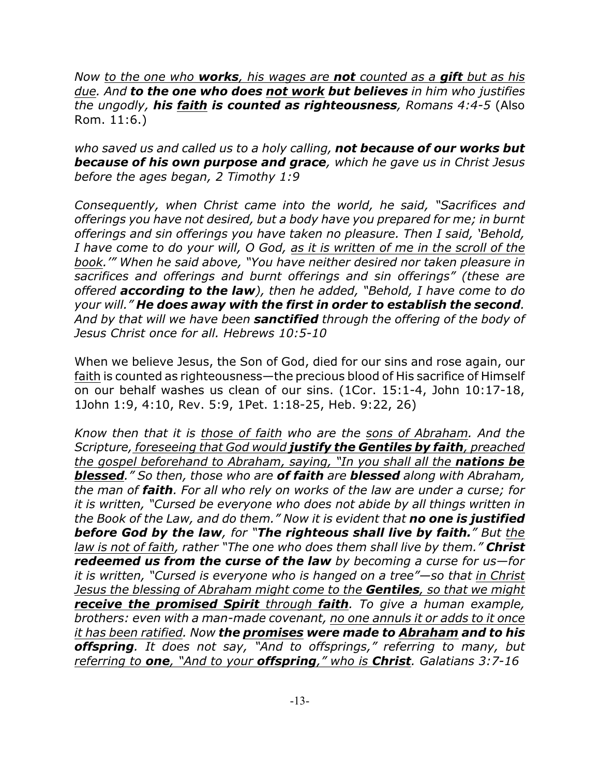*Now to the one who works, his wages are not counted as a gift but as his due. And to the one who does not work but believes in him who justifies the ungodly, his faith is counted as righteousness, Romans 4:4-5* (Also Rom. 11:6.)

*who saved us and called us to a holy calling, not because of our works but because of his own purpose and grace, which he gave us in Christ Jesus before the ages began, 2 Timothy 1:9*

*Consequently, when Christ came into the world, he said, "Sacrifices and offerings you have not desired, but a body have you prepared for me; in burnt offerings and sin offerings you have taken no pleasure. Then I said, 'Behold, I have come to do your will, O God, as it is written of me in the scroll of the book.'" When he said above, "You have neither desired nor taken pleasure in sacrifices and offerings and burnt offerings and sin offerings" (these are offered according to the law), then he added, "Behold, I have come to do your will." He does away with the first in order to establish the second. And by that will we have been sanctified through the offering of the body of Jesus Christ once for all. Hebrews 10:5-10*

When we believe Jesus, the Son of God, died for our sins and rose again, our faith is counted as righteousness—the precious blood of His sacrifice of Himself on our behalf washes us clean of our sins. (1Cor. 15:1-4, John 10:17-18, 1John 1:9, 4:10, Rev. 5:9, 1Pet. 1:18-25, Heb. 9:22, 26)

*Know then that it is those of faith who are the sons of Abraham. And the Scripture, foreseeing that God would justify the Gentiles by faith, preached the gospel beforehand to Abraham, saying, "In you shall all the nations be blessed." So then, those who are of faith are blessed along with Abraham, the man of faith. For all who rely on works of the law are under a curse; for it is written, "Cursed be everyone who does not abide by all things written in the Book of the Law, and do them." Now it is evident that no one is justified before God by the law, for "The righteous shall live by faith." But the law is not of faith, rather "The one who does them shall live by them." Christ redeemed us from the curse of the law by becoming a curse for us—for it is written, "Cursed is everyone who is hanged on a tree"—so that in Christ Jesus the blessing of Abraham might come to the Gentiles, so that we might receive the promised Spirit through faith. To give a human example, brothers: even with a man-made covenant, no one annuls it or adds to it once it has been ratified. Now the promises were made to Abraham and to his offspring. It does not say, "And to offsprings," referring to many, but referring to one, "And to your offspring," who is Christ. Galatians 3:7-16*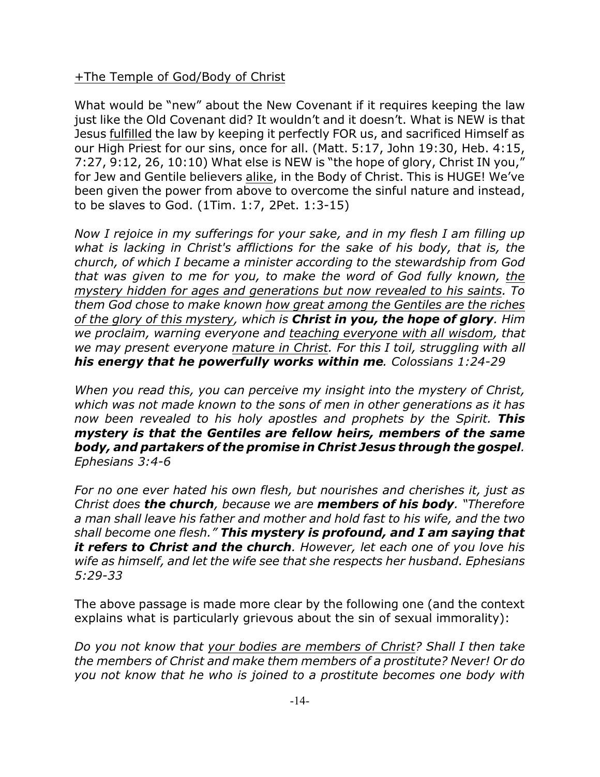# +The Temple of God/Body of Christ

What would be "new" about the New Covenant if it requires keeping the law just like the Old Covenant did? It wouldn't and it doesn't. What is NEW is that Jesus fulfilled the law by keeping it perfectly FOR us, and sacrificed Himself as our High Priest for our sins, once for all. (Matt. 5:17, John 19:30, Heb. 4:15, 7:27, 9:12, 26, 10:10) What else is NEW is "the hope of glory, Christ IN you," for Jew and Gentile believers alike, in the Body of Christ. This is HUGE! We've been given the power from above to overcome the sinful nature and instead, to be slaves to God. (1Tim. 1:7, 2Pet. 1:3-15)

*Now I rejoice in my sufferings for your sake, and in my flesh I am filling up what is lacking in Christ's afflictions for the sake of his body, that is, the church, of which I became a minister according to the stewardship from God that was given to me for you, to make the word of God fully known, the mystery hidden for ages and generations but now revealed to his saints. To them God chose to make known how great among the Gentiles are the riches of the glory of this mystery, which is Christ in you, the hope of glory. Him we proclaim, warning everyone and teaching everyone with all wisdom, that we may present everyone mature in Christ. For this I toil, struggling with all his energy that he powerfully works within me. Colossians 1:24-29*

*When you read this, you can perceive my insight into the mystery of Christ, which was not made known to the sons of men in other generations as it has now been revealed to his holy apostles and prophets by the Spirit. This mystery is that the Gentiles are fellow heirs, members of the same body, and partakers of the promise in Christ Jesus through the gospel. Ephesians 3:4-6*

*For no one ever hated his own flesh, but nourishes and cherishes it, just as Christ does the church, because we are members of his body. "Therefore a man shall leave his father and mother and hold fast to his wife, and the two shall become one flesh." This mystery is profound, and I am saying that it refers to Christ and the church. However, let each one of you love his wife as himself, and let the wife see that she respects her husband. Ephesians 5:29-33*

The above passage is made more clear by the following one (and the context explains what is particularly grievous about the sin of sexual immorality):

*Do you not know that your bodies are members of Christ? Shall I then take the members of Christ and make them members of a prostitute? Never! Or do you not know that he who is joined to a prostitute becomes one body with*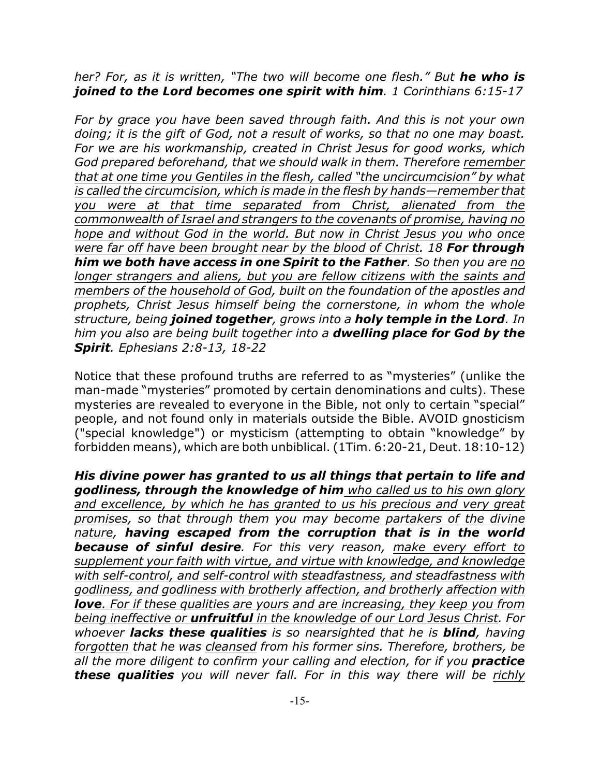*her? For, as it is written, "The two will become one flesh." But he who is joined to the Lord becomes one spirit with him. 1 Corinthians 6:15-17*

*For by grace you have been saved through faith. And this is not your own doing; it is the gift of God, not a result of works, so that no one may boast. For we are his workmanship, created in Christ Jesus for good works, which God prepared beforehand, that we should walk in them. Therefore remember that at one time you Gentiles in the flesh, called "the uncircumcision" by what is called the circumcision, which is made in the flesh by hands—remember that you were at that time separated from Christ, alienated from the commonwealth of Israel and strangers to the covenants of promise, having no hope and without God in the world. But now in Christ Jesus you who once were far off have been brought near by the blood of Christ. 18 For through him we both have access in one Spirit to the Father. So then you are no longer strangers and aliens, but you are fellow citizens with the saints and members of the household of God, built on the foundation of the apostles and prophets, Christ Jesus himself being the cornerstone, in whom the whole structure, being joined together, grows into a holy temple in the Lord. In him you also are being built together into a dwelling place for God by the Spirit. Ephesians 2:8-13, 18-22*

Notice that these profound truths are referred to as "mysteries" (unlike the man-made "mysteries" promoted by certain denominations and cults). These mysteries are revealed to everyone in the Bible, not only to certain "special" people, and not found only in materials outside the Bible. AVOID gnosticism ("special knowledge") or mysticism (attempting to obtain "knowledge" by forbidden means), which are both unbiblical. (1Tim. 6:20-21, Deut. 18:10-12)

*His divine power has granted to us all things that pertain to life and godliness, through the knowledge of him who called us to his own glory and excellence, by which he has granted to us his precious and very great promises, so that through them you may become partakers of the divine nature, having escaped from the corruption that is in the world because of sinful desire. For this very reason, make every effort to supplement your faith with virtue, and virtue with knowledge, and knowledge with self-control, and self-control with steadfastness, and steadfastness with godliness, and godliness with brotherly affection, and brotherly affection with love. For if these qualities are yours and are increasing, they keep you from being ineffective or unfruitful in the knowledge of our Lord Jesus Christ. For whoever lacks these qualities is so nearsighted that he is blind, having forgotten that he was cleansed from his former sins. Therefore, brothers, be all the more diligent to confirm your calling and election, for if you practice these qualities you will never fall. For in this way there will be richly*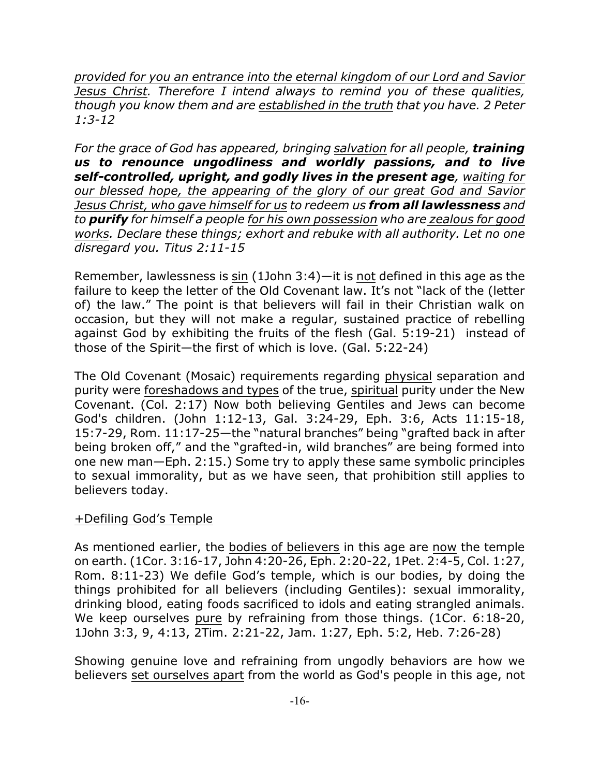*provided for you an entrance into the eternal kingdom of our Lord and Savior Jesus Christ. Therefore I intend always to remind you of these qualities, though you know them and are established in the truth that you have. 2 Peter 1:3-12*

*For the grace of God has appeared, bringing salvation for all people, training us to renounce ungodliness and worldly passions, and to live self-controlled, upright, and godly lives in the present age, waiting for our blessed hope, the appearing of the glory of our great God and Savior Jesus Christ, who gave himself for us to redeem us from all lawlessness and to purify for himself a people for his own possession who are zealous for good works. Declare these things; exhort and rebuke with all authority. Let no one disregard you. Titus 2:11-15*

Remember, lawlessness is sin (1John 3:4)—it is not defined in this age as the failure to keep the letter of the Old Covenant law. It's not "lack of the (letter of) the law." The point is that believers will fail in their Christian walk on occasion, but they will not make a regular, sustained practice of rebelling against God by exhibiting the fruits of the flesh (Gal. 5:19-21) instead of those of the Spirit—the first of which is love. (Gal. 5:22-24)

The Old Covenant (Mosaic) requirements regarding physical separation and purity were foreshadows and types of the true, spiritual purity under the New Covenant. (Col. 2:17) Now both believing Gentiles and Jews can become God's children. (John 1:12-13, Gal. 3:24-29, Eph. 3:6, Acts 11:15-18, 15:7-29, Rom. 11:17-25—the "natural branches" being "grafted back in after being broken off," and the "grafted-in, wild branches" are being formed into one new man—Eph. 2:15.) Some try to apply these same symbolic principles to sexual immorality, but as we have seen, that prohibition still applies to believers today.

## +Defiling God's Temple

As mentioned earlier, the bodies of believers in this age are now the temple on earth. (1Cor. 3:16-17, John 4:20-26, Eph. 2:20-22, 1Pet. 2:4-5, Col. 1:27, Rom. 8:11-23) We defile God's temple, which is our bodies, by doing the things prohibited for all believers (including Gentiles): sexual immorality, drinking blood, eating foods sacrificed to idols and eating strangled animals. We keep ourselves pure by refraining from those things. (1Cor. 6:18-20, 1John 3:3, 9, 4:13, 2Tim. 2:21-22, Jam. 1:27, Eph. 5:2, Heb. 7:26-28)

Showing genuine love and refraining from ungodly behaviors are how we believers set ourselves apart from the world as God's people in this age, not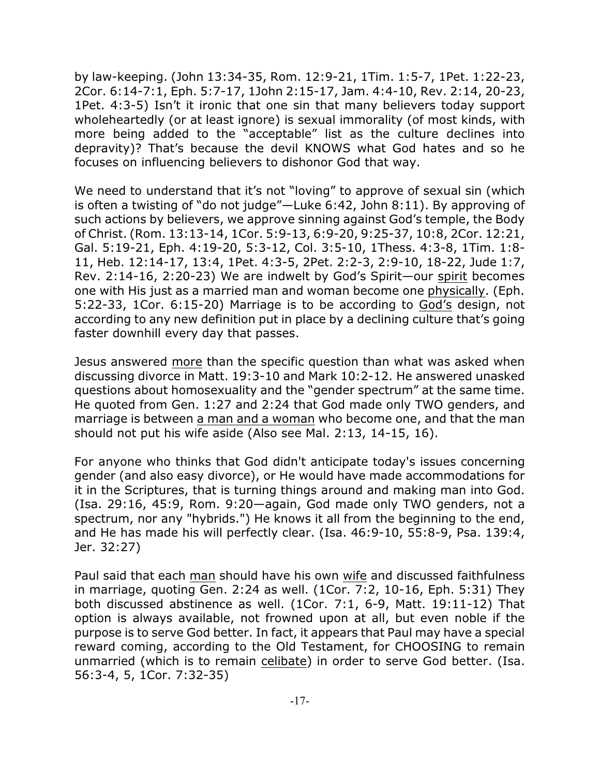by law-keeping. (John 13:34-35, Rom. 12:9-21, 1Tim. 1:5-7, 1Pet. 1:22-23, 2Cor. 6:14-7:1, Eph. 5:7-17, 1John 2:15-17, Jam. 4:4-10, Rev. 2:14, 20-23, 1Pet. 4:3-5) Isn't it ironic that one sin that many believers today support wholeheartedly (or at least ignore) is sexual immorality (of most kinds, with more being added to the "acceptable" list as the culture declines into depravity)? That's because the devil KNOWS what God hates and so he focuses on influencing believers to dishonor God that way.

We need to understand that it's not "loving" to approve of sexual sin (which is often a twisting of "do not judge"—Luke 6:42, John 8:11). By approving of such actions by believers, we approve sinning against God's temple, the Body of Christ. (Rom. 13:13-14, 1Cor. 5:9-13, 6:9-20, 9:25-37, 10:8, 2Cor. 12:21, Gal. 5:19-21, Eph. 4:19-20, 5:3-12, Col. 3:5-10, 1Thess. 4:3-8, 1Tim. 1:8- 11, Heb. 12:14-17, 13:4, 1Pet. 4:3-5, 2Pet. 2:2-3, 2:9-10, 18-22, Jude 1:7, Rev. 2:14-16, 2:20-23) We are indwelt by God's Spirit—our spirit becomes one with His just as a married man and woman become one physically. (Eph. 5:22-33, 1Cor. 6:15-20) Marriage is to be according to God's design, not according to any new definition put in place by a declining culture that's going faster downhill every day that passes.

Jesus answered more than the specific question than what was asked when discussing divorce in Matt. 19:3-10 and Mark 10:2-12. He answered unasked questions about homosexuality and the "gender spectrum" at the same time. He quoted from Gen. 1:27 and 2:24 that God made only TWO genders, and marriage is between a man and a woman who become one, and that the man should not put his wife aside (Also see Mal. 2:13, 14-15, 16).

For anyone who thinks that God didn't anticipate today's issues concerning gender (and also easy divorce), or He would have made accommodations for it in the Scriptures, that is turning things around and making man into God. (Isa. 29:16, 45:9, Rom. 9:20—again, God made only TWO genders, not a spectrum, nor any "hybrids.") He knows it all from the beginning to the end, and He has made his will perfectly clear. (Isa. 46:9-10, 55:8-9, Psa. 139:4, Jer. 32:27)

Paul said that each man should have his own wife and discussed faithfulness in marriage, quoting Gen. 2:24 as well. (1Cor. 7:2, 10-16, Eph. 5:31) They both discussed abstinence as well. (1Cor. 7:1, 6-9, Matt. 19:11-12) That option is always available, not frowned upon at all, but even noble if the purpose is to serve God better. In fact, it appears that Paul may have a special reward coming, according to the Old Testament, for CHOOSING to remain unmarried (which is to remain celibate) in order to serve God better. (Isa. 56:3-4, 5, 1Cor. 7:32-35)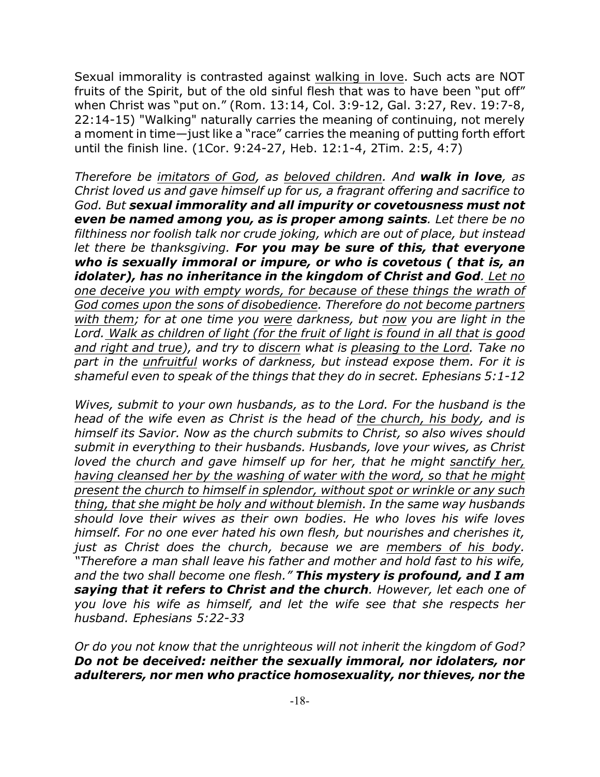Sexual immorality is contrasted against walking in love. Such acts are NOT fruits of the Spirit, but of the old sinful flesh that was to have been "put off" when Christ was "put on." (Rom. 13:14, Col. 3:9-12, Gal. 3:27, Rev. 19:7-8, 22:14-15) "Walking" naturally carries the meaning of continuing, not merely a moment in time—just like a "race" carries the meaning of putting forth effort until the finish line. (1Cor. 9:24-27, Heb. 12:1-4, 2Tim. 2:5, 4:7)

*Therefore be imitators of God, as beloved children. And walk in love, as Christ loved us and gave himself up for us, a fragrant offering and sacrifice to God. But sexual immorality and all impurity or covetousness must not even be named among you, as is proper among saints. Let there be no filthiness nor foolish talk nor crude joking, which are out of place, but instead let there be thanksgiving. For you may be sure of this, that everyone who is sexually immoral or impure, or who is covetous ( that is, an idolater), has no inheritance in the kingdom of Christ and God. Let no one deceive you with empty words, for because of these things the wrath of God comes upon the sons of disobedience. Therefore do not become partners with them; for at one time you were darkness, but now you are light in the Lord. Walk as children of light (for the fruit of light is found in all that is good and right and true), and try to discern what is pleasing to the Lord. Take no part in the unfruitful works of darkness, but instead expose them. For it is shameful even to speak of the things that they do in secret. Ephesians 5:1-12*

*Wives, submit to your own husbands, as to the Lord. For the husband is the head of the wife even as Christ is the head of the church, his body, and is himself its Savior. Now as the church submits to Christ, so also wives should submit in everything to their husbands. Husbands, love your wives, as Christ loved the church and gave himself up for her, that he might sanctify her, having cleansed her by the washing of water with the word, so that he might present the church to himself in splendor, without spot or wrinkle or any such thing, that she might be holy and without blemish. In the same way husbands should love their wives as their own bodies. He who loves his wife loves himself. For no one ever hated his own flesh, but nourishes and cherishes it, just as Christ does the church, because we are members of his body. "Therefore a man shall leave his father and mother and hold fast to his wife, and the two shall become one flesh." This mystery is profound, and I am saying that it refers to Christ and the church. However, let each one of you love his wife as himself, and let the wife see that she respects her husband. Ephesians 5:22-33*

*Or do you not know that the unrighteous will not inherit the kingdom of God? Do not be deceived: neither the sexually immoral, nor idolaters, nor adulterers, nor men who practice homosexuality, nor thieves, nor the*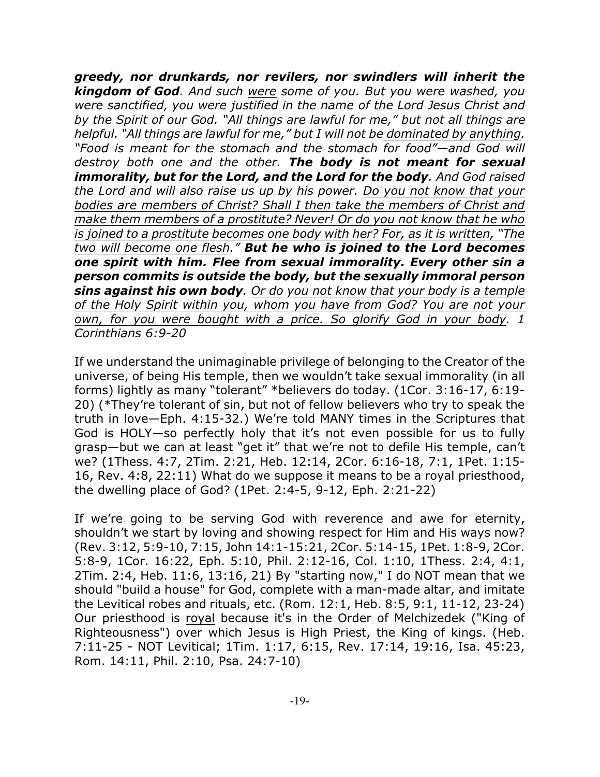*greedy, nor drunkards, nor revilers, nor swindlers will inherit the kingdom of God. And such were some of you. But you were washed, you were sanctified, you were justified in the name of the Lord Jesus Christ and by the Spirit of our God. "All things are lawful for me," but not all things are helpful. "All things are lawful for me," but I will not be dominated by anything. "Food is meant for the stomach and the stomach for food"—and God will destroy both one and the other. The body is not meant for sexual immorality, but for the Lord, and the Lord for the body. And God raised the Lord and will also raise us up by his power. Do you not know that your bodies are members of Christ? Shall I then take the members of Christ and make them members of a prostitute? Never! Or do you not know that he who is joined to a prostitute becomes one body with her? For, as it is written, "The two will become one flesh." But he who is joined to the Lord becomes one spirit with him. Flee from sexual immorality. Every other sin a person commits is outside the body, but the sexually immoral person sins against his own body. Or do you not know that your body is a temple of the Holy Spirit within you, whom you have from God? You are not your own, for you were bought with a price. So glorify God in your body. 1 Corinthians 6:9-20*

If we understand the unimaginable privilege of belonging to the Creator of the universe, of being His temple, then we wouldn't take sexual immorality (in all forms) lightly as many "tolerant" \*believers do today. (1Cor. 3:16-17, 6:19- 20) (\*They're tolerant of sin, but not of fellow believers who try to speak the truth in love—Eph. 4:15-32.) We're told MANY times in the Scriptures that God is HOLY—so perfectly holy that it's not even possible for us to fully grasp—but we can at least "get it" that we're not to defile His temple, can't we? (1Thess. 4:7, 2Tim. 2:21, Heb. 12:14, 2Cor. 6:16-18, 7:1, 1Pet. 1:15- 16, Rev. 4:8, 22:11) What do we suppose it means to be a royal priesthood, the dwelling place of God? (1Pet. 2:4-5, 9-12, Eph. 2:21-22)

If we're going to be serving God with reverence and awe for eternity, shouldn't we start by loving and showing respect for Him and His ways now? (Rev. 3:12, 5:9-10, 7:15, John 14:1-15:21, 2Cor. 5:14-15, 1Pet. 1:8-9, 2Cor. 5:8-9, 1Cor. 16:22, Eph. 5:10, Phil. 2:12-16, Col. 1:10, 1Thess. 2:4, 4:1, 2Tim. 2:4, Heb. 11:6, 13:16, 21) By "starting now," I do NOT mean that we should "build a house" for God, complete with a man-made altar, and imitate the Levitical robes and rituals, etc. (Rom. 12:1, Heb. 8:5, 9:1, 11-12, 23-24) Our priesthood is royal because it's in the Order of Melchizedek ("King of Righteousness") over which Jesus is High Priest, the King of kings. (Heb. 7:11-25 - NOT Levitical; 1Tim. 1:17, 6:15, Rev. 17:14, 19:16, Isa. 45:23, Rom. 14:11, Phil. 2:10, Psa. 24:7-10)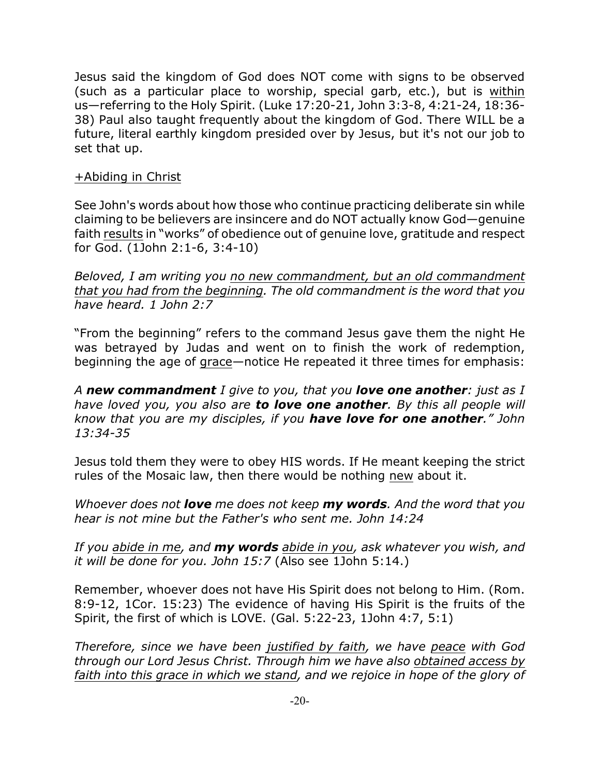Jesus said the kingdom of God does NOT come with signs to be observed (such as a particular place to worship, special garb, etc.), but is within us—referring to the Holy Spirit. (Luke 17:20-21, John 3:3-8, 4:21-24, 18:36- 38) Paul also taught frequently about the kingdom of God. There WILL be a future, literal earthly kingdom presided over by Jesus, but it's not our job to set that up.

## +Abiding in Christ

See John's words about how those who continue practicing deliberate sin while claiming to be believers are insincere and do NOT actually know God—genuine faith results in "works" of obedience out of genuine love, gratitude and respect for God. (1John 2:1-6, 3:4-10)

*Beloved, I am writing you no new commandment, but an old commandment that you had from the beginning. The old commandment is the word that you have heard. 1 John 2:7*

"From the beginning" refers to the command Jesus gave them the night He was betrayed by Judas and went on to finish the work of redemption, beginning the age of grace—notice He repeated it three times for emphasis:

*A new commandment I give to you, that you love one another: just as I have loved you, you also are to love one another. By this all people will know that you are my disciples, if you have love for one another." John 13:34-35*

Jesus told them they were to obey HIS words. If He meant keeping the strict rules of the Mosaic law, then there would be nothing new about it.

*Whoever does not love me does not keep my words. And the word that you hear is not mine but the Father's who sent me. John 14:24*

*If you abide in me, and my words abide in you, ask whatever you wish, and it will be done for you. John 15:7* (Also see 1John 5:14.)

Remember, whoever does not have His Spirit does not belong to Him. (Rom. 8:9-12, 1Cor. 15:23) The evidence of having His Spirit is the fruits of the Spirit, the first of which is LOVE. (Gal. 5:22-23, 1John 4:7, 5:1)

*Therefore, since we have been justified by faith, we have peace with God through our Lord Jesus Christ. Through him we have also obtained access by faith into this grace in which we stand, and we rejoice in hope of the glory of*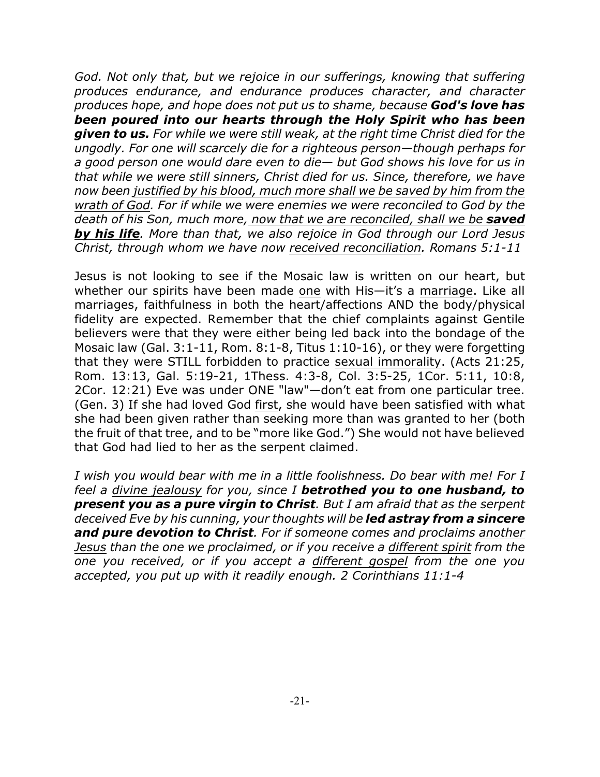*God. Not only that, but we rejoice in our sufferings, knowing that suffering produces endurance, and endurance produces character, and character produces hope, and hope does not put us to shame, because God's love has been poured into our hearts through the Holy Spirit who has been given to us. For while we were still weak, at the right time Christ died for the ungodly. For one will scarcely die for a righteous person—though perhaps for a good person one would dare even to die— but God shows his love for us in that while we were still sinners, Christ died for us. Since, therefore, we have now been justified by his blood, much more shall we be saved by him from the wrath of God. For if while we were enemies we were reconciled to God by the death of his Son, much more, now that we are reconciled, shall we be saved by his life. More than that, we also rejoice in God through our Lord Jesus Christ, through whom we have now received reconciliation. Romans 5:1-11*

Jesus is not looking to see if the Mosaic law is written on our heart, but whether our spirits have been made one with His—it's a marriage. Like all marriages, faithfulness in both the heart/affections AND the body/physical fidelity are expected. Remember that the chief complaints against Gentile believers were that they were either being led back into the bondage of the Mosaic law (Gal. 3:1-11, Rom. 8:1-8, Titus 1:10-16), or they were forgetting that they were STILL forbidden to practice sexual immorality. (Acts 21:25, Rom. 13:13, Gal. 5:19-21, 1Thess. 4:3-8, Col. 3:5-25, 1Cor. 5:11, 10:8, 2Cor. 12:21) Eve was under ONE "law"—don't eat from one particular tree. (Gen. 3) If she had loved God first, she would have been satisfied with what she had been given rather than seeking more than was granted to her (both the fruit of that tree, and to be "more like God.") She would not have believed that God had lied to her as the serpent claimed.

*I wish you would bear with me in a little foolishness. Do bear with me! For I feel a divine jealousy for you, since I betrothed you to one husband, to present you as a pure virgin to Christ. But I am afraid that as the serpent deceived Eve by his cunning, your thoughts will be led astray from a sincere and pure devotion to Christ. For if someone comes and proclaims another Jesus than the one we proclaimed, or if you receive a different spirit from the one you received, or if you accept a different gospel from the one you accepted, you put up with it readily enough. 2 Corinthians 11:1-4*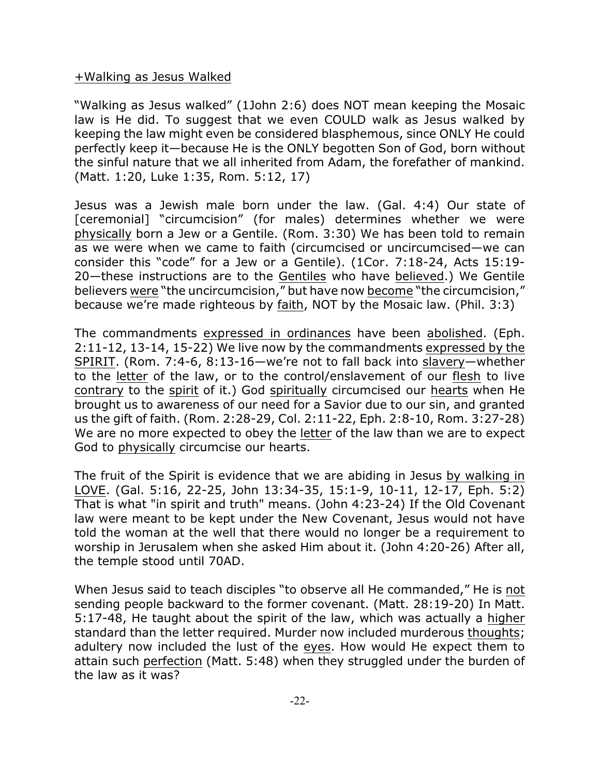### +Walking as Jesus Walked

"Walking as Jesus walked" (1John 2:6) does NOT mean keeping the Mosaic law is He did. To suggest that we even COULD walk as Jesus walked by keeping the law might even be considered blasphemous, since ONLY He could perfectly keep it—because He is the ONLY begotten Son of God, born without the sinful nature that we all inherited from Adam, the forefather of mankind. (Matt. 1:20, Luke 1:35, Rom. 5:12, 17)

Jesus was a Jewish male born under the law. (Gal. 4:4) Our state of [ceremonial] "circumcision" (for males) determines whether we were physically born a Jew or a Gentile. (Rom. 3:30) We has been told to remain as we were when we came to faith (circumcised or uncircumcised—we can consider this "code" for a Jew or a Gentile). (1Cor. 7:18-24, Acts 15:19- 20—these instructions are to the Gentiles who have believed.) We Gentile believers were "the uncircumcision," but have now become "the circumcision," because we're made righteous by faith, NOT by the Mosaic law. (Phil. 3:3)

The commandments expressed in ordinances have been abolished. (Eph. 2:11-12, 13-14, 15-22) We live now by the commandments expressed by the SPIRIT. (Rom. 7:4-6, 8:13-16—we're not to fall back into slavery—whether to the letter of the law, or to the control/enslavement of our flesh to live contrary to the spirit of it.) God spiritually circumcised our hearts when He brought us to awareness of our need for a Savior due to our sin, and granted us the gift of faith. (Rom. 2:28-29, Col. 2:11-22, Eph. 2:8-10, Rom. 3:27-28) We are no more expected to obey the letter of the law than we are to expect God to physically circumcise our hearts.

The fruit of the Spirit is evidence that we are abiding in Jesus by walking in LOVE. (Gal. 5:16, 22-25, John 13:34-35, 15:1-9, 10-11, 12-17, Eph. 5:2) That is what "in spirit and truth" means. (John 4:23-24) If the Old Covenant law were meant to be kept under the New Covenant, Jesus would not have told the woman at the well that there would no longer be a requirement to worship in Jerusalem when she asked Him about it. (John 4:20-26) After all, the temple stood until 70AD.

When Jesus said to teach disciples "to observe all He commanded," He is not sending people backward to the former covenant. (Matt. 28:19-20) In Matt. 5:17-48, He taught about the spirit of the law, which was actually a higher standard than the letter required. Murder now included murderous thoughts; adultery now included the lust of the eyes. How would He expect them to attain such perfection (Matt. 5:48) when they struggled under the burden of the law as it was?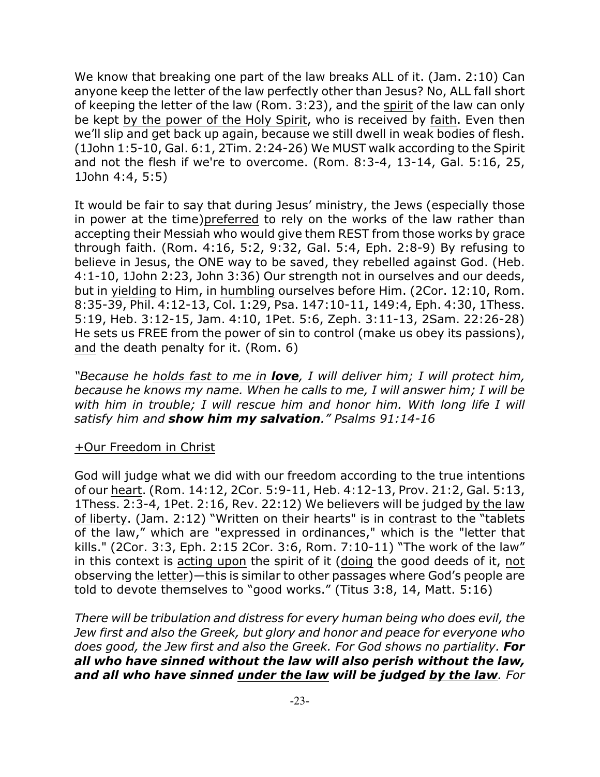We know that breaking one part of the law breaks ALL of it. (Jam. 2:10) Can anyone keep the letter of the law perfectly other than Jesus? No, ALL fall short of keeping the letter of the law (Rom. 3:23), and the spirit of the law can only be kept by the power of the Holy Spirit, who is received by faith. Even then we'll slip and get back up again, because we still dwell in weak bodies of flesh. (1John 1:5-10, Gal. 6:1, 2Tim. 2:24-26) We MUST walk according to the Spirit and not the flesh if we're to overcome. (Rom. 8:3-4, 13-14, Gal. 5:16, 25, 1John 4:4, 5:5)

It would be fair to say that during Jesus' ministry, the Jews (especially those in power at the time)preferred to rely on the works of the law rather than accepting their Messiah who would give them REST from those works by grace through faith. (Rom. 4:16, 5:2, 9:32, Gal. 5:4, Eph. 2:8-9) By refusing to believe in Jesus, the ONE way to be saved, they rebelled against God. (Heb. 4:1-10, 1John 2:23, John 3:36) Our strength not in ourselves and our deeds, but in yielding to Him, in humbling ourselves before Him. (2Cor. 12:10, Rom. 8:35-39, Phil. 4:12-13, Col. 1:29, Psa. 147:10-11, 149:4, Eph. 4:30, 1Thess. 5:19, Heb. 3:12-15, Jam. 4:10, 1Pet. 5:6, Zeph. 3:11-13, 2Sam. 22:26-28) He sets us FREE from the power of sin to control (make us obey its passions), and the death penalty for it. (Rom. 6)

*"Because he holds fast to me in love, I will deliver him; I will protect him, because he knows my name. When he calls to me, I will answer him; I will be with him in trouble; I will rescue him and honor him. With long life I will satisfy him and show him my salvation." Psalms 91:14-16*

## +Our Freedom in Christ

God will judge what we did with our freedom according to the true intentions of our heart. (Rom. 14:12, 2Cor. 5:9-11, Heb. 4:12-13, Prov. 21:2, Gal. 5:13, 1Thess. 2:3-4, 1Pet. 2:16, Rev. 22:12) We believers will be judged by the law of liberty. (Jam. 2:12) "Written on their hearts" is in contrast to the "tablets of the law," which are "expressed in ordinances," which is the "letter that kills." (2Cor. 3:3, Eph. 2:15 2Cor. 3:6, Rom. 7:10-11) "The work of the law" in this context is acting upon the spirit of it (doing the good deeds of it, not observing the letter)—this is similar to other passages where God's people are told to devote themselves to "good works." (Titus 3:8, 14, Matt. 5:16)

*There will be tribulation and distress for every human being who does evil, the Jew first and also the Greek, but glory and honor and peace for everyone who does good, the Jew first and also the Greek. For God shows no partiality. For all who have sinned without the law will also perish without the law, and all who have sinned under the law will be judged by the law. For*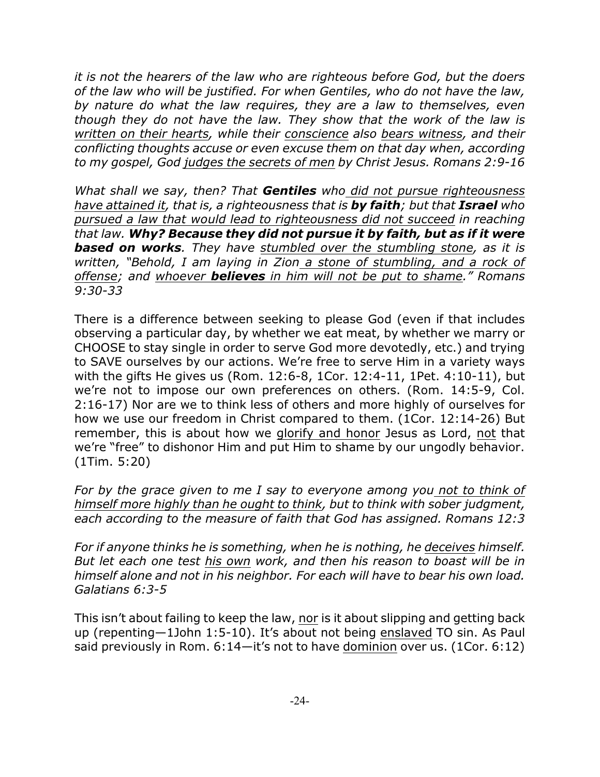*it is not the hearers of the law who are righteous before God, but the doers of the law who will be justified. For when Gentiles, who do not have the law, by nature do what the law requires, they are a law to themselves, even though they do not have the law. They show that the work of the law is written on their hearts, while their conscience also bears witness, and their conflicting thoughts accuse or even excuse them on that day when, according to my gospel, God judges the secrets of men by Christ Jesus. Romans 2:9-16*

*What shall we say, then? That Gentiles who did not pursue righteousness have attained it, that is, a righteousness that is by faith; but that Israel who pursued a law that would lead to righteousness did not succeed in reaching that law. Why? Because they did not pursue it by faith, but as if it were based on works. They have stumbled over the stumbling stone, as it is written, "Behold, I am laying in Zion a stone of stumbling, and a rock of offense; and whoever believes in him will not be put to shame." Romans 9:30-33*

There is a difference between seeking to please God (even if that includes observing a particular day, by whether we eat meat, by whether we marry or CHOOSE to stay single in order to serve God more devotedly, etc.) and trying to SAVE ourselves by our actions. We're free to serve Him in a variety ways with the gifts He gives us (Rom. 12:6-8, 1Cor. 12:4-11, 1Pet. 4:10-11), but we're not to impose our own preferences on others. (Rom. 14:5-9, Col. 2:16-17) Nor are we to think less of others and more highly of ourselves for how we use our freedom in Christ compared to them. (1Cor. 12:14-26) But remember, this is about how we glorify and honor Jesus as Lord, not that we're "free" to dishonor Him and put Him to shame by our ungodly behavior. (1Tim. 5:20)

*For by the grace given to me I say to everyone among you not to think of himself more highly than he ought to think, but to think with sober judgment, each according to the measure of faith that God has assigned. Romans 12:3*

*For if anyone thinks he is something, when he is nothing, he deceives himself. But let each one test his own work, and then his reason to boast will be in himself alone and not in his neighbor. For each will have to bear his own load. Galatians 6:3-5*

This isn't about failing to keep the law, nor is it about slipping and getting back up (repenting—1John 1:5-10). It's about not being enslaved TO sin. As Paul said previously in Rom. 6:14—it's not to have dominion over us. (1Cor. 6:12)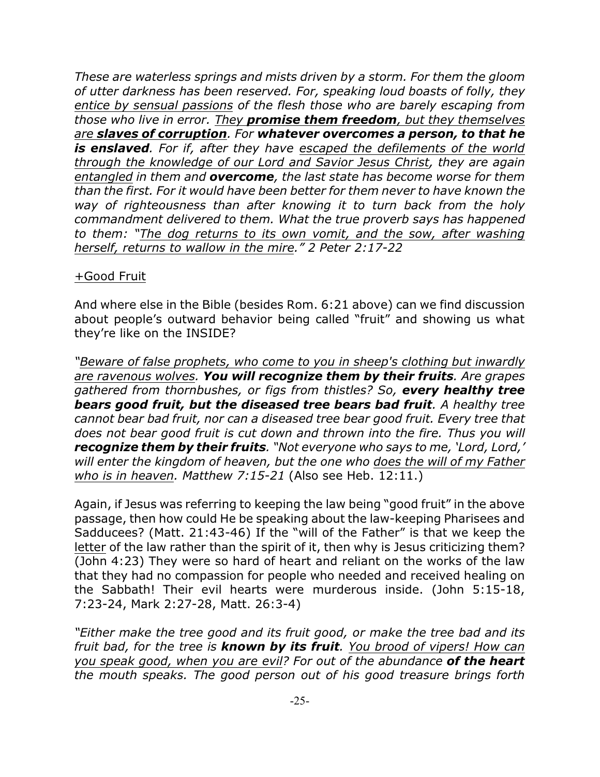*These are waterless springs and mists driven by a storm. For them the gloom of utter darkness has been reserved. For, speaking loud boasts of folly, they entice by sensual passions of the flesh those who are barely escaping from those who live in error. They promise them freedom, but they themselves are slaves of corruption. For whatever overcomes a person, to that he is enslaved. For if, after they have escaped the defilements of the world through the knowledge of our Lord and Savior Jesus Christ, they are again entangled in them and overcome, the last state has become worse for them than the first. For it would have been better for them never to have known the way of righteousness than after knowing it to turn back from the holy commandment delivered to them. What the true proverb says has happened to them: "The dog returns to its own vomit, and the sow, after washing herself, returns to wallow in the mire." 2 Peter 2:17-22*

## +Good Fruit

And where else in the Bible (besides Rom. 6:21 above) can we find discussion about people's outward behavior being called "fruit" and showing us what they're like on the INSIDE?

*"Beware of false prophets, who come to you in sheep's clothing but inwardly are ravenous wolves. You will recognize them by their fruits. Are grapes gathered from thornbushes, or figs from thistles? So, every healthy tree bears good fruit, but the diseased tree bears bad fruit. A healthy tree cannot bear bad fruit, nor can a diseased tree bear good fruit. Every tree that does not bear good fruit is cut down and thrown into the fire. Thus you will recognize them by their fruits. "Not everyone who says to me, 'Lord, Lord,' will enter the kingdom of heaven, but the one who does the will of my Father who is in heaven. Matthew 7:15-21* (Also see Heb. 12:11.)

Again, if Jesus was referring to keeping the law being "good fruit" in the above passage, then how could He be speaking about the law-keeping Pharisees and Sadducees? (Matt. 21:43-46) If the "will of the Father" is that we keep the letter of the law rather than the spirit of it, then why is Jesus criticizing them? (John 4:23) They were so hard of heart and reliant on the works of the law that they had no compassion for people who needed and received healing on the Sabbath! Their evil hearts were murderous inside. (John 5:15-18, 7:23-24, Mark 2:27-28, Matt. 26:3-4)

*"Either make the tree good and its fruit good, or make the tree bad and its fruit bad, for the tree is known by its fruit. You brood of vipers! How can you speak good, when you are evil? For out of the abundance of the heart the mouth speaks. The good person out of his good treasure brings forth*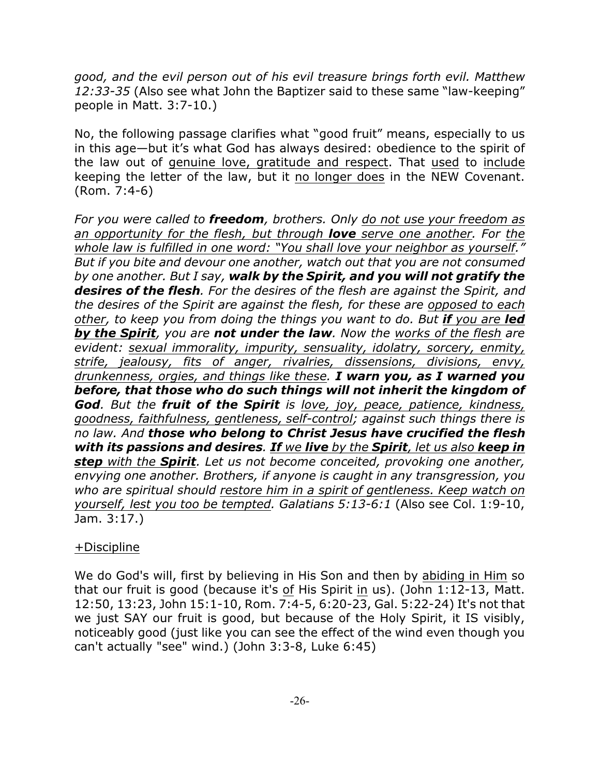*good, and the evil person out of his evil treasure brings forth evil. Matthew 12:33-35* (Also see what John the Baptizer said to these same "law-keeping" people in Matt. 3:7-10.)

No, the following passage clarifies what "good fruit" means, especially to us in this age—but it's what God has always desired: obedience to the spirit of the law out of genuine love, gratitude and respect. That used to include keeping the letter of the law, but it no longer does in the NEW Covenant. (Rom. 7:4-6)

*For you were called to freedom, brothers. Only do not use your freedom as an opportunity for the flesh, but through love serve one another. For the whole law is fulfilled in one word: "You shall love your neighbor as yourself." But if you bite and devour one another, watch out that you are not consumed by one another. But I say, walk by the Spirit, and you will not gratify the desires of the flesh. For the desires of the flesh are against the Spirit, and the desires of the Spirit are against the flesh, for these are opposed to each other, to keep you from doing the things you want to do. But if you are led by the Spirit, you are not under the law. Now the works of the flesh are evident: sexual immorality, impurity, sensuality, idolatry, sorcery, enmity, strife, jealousy, fits of anger, rivalries, dissensions, divisions, envy, drunkenness, orgies, and things like these. I warn you, as I warned you before, that those who do such things will not inherit the kingdom of God. But the fruit of the Spirit is love, joy, peace, patience, kindness, goodness, faithfulness, gentleness, self-control; against such things there is no law. And those who belong to Christ Jesus have crucified the flesh with its passions and desires. If we live by the Spirit, let us also keep in step with the Spirit. Let us not become conceited, provoking one another, envying one another. Brothers, if anyone is caught in any transgression, you who are spiritual should restore him in a spirit of gentleness. Keep watch on yourself, lest you too be tempted. Galatians 5:13-6:1* (Also see Col. 1:9-10, Jam. 3:17.)

## +Discipline

We do God's will, first by believing in His Son and then by abiding in Him so that our fruit is good (because it's of His Spirit in us). (John 1:12-13, Matt. 12:50, 13:23, John 15:1-10, Rom. 7:4-5, 6:20-23, Gal. 5:22-24) It's not that we just SAY our fruit is good, but because of the Holy Spirit, it IS visibly, noticeably good (just like you can see the effect of the wind even though you can't actually "see" wind.) (John 3:3-8, Luke 6:45)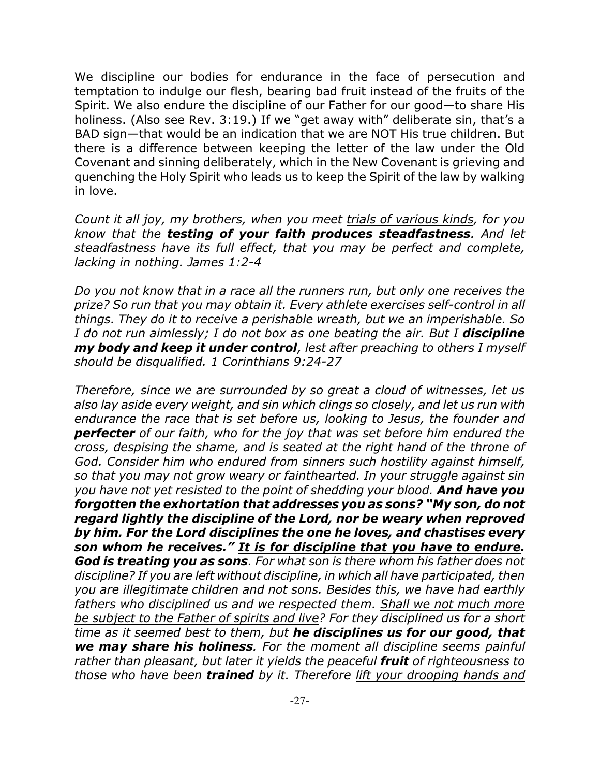We discipline our bodies for endurance in the face of persecution and temptation to indulge our flesh, bearing bad fruit instead of the fruits of the Spirit. We also endure the discipline of our Father for our good—to share His holiness. (Also see Rev. 3:19.) If we "get away with" deliberate sin, that's a BAD sign—that would be an indication that we are NOT His true children. But there is a difference between keeping the letter of the law under the Old Covenant and sinning deliberately, which in the New Covenant is grieving and quenching the Holy Spirit who leads us to keep the Spirit of the law by walking in love.

*Count it all joy, my brothers, when you meet trials of various kinds, for you know that the testing of your faith produces steadfastness. And let steadfastness have its full effect, that you may be perfect and complete, lacking in nothing. James 1:2-4*

*Do you not know that in a race all the runners run, but only one receives the prize? So run that you may obtain it. Every athlete exercises self-control in all things. They do it to receive a perishable wreath, but we an imperishable. So I do not run aimlessly; I do not box as one beating the air. But I discipline my body and keep it under control, lest after preaching to others I myself should be disqualified. 1 Corinthians 9:24-27*

*Therefore, since we are surrounded by so great a cloud of witnesses, let us also lay aside every weight, and sin which clings so closely, and let us run with endurance the race that is set before us, looking to Jesus, the founder and perfecter of our faith, who for the joy that was set before him endured the cross, despising the shame, and is seated at the right hand of the throne of God. Consider him who endured from sinners such hostility against himself, so that you may not grow weary or fainthearted. In your struggle against sin you have not yet resisted to the point of shedding your blood. And have you forgotten the exhortation that addresses you as sons? "My son, do not regard lightly the discipline of the Lord, nor be weary when reproved by him. For the Lord disciplines the one he loves, and chastises every son whom he receives." It is for discipline that you have to endure. God is treating you as sons. For what son is there whom his father does not discipline? If you are left without discipline, in which all have participated, then you are illegitimate children and not sons. Besides this, we have had earthly fathers who disciplined us and we respected them. Shall we not much more be subject to the Father of spirits and live? For they disciplined us for a short time as it seemed best to them, but he disciplines us for our good, that we may share his holiness. For the moment all discipline seems painful rather than pleasant, but later it yields the peaceful fruit of righteousness to those who have been trained by it. Therefore lift your drooping hands and*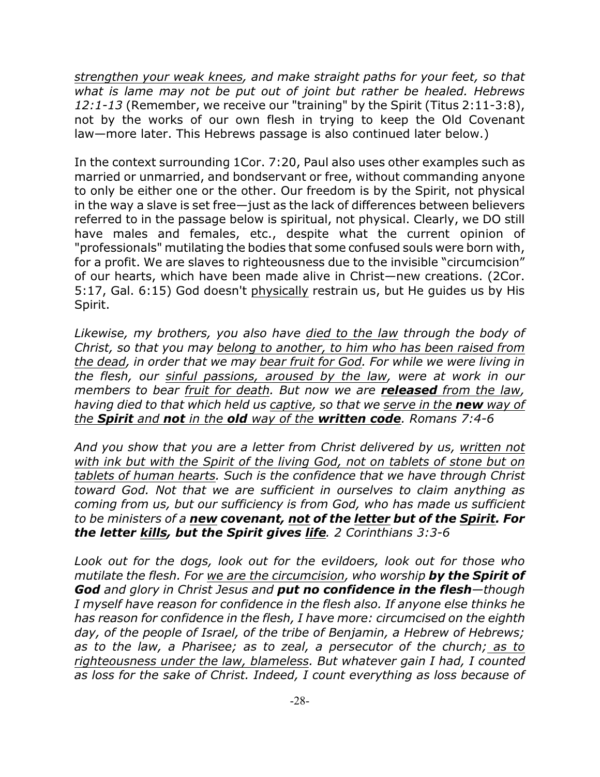*strengthen your weak knees, and make straight paths for your feet, so that what is lame may not be put out of joint but rather be healed. Hebrews 12:1-13* (Remember, we receive our "training" by the Spirit (Titus 2:11-3:8), not by the works of our own flesh in trying to keep the Old Covenant law—more later. This Hebrews passage is also continued later below.)

In the context surrounding 1Cor. 7:20, Paul also uses other examples such as married or unmarried, and bondservant or free, without commanding anyone to only be either one or the other. Our freedom is by the Spirit, not physical in the way a slave is set free—just as the lack of differences between believers referred to in the passage below is spiritual, not physical. Clearly, we DO still have males and females, etc., despite what the current opinion of "professionals" mutilating the bodies that some confused souls were born with, for a profit. We are slaves to righteousness due to the invisible "circumcision" of our hearts, which have been made alive in Christ—new creations. (2Cor. 5:17, Gal. 6:15) God doesn't physically restrain us, but He guides us by His Spirit.

*Likewise, my brothers, you also have died to the law through the body of Christ, so that you may belong to another, to him who has been raised from the dead, in order that we may bear fruit for God. For while we were living in the flesh, our sinful passions, aroused by the law, were at work in our members to bear fruit for death. But now we are released from the law, having died to that which held us captive, so that we serve in the new way of the Spirit and not in the old way of the written code. Romans 7:4-6*

*And you show that you are a letter from Christ delivered by us, written not with ink but with the Spirit of the living God, not on tablets of stone but on tablets of human hearts. Such is the confidence that we have through Christ toward God. Not that we are sufficient in ourselves to claim anything as coming from us, but our sufficiency is from God, who has made us sufficient to be ministers of a new covenant, not of the letter but of the Spirit. For the letter kills, but the Spirit gives life. 2 Corinthians 3:3-6*

*Look out for the dogs, look out for the evildoers, look out for those who mutilate the flesh. For we are the circumcision, who worship by the Spirit of God and glory in Christ Jesus and put no confidence in the flesh—though I myself have reason for confidence in the flesh also. If anyone else thinks he has reason for confidence in the flesh, I have more: circumcised on the eighth day, of the people of Israel, of the tribe of Benjamin, a Hebrew of Hebrews; as to the law, a Pharisee; as to zeal, a persecutor of the church; as to righteousness under the law, blameless. But whatever gain I had, I counted as loss for the sake of Christ. Indeed, I count everything as loss because of*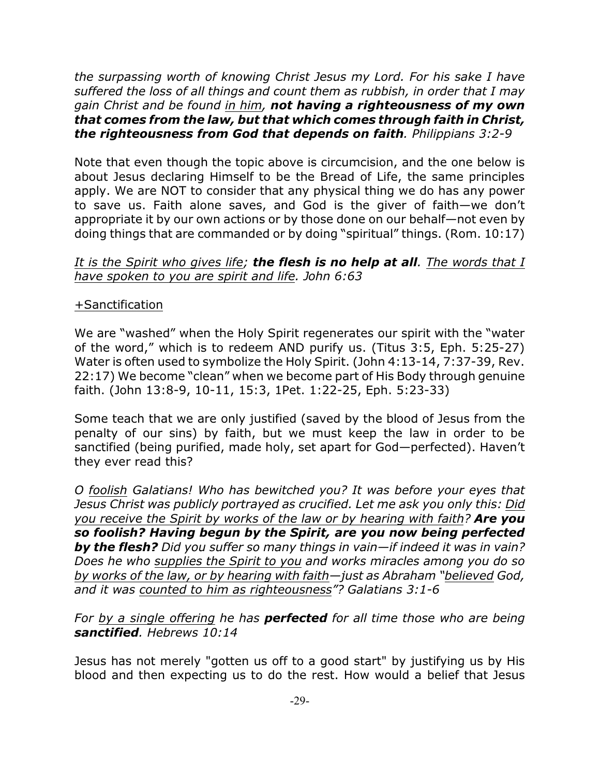*the surpassing worth of knowing Christ Jesus my Lord. For his sake I have suffered the loss of all things and count them as rubbish, in order that I may gain Christ and be found in him, not having a righteousness of my own that comes from the law, but that which comes through faith in Christ, the righteousness from God that depends on faith. Philippians 3:2-9*

Note that even though the topic above is circumcision, and the one below is about Jesus declaring Himself to be the Bread of Life, the same principles apply. We are NOT to consider that any physical thing we do has any power to save us. Faith alone saves, and God is the giver of faith—we don't appropriate it by our own actions or by those done on our behalf—not even by doing things that are commanded or by doing "spiritual" things. (Rom. 10:17)

## *It is the Spirit who gives life; the flesh is no help at all. The words that I have spoken to you are spirit and life. John 6:63*

## +Sanctification

We are "washed" when the Holy Spirit regenerates our spirit with the "water of the word," which is to redeem AND purify us. (Titus 3:5, Eph. 5:25-27) Water is often used to symbolize the Holy Spirit. (John 4:13-14, 7:37-39, Rev. 22:17) We become "clean" when we become part of His Body through genuine faith. (John 13:8-9, 10-11, 15:3, 1Pet. 1:22-25, Eph. 5:23-33)

Some teach that we are only justified (saved by the blood of Jesus from the penalty of our sins) by faith, but we must keep the law in order to be sanctified (being purified, made holy, set apart for God—perfected). Haven't they ever read this?

*O foolish Galatians! Who has bewitched you? It was before your eyes that Jesus Christ was publicly portrayed as crucified. Let me ask you only this: Did you receive the Spirit by works of the law or by hearing with faith? Are you so foolish? Having begun by the Spirit, are you now being perfected by the flesh? Did you suffer so many things in vain—if indeed it was in vain? Does he who supplies the Spirit to you and works miracles among you do so by works of the law, or by hearing with faith—just as Abraham "believed God, and it was counted to him as righteousness"? Galatians 3:1-6*

*For by a single offering he has perfected for all time those who are being sanctified. Hebrews 10:14*

Jesus has not merely "gotten us off to a good start" by justifying us by His blood and then expecting us to do the rest. How would a belief that Jesus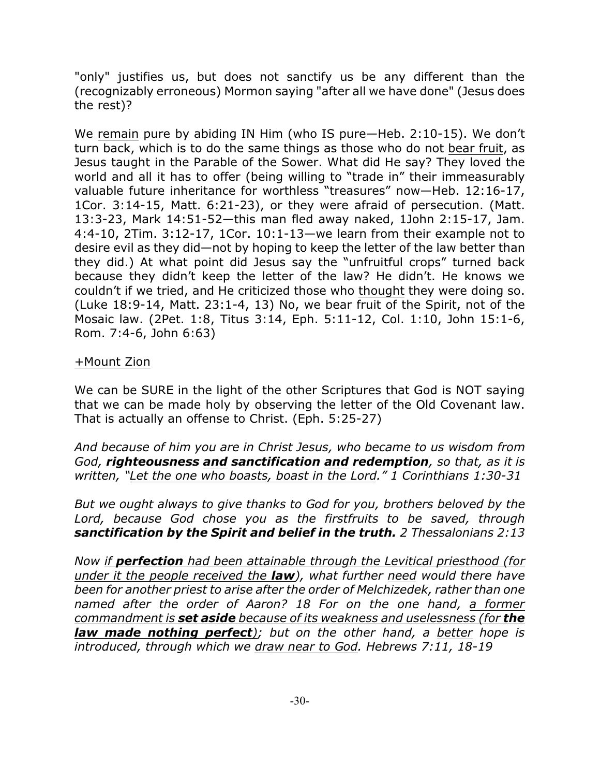"only" justifies us, but does not sanctify us be any different than the (recognizably erroneous) Mormon saying "after all we have done" (Jesus does the rest)?

We remain pure by abiding IN Him (who IS pure—Heb. 2:10-15). We don't turn back, which is to do the same things as those who do not bear fruit, as Jesus taught in the Parable of the Sower. What did He say? They loved the world and all it has to offer (being willing to "trade in" their immeasurably valuable future inheritance for worthless "treasures" now—Heb. 12:16-17, 1Cor. 3:14-15, Matt. 6:21-23), or they were afraid of persecution. (Matt. 13:3-23, Mark 14:51-52—this man fled away naked, 1John 2:15-17, Jam. 4:4-10, 2Tim. 3:12-17, 1Cor. 10:1-13—we learn from their example not to desire evil as they did—not by hoping to keep the letter of the law better than they did.) At what point did Jesus say the "unfruitful crops" turned back because they didn't keep the letter of the law? He didn't. He knows we couldn't if we tried, and He criticized those who thought they were doing so. (Luke 18:9-14, Matt. 23:1-4, 13) No, we bear fruit of the Spirit, not of the Mosaic law. (2Pet. 1:8, Titus 3:14, Eph. 5:11-12, Col. 1:10, John 15:1-6, Rom. 7:4-6, John 6:63)

## +Mount Zion

We can be SURE in the light of the other Scriptures that God is NOT saying that we can be made holy by observing the letter of the Old Covenant law. That is actually an offense to Christ. (Eph. 5:25-27)

*And because of him you are in Christ Jesus, who became to us wisdom from God, righteousness and sanctification and redemption, so that, as it is written, "Let the one who boasts, boast in the Lord." 1 Corinthians 1:30-31*

*But we ought always to give thanks to God for you, brothers beloved by the Lord, because God chose you as the firstfruits to be saved, through sanctification by the Spirit and belief in the truth. 2 Thessalonians 2:13*

*Now if perfection had been attainable through the Levitical priesthood (for under it the people received the law), what further need would there have been for another priest to arise after the order of Melchizedek, rather than one named after the order of Aaron? 18 For on the one hand, a former commandment is set aside because of its weakness and uselessness (for the law made nothing perfect); but on the other hand, a better hope is introduced, through which we draw near to God. Hebrews 7:11, 18-19*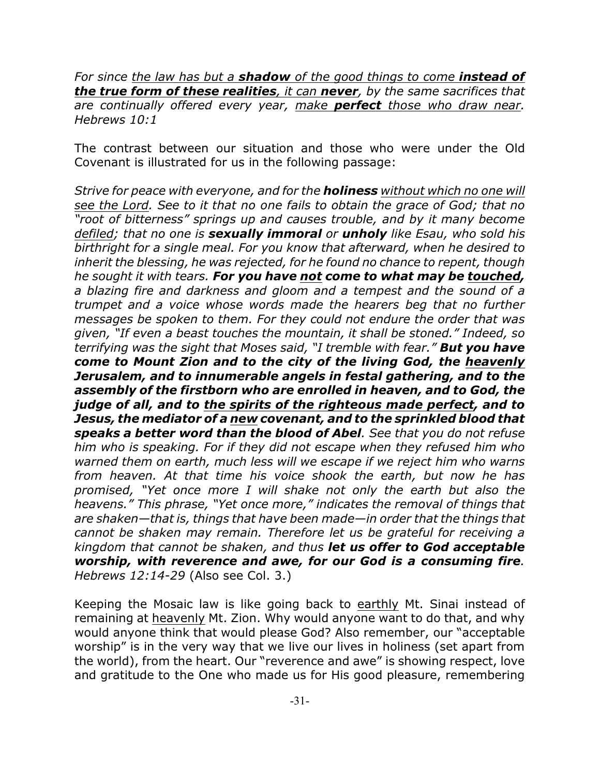*For since the law has but a shadow of the good things to come instead of the true form of these realities, it can never, by the same sacrifices that are continually offered every year, make perfect those who draw near. Hebrews 10:1*

The contrast between our situation and those who were under the Old Covenant is illustrated for us in the following passage:

*Strive for peace with everyone, and for the holiness without which no one will see the Lord. See to it that no one fails to obtain the grace of God; that no "root of bitterness" springs up and causes trouble, and by it many become defiled; that no one is sexually immoral or unholy like Esau, who sold his birthright for a single meal. For you know that afterward, when he desired to inherit the blessing, he was rejected, for he found no chance to repent, though he sought it with tears. For you have not come to what may be touched, a blazing fire and darkness and gloom and a tempest and the sound of a trumpet and a voice whose words made the hearers beg that no further messages be spoken to them. For they could not endure the order that was given, "If even a beast touches the mountain, it shall be stoned." Indeed, so terrifying was the sight that Moses said, "I tremble with fear." But you have come to Mount Zion and to the city of the living God, the heavenly Jerusalem, and to innumerable angels in festal gathering, and to the assembly of the firstborn who are enrolled in heaven, and to God, the judge of all, and to the spirits of the righteous made perfect, and to Jesus, the mediator of a new covenant, and to the sprinkled blood that speaks a better word than the blood of Abel. See that you do not refuse him who is speaking. For if they did not escape when they refused him who warned them on earth, much less will we escape if we reject him who warns from heaven. At that time his voice shook the earth, but now he has promised, "Yet once more I will shake not only the earth but also the heavens." This phrase, "Yet once more," indicates the removal of things that are shaken—that is, things that have been made—in order that the things that cannot be shaken may remain. Therefore let us be grateful for receiving a kingdom that cannot be shaken, and thus let us offer to God acceptable worship, with reverence and awe, for our God is a consuming fire. Hebrews 12:14-29* (Also see Col. 3.)

Keeping the Mosaic law is like going back to earthly Mt. Sinai instead of remaining at heavenly Mt. Zion. Why would anyone want to do that, and why would anyone think that would please God? Also remember, our "acceptable worship" is in the very way that we live our lives in holiness (set apart from the world), from the heart. Our "reverence and awe" is showing respect, love and gratitude to the One who made us for His good pleasure, remembering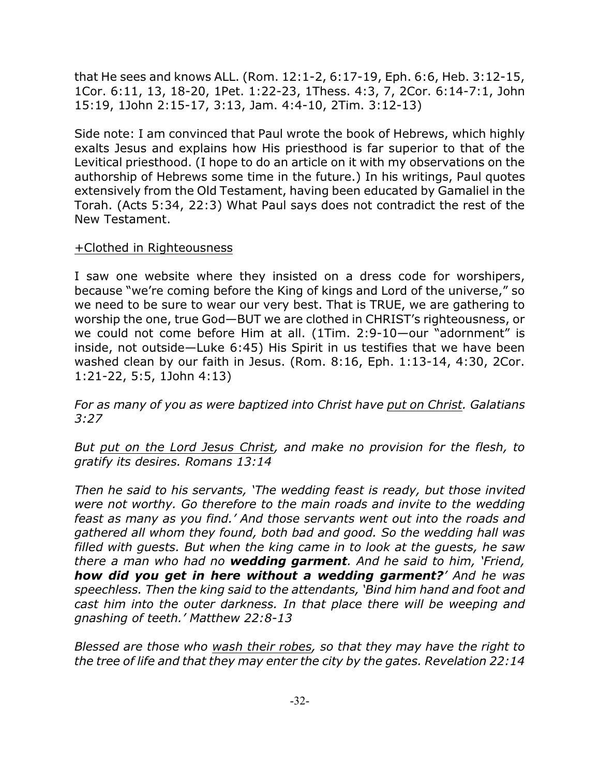that He sees and knows ALL. (Rom. 12:1-2, 6:17-19, Eph. 6:6, Heb. 3:12-15, 1Cor. 6:11, 13, 18-20, 1Pet. 1:22-23, 1Thess. 4:3, 7, 2Cor. 6:14-7:1, John 15:19, 1John 2:15-17, 3:13, Jam. 4:4-10, 2Tim. 3:12-13)

Side note: I am convinced that Paul wrote the book of Hebrews, which highly exalts Jesus and explains how His priesthood is far superior to that of the Levitical priesthood. (I hope to do an article on it with my observations on the authorship of Hebrews some time in the future.) In his writings, Paul quotes extensively from the Old Testament, having been educated by Gamaliel in the Torah. (Acts 5:34, 22:3) What Paul says does not contradict the rest of the New Testament.

## +Clothed in Righteousness

I saw one website where they insisted on a dress code for worshipers, because "we're coming before the King of kings and Lord of the universe," so we need to be sure to wear our very best. That is TRUE, we are gathering to worship the one, true God—BUT we are clothed in CHRIST's righteousness, or we could not come before Him at all. (1Tim. 2:9-10—our "adornment" is inside, not outside—Luke 6:45) His Spirit in us testifies that we have been washed clean by our faith in Jesus. (Rom. 8:16, Eph. 1:13-14, 4:30, 2Cor. 1:21-22, 5:5, 1John 4:13)

*For as many of you as were baptized into Christ have put on Christ. Galatians 3:27*

*But put on the Lord Jesus Christ, and make no provision for the flesh, to gratify its desires. Romans 13:14*

*Then he said to his servants, 'The wedding feast is ready, but those invited were not worthy. Go therefore to the main roads and invite to the wedding feast as many as you find.' And those servants went out into the roads and gathered all whom they found, both bad and good. So the wedding hall was filled with guests. But when the king came in to look at the guests, he saw there a man who had no wedding garment. And he said to him, 'Friend, how did you get in here without a wedding garment?' And he was speechless. Then the king said to the attendants, 'Bind him hand and foot and cast him into the outer darkness. In that place there will be weeping and gnashing of teeth.' Matthew 22:8-13*

*Blessed are those who wash their robes, so that they may have the right to the tree of life and that they may enter the city by the gates. Revelation 22:14*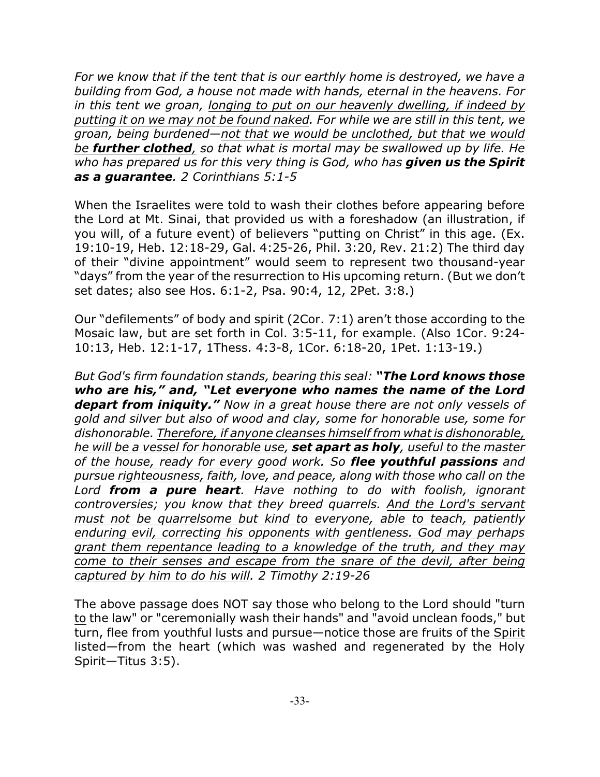*For we know that if the tent that is our earthly home is destroyed, we have a building from God, a house not made with hands, eternal in the heavens. For in this tent we groan, longing to put on our heavenly dwelling, if indeed by putting it on we may not be found naked. For while we are still in this tent, we groan, being burdened—not that we would be unclothed, but that we would be further clothed, so that what is mortal may be swallowed up by life. He who has prepared us for this very thing is God, who has given us the Spirit as a guarantee. 2 Corinthians 5:1-5*

When the Israelites were told to wash their clothes before appearing before the Lord at Mt. Sinai, that provided us with a foreshadow (an illustration, if you will, of a future event) of believers "putting on Christ" in this age. (Ex. 19:10-19, Heb. 12:18-29, Gal. 4:25-26, Phil. 3:20, Rev. 21:2) The third day of their "divine appointment" would seem to represent two thousand-year "days" from the year of the resurrection to His upcoming return. (But we don't set dates; also see Hos. 6:1-2, Psa. 90:4, 12, 2Pet. 3:8.)

Our "defilements" of body and spirit (2Cor. 7:1) aren't those according to the Mosaic law, but are set forth in Col. 3:5-11, for example. (Also 1Cor. 9:24- 10:13, Heb. 12:1-17, 1Thess. 4:3-8, 1Cor. 6:18-20, 1Pet. 1:13-19.)

*But God's firm foundation stands, bearing this seal: "The Lord knows those who are his," and, "Let everyone who names the name of the Lord depart from iniquity." Now in a great house there are not only vessels of gold and silver but also of wood and clay, some for honorable use, some for dishonorable. Therefore, if anyone cleanses himself from whatis dishonorable, he will be a vessel for honorable use, set apart as holy, useful to the master of the house, ready for every good work. So flee youthful passions and pursue righteousness, faith, love, and peace, along with those who call on the Lord from a pure heart. Have nothing to do with foolish, ignorant controversies; you know that they breed quarrels. And the Lord's servant must not be quarrelsome but kind to everyone, able to teach, patiently enduring evil, correcting his opponents with gentleness. God may perhaps grant them repentance leading to a knowledge of the truth, and they may come to their senses and escape from the snare of the devil, after being captured by him to do his will. 2 Timothy 2:19-26* 

The above passage does NOT say those who belong to the Lord should "turn to the law" or "ceremonially wash their hands" and "avoid unclean foods," but turn, flee from youthful lusts and pursue—notice those are fruits of the Spirit listed—from the heart (which was washed and regenerated by the Holy Spirit—Titus 3:5).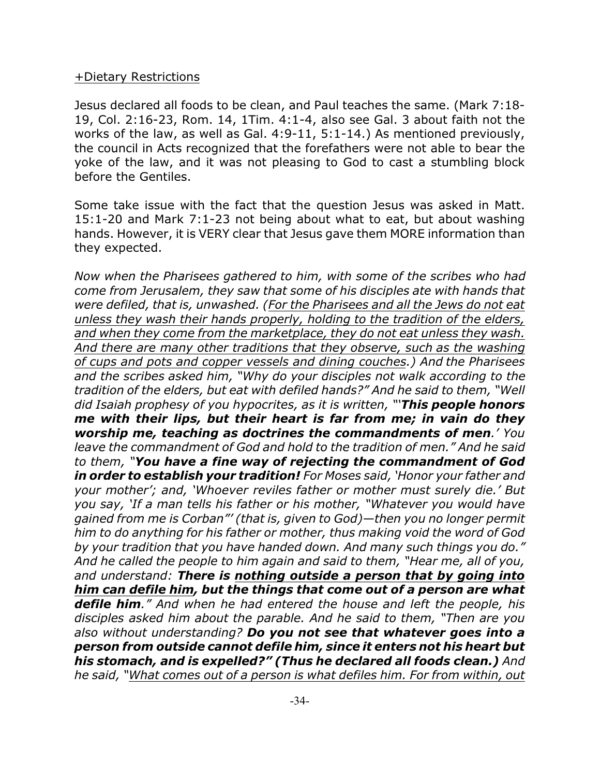#### +Dietary Restrictions

Jesus declared all foods to be clean, and Paul teaches the same. (Mark 7:18- 19, Col. 2:16-23, Rom. 14, 1Tim. 4:1-4, also see Gal. 3 about faith not the works of the law, as well as Gal. 4:9-11, 5:1-14.) As mentioned previously, the council in Acts recognized that the forefathers were not able to bear the yoke of the law, and it was not pleasing to God to cast a stumbling block before the Gentiles.

Some take issue with the fact that the question Jesus was asked in Matt. 15:1-20 and Mark 7:1-23 not being about what to eat, but about washing hands. However, it is VERY clear that Jesus gave them MORE information than they expected.

*Now when the Pharisees gathered to him, with some of the scribes who had come from Jerusalem, they saw that some of his disciples ate with hands that were defiled, that is, unwashed. (For the Pharisees and all the Jews do not eat unless they wash their hands properly, holding to the tradition of the elders, and when they come from the marketplace, they do not eat unless they wash. And there are many other traditions that they observe, such as the washing of cups and pots and copper vessels and dining couches.) And the Pharisees and the scribes asked him, "Why do your disciples not walk according to the tradition of the elders, but eat with defiled hands?" And he said to them, "Well did Isaiah prophesy of you hypocrites, as it is written, "'This people honors me with their lips, but their heart is far from me; in vain do they worship me, teaching as doctrines the commandments of men.' You leave the commandment of God and hold to the tradition of men." And he said to them, "You have a fine way of rejecting the commandment of God in order to establish your tradition! For Moses said, 'Honor your father and your mother'; and, 'Whoever reviles father or mother must surely die.' But you say, 'If a man tells his father or his mother, "Whatever you would have gained from me is Corban"' (that is, given to God)—then you no longer permit him to do anything for his father or mother, thus making void the word of God by your tradition that you have handed down. And many such things you do." And he called the people to him again and said to them, "Hear me, all of you, and understand: There is nothing outside a person that by going into him can defile him, but the things that come out of a person are what defile him." And when he had entered the house and left the people, his disciples asked him about the parable. And he said to them, "Then are you also without understanding? Do you not see that whatever goes into a person from outside cannot defile him, since it enters not his heart but his stomach, and is expelled?" (Thus he declared all foods clean.) And he said, "What comes out of a person is what defiles him. For from within, out*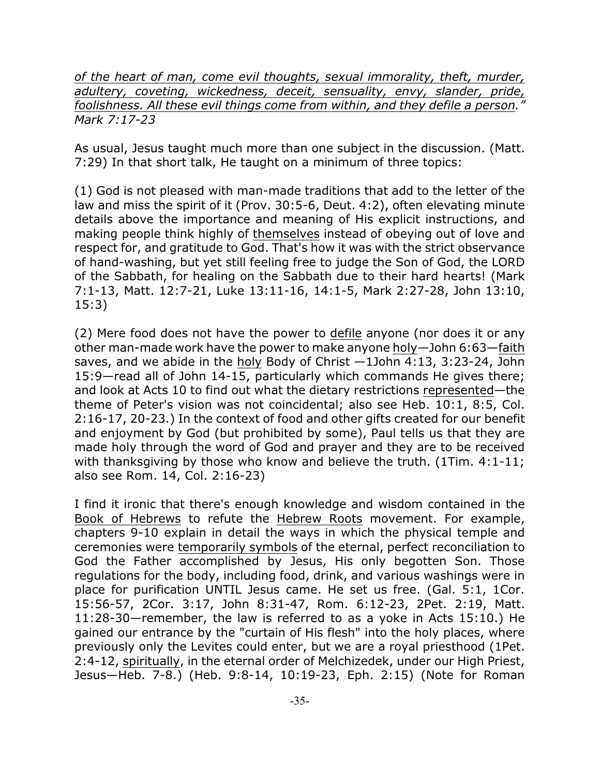*of the heart of man, come evil thoughts, sexual immorality, theft, murder, adultery, coveting, wickedness, deceit, sensuality, envy, slander, pride, foolishness. All these evil things come from within, and they defile a person." Mark 7:17-23*

As usual, Jesus taught much more than one subject in the discussion. (Matt. 7:29) In that short talk, He taught on a minimum of three topics:

(1) God is not pleased with man-made traditions that add to the letter of the law and miss the spirit of it (Prov. 30:5-6, Deut. 4:2), often elevating minute details above the importance and meaning of His explicit instructions, and making people think highly of themselves instead of obeying out of love and respect for, and gratitude to God. That's how it was with the strict observance of hand-washing, but yet still feeling free to judge the Son of God, the LORD of the Sabbath, for healing on the Sabbath due to their hard hearts! (Mark 7:1-13, Matt. 12:7-21, Luke 13:11-16, 14:1-5, Mark 2:27-28, John 13:10, 15:3)

(2) Mere food does not have the power to defile anyone (nor does it or any other man-made work have the power to make anyone holy—John 6:63—faith saves, and we abide in the holy Body of Christ —1John 4:13, 3:23-24, John 15:9—read all of John 14-15, particularly which commands He gives there; and look at Acts 10 to find out what the dietary restrictions represented—the theme of Peter's vision was not coincidental; also see Heb. 10:1, 8:5, Col. 2:16-17, 20-23.) In the context of food and other gifts created for our benefit and enjoyment by God (but prohibited by some), Paul tells us that they are made holy through the word of God and prayer and they are to be received with thanksgiving by those who know and believe the truth. (1Tim. 4:1-11; also see Rom. 14, Col. 2:16-23)

I find it ironic that there's enough knowledge and wisdom contained in the Book of Hebrews to refute the Hebrew Roots movement. For example, chapters 9-10 explain in detail the ways in which the physical temple and ceremonies were temporarily symbols of the eternal, perfect reconciliation to God the Father accomplished by Jesus, His only begotten Son. Those regulations for the body, including food, drink, and various washings were in place for purification UNTIL Jesus came. He set us free. (Gal. 5:1, 1Cor. 15:56-57, 2Cor. 3:17, John 8:31-47, Rom. 6:12-23, 2Pet. 2:19, Matt. 11:28-30—remember, the law is referred to as a yoke in Acts 15:10.) He gained our entrance by the "curtain of His flesh" into the holy places, where previously only the Levites could enter, but we are a royal priesthood (1Pet. 2:4-12, spiritually, in the eternal order of Melchizedek, under our High Priest, Jesus—Heb. 7-8.) (Heb. 9:8-14, 10:19-23, Eph. 2:15) (Note for Roman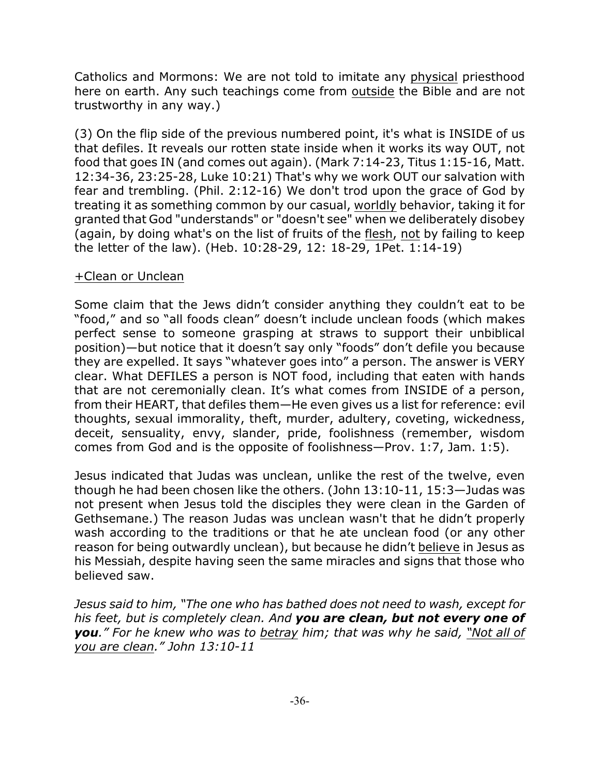Catholics and Mormons: We are not told to imitate any physical priesthood here on earth. Any such teachings come from outside the Bible and are not trustworthy in any way.)

(3) On the flip side of the previous numbered point, it's what is INSIDE of us that defiles. It reveals our rotten state inside when it works its way OUT, not food that goes IN (and comes out again). (Mark 7:14-23, Titus 1:15-16, Matt. 12:34-36, 23:25-28, Luke 10:21) That's why we work OUT our salvation with fear and trembling. (Phil. 2:12-16) We don't trod upon the grace of God by treating it as something common by our casual, worldly behavior, taking it for granted that God "understands" or "doesn't see" when we deliberately disobey (again, by doing what's on the list of fruits of the flesh, not by failing to keep the letter of the law). (Heb. 10:28-29, 12: 18-29, 1Pet. 1:14-19)

### +Clean or Unclean

Some claim that the Jews didn't consider anything they couldn't eat to be "food," and so "all foods clean" doesn't include unclean foods (which makes perfect sense to someone grasping at straws to support their unbiblical position)—but notice that it doesn't say only "foods" don't defile you because they are expelled. It says "whatever goes into" a person. The answer is VERY clear. What DEFILES a person is NOT food, including that eaten with hands that are not ceremonially clean. It's what comes from INSIDE of a person, from their HEART, that defiles them—He even gives us a list for reference: evil thoughts, sexual immorality, theft, murder, adultery, coveting, wickedness, deceit, sensuality, envy, slander, pride, foolishness (remember, wisdom comes from God and is the opposite of foolishness—Prov. 1:7, Jam. 1:5).

Jesus indicated that Judas was unclean, unlike the rest of the twelve, even though he had been chosen like the others. (John 13:10-11, 15:3—Judas was not present when Jesus told the disciples they were clean in the Garden of Gethsemane.) The reason Judas was unclean wasn't that he didn't properly wash according to the traditions or that he ate unclean food (or any other reason for being outwardly unclean), but because he didn't believe in Jesus as his Messiah, despite having seen the same miracles and signs that those who believed saw.

*Jesus said to him, "The one who has bathed does not need to wash, except for his feet, but is completely clean. And you are clean, but not every one of you." For he knew who was to betray him; that was why he said, "Not all of you are clean." John 13:10-11*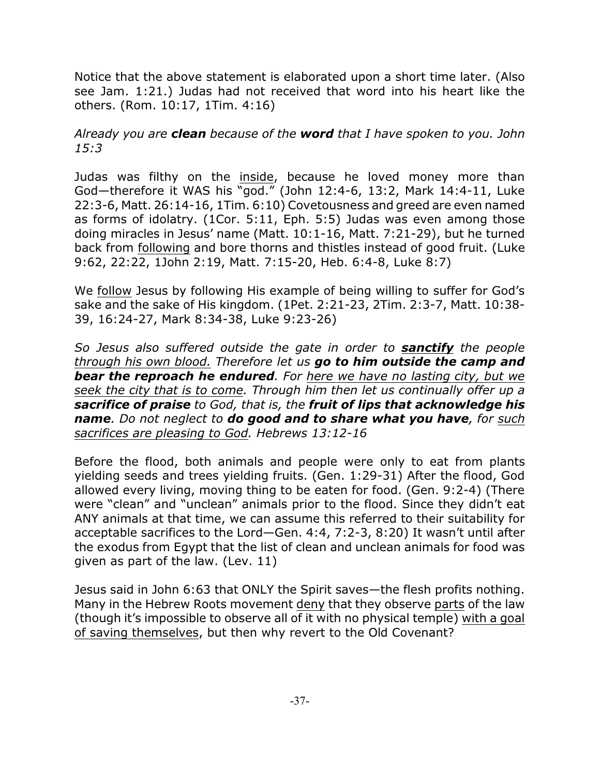Notice that the above statement is elaborated upon a short time later. (Also see Jam. 1:21.) Judas had not received that word into his heart like the others. (Rom. 10:17, 1Tim. 4:16)

*Already you are clean because of the word that I have spoken to you. John 15:3*

Judas was filthy on the inside, because he loved money more than God—therefore it WAS his "god." (John 12:4-6, 13:2, Mark 14:4-11, Luke 22:3-6, Matt. 26:14-16, 1Tim. 6:10) Covetousness and greed are even named as forms of idolatry. (1Cor. 5:11, Eph. 5:5) Judas was even among those doing miracles in Jesus' name (Matt. 10:1-16, Matt. 7:21-29), but he turned back from following and bore thorns and thistles instead of good fruit. (Luke 9:62, 22:22, 1John 2:19, Matt. 7:15-20, Heb. 6:4-8, Luke 8:7)

We follow Jesus by following His example of being willing to suffer for God's sake and the sake of His kingdom. (1Pet. 2:21-23, 2Tim. 2:3-7, Matt. 10:38- 39, 16:24-27, Mark 8:34-38, Luke 9:23-26)

*So Jesus also suffered outside the gate in order to sanctify the people through his own blood. Therefore let us go to him outside the camp and bear the reproach he endured. For here we have no lasting city, but we seek the city that is to come. Through him then let us continually offer up a sacrifice of praise to God, that is, the fruit of lips that acknowledge his name. Do not neglect to do good and to share what you have, for such sacrifices are pleasing to God. Hebrews 13:12-16*

Before the flood, both animals and people were only to eat from plants yielding seeds and trees yielding fruits. (Gen. 1:29-31) After the flood, God allowed every living, moving thing to be eaten for food. (Gen. 9:2-4) (There were "clean" and "unclean" animals prior to the flood. Since they didn't eat ANY animals at that time, we can assume this referred to their suitability for acceptable sacrifices to the Lord—Gen. 4:4, 7:2-3, 8:20) It wasn't until after the exodus from Egypt that the list of clean and unclean animals for food was given as part of the law. (Lev. 11)

Jesus said in John 6:63 that ONLY the Spirit saves—the flesh profits nothing. Many in the Hebrew Roots movement deny that they observe parts of the law (though it's impossible to observe all of it with no physical temple) with a goal of saving themselves, but then why revert to the Old Covenant?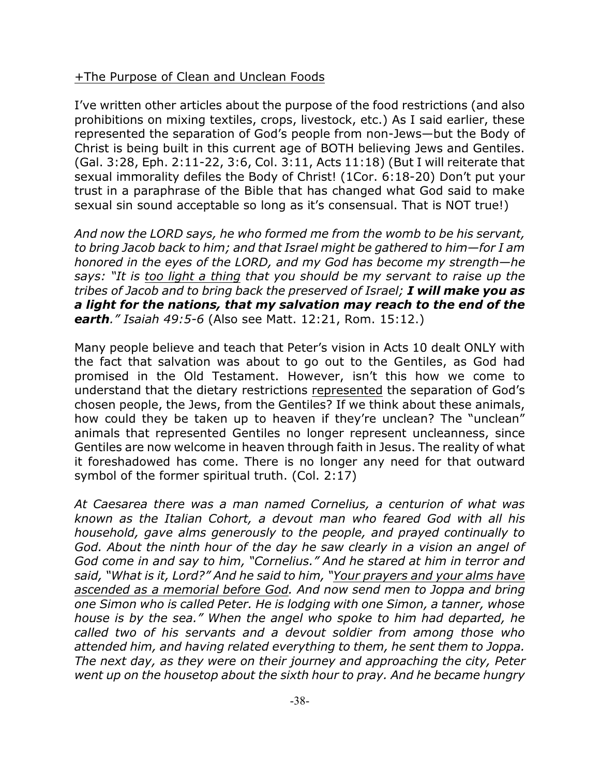# +The Purpose of Clean and Unclean Foods

I've written other articles about the purpose of the food restrictions (and also prohibitions on mixing textiles, crops, livestock, etc.) As I said earlier, these represented the separation of God's people from non-Jews—but the Body of Christ is being built in this current age of BOTH believing Jews and Gentiles. (Gal. 3:28, Eph. 2:11-22, 3:6, Col. 3:11, Acts 11:18) (But I will reiterate that sexual immorality defiles the Body of Christ! (1Cor. 6:18-20) Don't put your trust in a paraphrase of the Bible that has changed what God said to make sexual sin sound acceptable so long as it's consensual. That is NOT true!)

*And now the LORD says, he who formed me from the womb to be his servant, to bring Jacob back to him; and that Israel might be gathered to him—for I am honored in the eyes of the LORD, and my God has become my strength—he says: "It is too light a thing that you should be my servant to raise up the tribes of Jacob and to bring back the preserved of Israel; I will make you as a light for the nations, that my salvation may reach to the end of the earth." Isaiah 49:5-6* (Also see Matt. 12:21, Rom. 15:12.)

Many people believe and teach that Peter's vision in Acts 10 dealt ONLY with the fact that salvation was about to go out to the Gentiles, as God had promised in the Old Testament. However, isn't this how we come to understand that the dietary restrictions represented the separation of God's chosen people, the Jews, from the Gentiles? If we think about these animals, how could they be taken up to heaven if they're unclean? The "unclean" animals that represented Gentiles no longer represent uncleanness, since Gentiles are now welcome in heaven through faith in Jesus. The reality of what it foreshadowed has come. There is no longer any need for that outward symbol of the former spiritual truth. (Col. 2:17)

*At Caesarea there was a man named Cornelius, a centurion of what was known as the Italian Cohort, a devout man who feared God with all his household, gave alms generously to the people, and prayed continually to God. About the ninth hour of the day he saw clearly in a vision an angel of God come in and say to him, "Cornelius." And he stared at him in terror and said, "What is it, Lord?" And he said to him, "Your prayers and your alms have ascended as a memorial before God. And now send men to Joppa and bring one Simon who is called Peter. He is lodging with one Simon, a tanner, whose house is by the sea." When the angel who spoke to him had departed, he called two of his servants and a devout soldier from among those who attended him, and having related everything to them, he sent them to Joppa. The next day, as they were on their journey and approaching the city, Peter went up on the housetop about the sixth hour to pray. And he became hungry*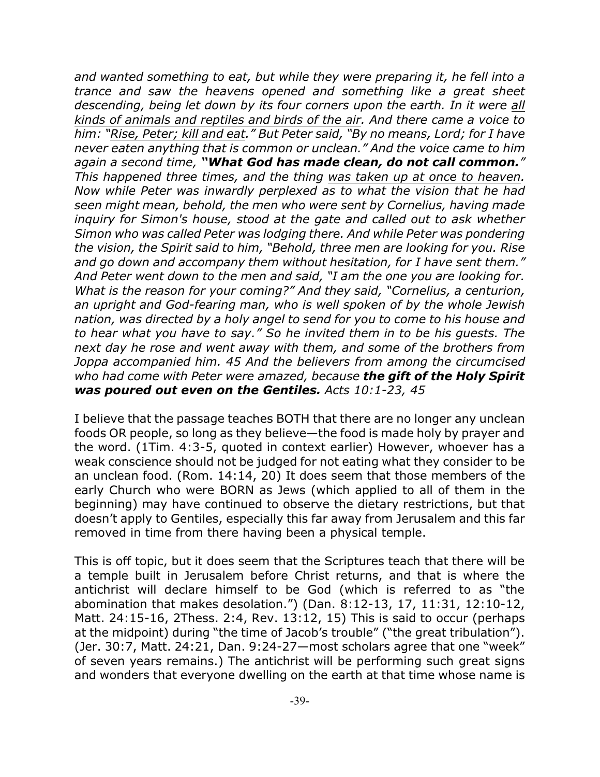*and wanted something to eat, but while they were preparing it, he fell into a trance and saw the heavens opened and something like a great sheet descending, being let down by its four corners upon the earth. In it were all kinds of animals and reptiles and birds of the air. And there came a voice to him: "Rise, Peter; kill and eat." But Peter said, "By no means, Lord; for I have never eaten anything that is common or unclean." And the voice came to him again a second time, "What God has made clean, do not call common." This happened three times, and the thing was taken up at once to heaven. Now while Peter was inwardly perplexed as to what the vision that he had seen might mean, behold, the men who were sent by Cornelius, having made inquiry for Simon's house, stood at the gate and called out to ask whether Simon who was called Peter was lodging there. And while Peter was pondering the vision, the Spirit said to him, "Behold, three men are looking for you. Rise and go down and accompany them without hesitation, for I have sent them." And Peter went down to the men and said, "I am the one you are looking for. What is the reason for your coming?" And they said, "Cornelius, a centurion, an upright and God-fearing man, who is well spoken of by the whole Jewish nation, was directed by a holy angel to send for you to come to his house and to hear what you have to say." So he invited them in to be his guests. The next day he rose and went away with them, and some of the brothers from Joppa accompanied him. 45 And the believers from among the circumcised who had come with Peter were amazed, because the gift of the Holy Spirit was poured out even on the Gentiles. Acts 10:1-23, 45*

I believe that the passage teaches BOTH that there are no longer any unclean foods OR people, so long as they believe—the food is made holy by prayer and the word. (1Tim. 4:3-5, quoted in context earlier) However, whoever has a weak conscience should not be judged for not eating what they consider to be an unclean food. (Rom. 14:14, 20) It does seem that those members of the early Church who were BORN as Jews (which applied to all of them in the beginning) may have continued to observe the dietary restrictions, but that doesn't apply to Gentiles, especially this far away from Jerusalem and this far removed in time from there having been a physical temple.

This is off topic, but it does seem that the Scriptures teach that there will be a temple built in Jerusalem before Christ returns, and that is where the antichrist will declare himself to be God (which is referred to as "the abomination that makes desolation.") (Dan. 8:12-13, 17, 11:31, 12:10-12, Matt. 24:15-16, 2Thess. 2:4, Rev. 13:12, 15) This is said to occur (perhaps at the midpoint) during "the time of Jacob's trouble" ("the great tribulation"). (Jer. 30:7, Matt. 24:21, Dan. 9:24-27—most scholars agree that one "week" of seven years remains.) The antichrist will be performing such great signs and wonders that everyone dwelling on the earth at that time whose name is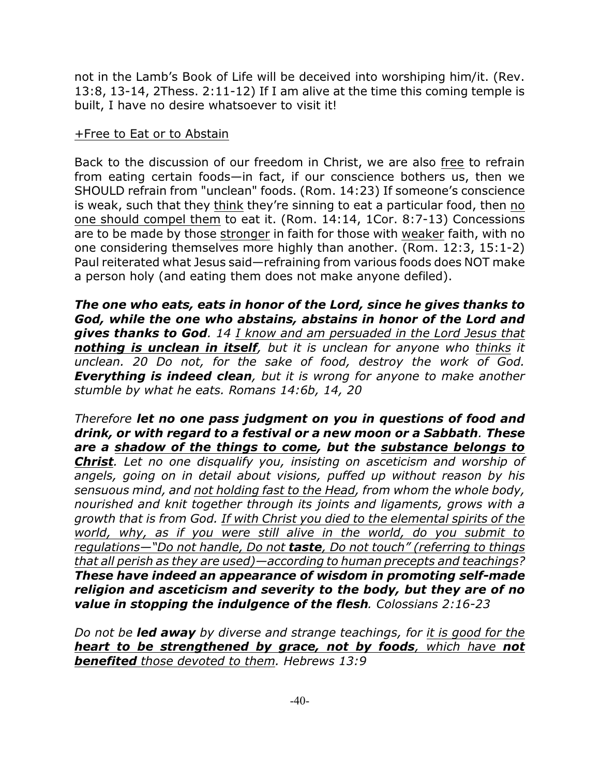not in the Lamb's Book of Life will be deceived into worshiping him/it. (Rev. 13:8, 13-14, 2Thess. 2:11-12) If I am alive at the time this coming temple is built, I have no desire whatsoever to visit it!

# +Free to Eat or to Abstain

Back to the discussion of our freedom in Christ, we are also free to refrain from eating certain foods—in fact, if our conscience bothers us, then we SHOULD refrain from "unclean" foods. (Rom. 14:23) If someone's conscience is weak, such that they think they're sinning to eat a particular food, then no one should compel them to eat it. (Rom. 14:14, 1Cor. 8:7-13) Concessions are to be made by those stronger in faith for those with weaker faith, with no one considering themselves more highly than another. (Rom. 12:3, 15:1-2) Paul reiterated what Jesus said—refraining from various foods does NOT make a person holy (and eating them does not make anyone defiled).

*The one who eats, eats in honor of the Lord, since he gives thanks to God, while the one who abstains, abstains in honor of the Lord and gives thanks to God. 14 I know and am persuaded in the Lord Jesus that nothing is unclean in itself, but it is unclean for anyone who thinks it unclean. 20 Do not, for the sake of food, destroy the work of God. Everything is indeed clean, but it is wrong for anyone to make another stumble by what he eats. Romans 14:6b, 14, 20*

*Therefore let no one pass judgment on you in questions of food and drink, or with regard to a festival or a new moon or a Sabbath. These are a shadow of the things to come, but the substance belongs to Christ. Let no one disqualify you, insisting on asceticism and worship of angels, going on in detail about visions, puffed up without reason by his sensuous mind, and not holding fast to the Head, from whom the whole body, nourished and knit together through its joints and ligaments, grows with a growth that is from God. If with Christ you died to the elemental spirits of the world, why, as if you were still alive in the world, do you submit to regulations—"Do not handle, Do not taste, Do not touch" (referring to things that all perish as they are used)—according to human precepts and teachings? These have indeed an appearance of wisdom in promoting self-made religion and asceticism and severity to the body, but they are of no value in stopping the indulgence of the flesh. Colossians 2:16-23*

*Do not be led away by diverse and strange teachings, for it is good for the heart to be strengthened by grace, not by foods, which have not benefited those devoted to them. Hebrews 13:9*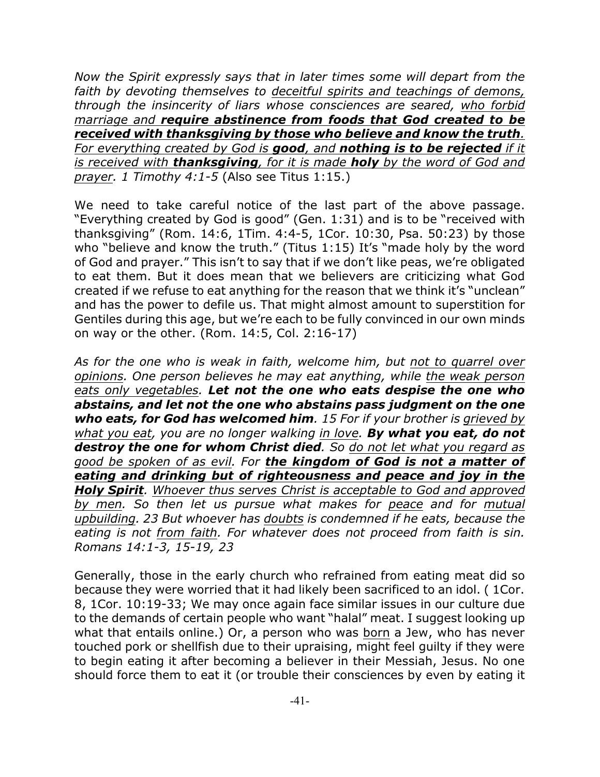*Now the Spirit expressly says that in later times some will depart from the faith by devoting themselves to deceitful spirits and teachings of demons, through the insincerity of liars whose consciences are seared, who forbid marriage and require abstinence from foods that God created to be received with thanksgiving by those who believe and know the truth. For everything created by God is good, and nothing is to be rejected if it is received with thanksgiving, for it is made holy by the word of God and prayer. 1 Timothy 4:1-5* (Also see Titus 1:15.)

We need to take careful notice of the last part of the above passage. "Everything created by God is good" (Gen. 1:31) and is to be "received with thanksgiving" (Rom. 14:6, 1Tim. 4:4-5, 1Cor. 10:30, Psa. 50:23) by those who "believe and know the truth." (Titus 1:15) It's "made holy by the word of God and prayer." This isn't to say that if we don't like peas, we're obligated to eat them. But it does mean that we believers are criticizing what God created if we refuse to eat anything for the reason that we think it's "unclean" and has the power to defile us. That might almost amount to superstition for Gentiles during this age, but we're each to be fully convinced in our own minds on way or the other. (Rom. 14:5, Col. 2:16-17)

*As for the one who is weak in faith, welcome him, but not to quarrel over opinions. One person believes he may eat anything, while the weak person eats only vegetables. Let not the one who eats despise the one who abstains, and let not the one who abstains pass judgment on the one who eats, for God has welcomed him. 15 For if your brother is grieved by what you eat, you are no longer walking in love. By what you eat, do not destroy the one for whom Christ died. So do not let what you regard as good be spoken of as evil. For the kingdom of God is not a matter of eating and drinking but of righteousness and peace and joy in the Holy Spirit. Whoever thus serves Christ is acceptable to God and approved by men. So then let us pursue what makes for peace and for mutual upbuilding. 23 But whoever has doubts is condemned if he eats, because the eating is not from faith. For whatever does not proceed from faith is sin. Romans 14:1-3, 15-19, 23*

Generally, those in the early church who refrained from eating meat did so because they were worried that it had likely been sacrificed to an idol. ( 1Cor. 8, 1Cor. 10:19-33; We may once again face similar issues in our culture due to the demands of certain people who want "halal" meat. I suggest looking up what that entails online.) Or, a person who was born a Jew, who has never touched pork or shellfish due to their upraising, might feel guilty if they were to begin eating it after becoming a believer in their Messiah, Jesus. No one should force them to eat it (or trouble their consciences by even by eating it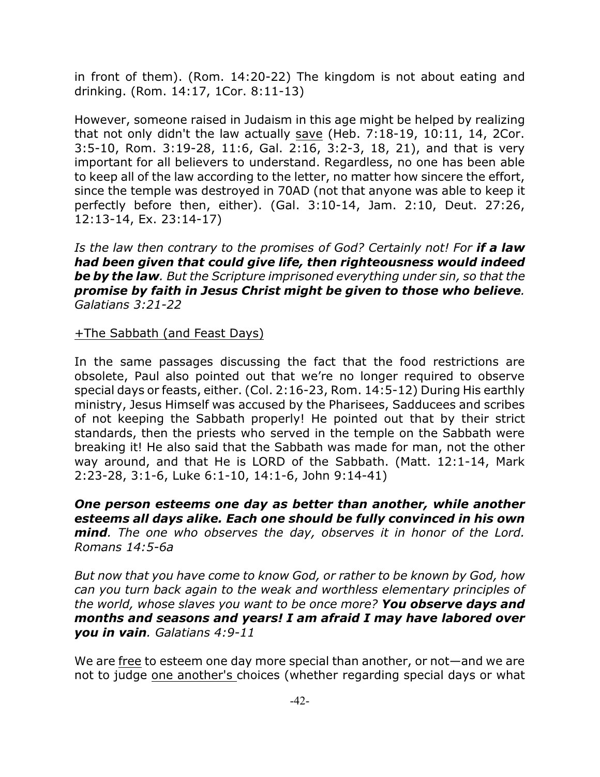in front of them). (Rom. 14:20-22) The kingdom is not about eating and drinking. (Rom. 14:17, 1Cor. 8:11-13)

However, someone raised in Judaism in this age might be helped by realizing that not only didn't the law actually save (Heb. 7:18-19, 10:11, 14, 2Cor. 3:5-10, Rom. 3:19-28, 11:6, Gal. 2:16, 3:2-3, 18, 21), and that is very important for all believers to understand. Regardless, no one has been able to keep all of the law according to the letter, no matter how sincere the effort, since the temple was destroyed in 70AD (not that anyone was able to keep it perfectly before then, either). (Gal. 3:10-14, Jam. 2:10, Deut. 27:26, 12:13-14, Ex. 23:14-17)

*Is the law then contrary to the promises of God? Certainly not! For if a law had been given that could give life, then righteousness would indeed be by the law. But the Scripture imprisoned everything under sin, so that the promise by faith in Jesus Christ might be given to those who believe. Galatians 3:21-22*

## +The Sabbath (and Feast Days)

In the same passages discussing the fact that the food restrictions are obsolete, Paul also pointed out that we're no longer required to observe special days or feasts, either. (Col. 2:16-23, Rom. 14:5-12) During His earthly ministry, Jesus Himself was accused by the Pharisees, Sadducees and scribes of not keeping the Sabbath properly! He pointed out that by their strict standards, then the priests who served in the temple on the Sabbath were breaking it! He also said that the Sabbath was made for man, not the other way around, and that He is LORD of the Sabbath. (Matt. 12:1-14, Mark 2:23-28, 3:1-6, Luke 6:1-10, 14:1-6, John 9:14-41)

*One person esteems one day as better than another, while another esteems all days alike. Each one should be fully convinced in his own mind. The one who observes the day, observes it in honor of the Lord. Romans 14:5-6a*

*But now that you have come to know God, or rather to be known by God, how can you turn back again to the weak and worthless elementary principles of the world, whose slaves you want to be once more? You observe days and months and seasons and years! I am afraid I may have labored over you in vain. Galatians 4:9-11*

We are free to esteem one day more special than another, or not—and we are not to judge one another's choices (whether regarding special days or what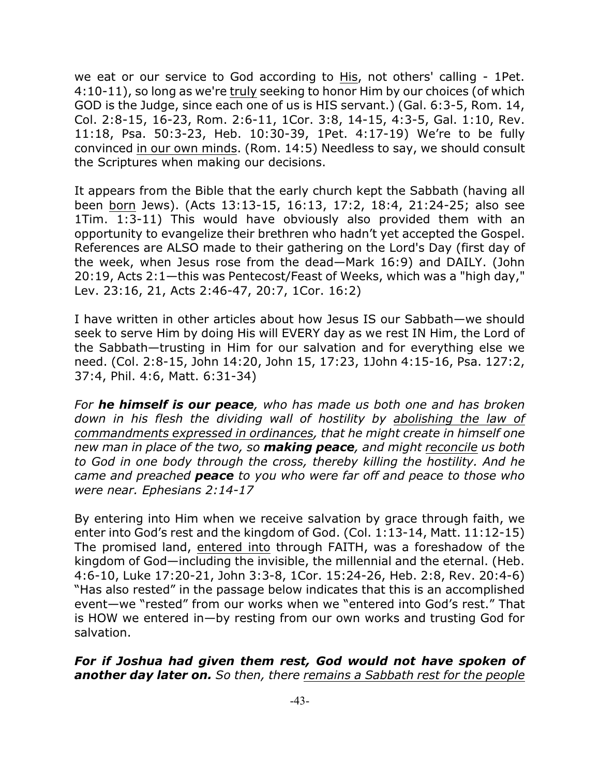we eat or our service to God according to His, not others' calling - 1Pet. 4:10-11), so long as we're truly seeking to honor Him by our choices (of which GOD is the Judge, since each one of us is HIS servant.) (Gal. 6:3-5, Rom. 14, Col. 2:8-15, 16-23, Rom. 2:6-11, 1Cor. 3:8, 14-15, 4:3-5, Gal. 1:10, Rev. 11:18, Psa. 50:3-23, Heb. 10:30-39, 1Pet. 4:17-19) We're to be fully convinced in our own minds. (Rom. 14:5) Needless to say, we should consult the Scriptures when making our decisions.

It appears from the Bible that the early church kept the Sabbath (having all been born Jews). (Acts 13:13-15, 16:13, 17:2, 18:4, 21:24-25; also see 1Tim. 1:3-11) This would have obviously also provided them with an opportunity to evangelize their brethren who hadn't yet accepted the Gospel. References are ALSO made to their gathering on the Lord's Day (first day of the week, when Jesus rose from the dead—Mark 16:9) and DAILY. (John 20:19, Acts 2:1—this was Pentecost/Feast of Weeks, which was a "high day," Lev. 23:16, 21, Acts 2:46-47, 20:7, 1Cor. 16:2)

I have written in other articles about how Jesus IS our Sabbath—we should seek to serve Him by doing His will EVERY day as we rest IN Him, the Lord of the Sabbath—trusting in Him for our salvation and for everything else we need. (Col. 2:8-15, John 14:20, John 15, 17:23, 1John 4:15-16, Psa. 127:2, 37:4, Phil. 4:6, Matt. 6:31-34)

*For he himself is our peace, who has made us both one and has broken down in his flesh the dividing wall of hostility by abolishing the law of commandments expressed in ordinances, that he might create in himself one new man in place of the two, so making peace, and might reconcile us both to God in one body through the cross, thereby killing the hostility. And he came and preached peace to you who were far off and peace to those who were near. Ephesians 2:14-17*

By entering into Him when we receive salvation by grace through faith, we enter into God's rest and the kingdom of God. (Col. 1:13-14, Matt. 11:12-15) The promised land, entered into through FAITH, was a foreshadow of the kingdom of God—including the invisible, the millennial and the eternal. (Heb. 4:6-10, Luke 17:20-21, John 3:3-8, 1Cor. 15:24-26, Heb. 2:8, Rev. 20:4-6) "Has also rested" in the passage below indicates that this is an accomplished event—we "rested" from our works when we "entered into God's rest." That is HOW we entered in—by resting from our own works and trusting God for salvation.

*For if Joshua had given them rest, God would not have spoken of another day later on. So then, there remains a Sabbath rest for the people*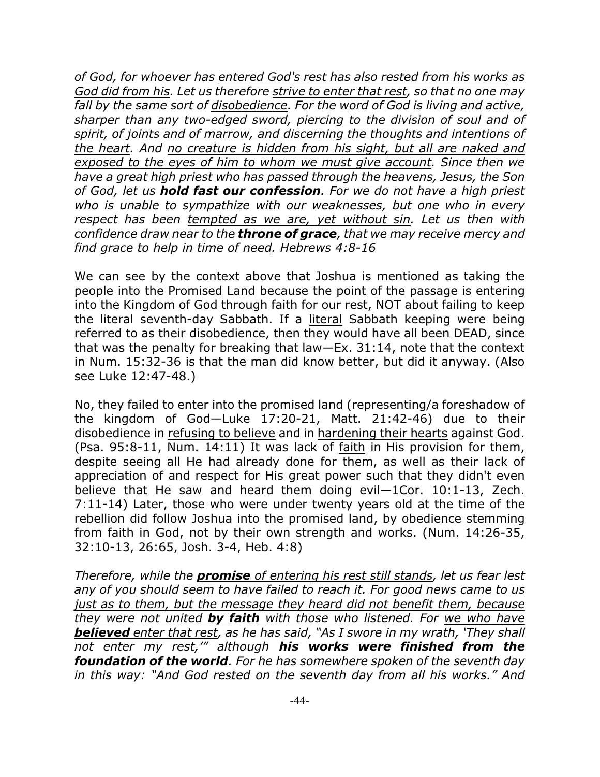*of God, for whoever has entered God's rest has also rested from his works as God did from his. Let us therefore strive to enter that rest, so that no one may fall by the same sort of disobedience. For the word of God is living and active, sharper than any two-edged sword, piercing to the division of soul and of spirit, of joints and of marrow, and discerning the thoughts and intentions of the heart. And no creature is hidden from his sight, but all are naked and exposed to the eyes of him to whom we must give account. Since then we have a great high priest who has passed through the heavens, Jesus, the Son of God, let us hold fast our confession. For we do not have a high priest who is unable to sympathize with our weaknesses, but one who in every respect has been tempted as we are, yet without sin. Let us then with confidence draw near to the throne of grace, that we may receive mercy and find grace to help in time of need. Hebrews 4:8-16*

We can see by the context above that Joshua is mentioned as taking the people into the Promised Land because the point of the passage is entering into the Kingdom of God through faith for our rest, NOT about failing to keep the literal seventh-day Sabbath. If a literal Sabbath keeping were being referred to as their disobedience, then they would have all been DEAD, since that was the penalty for breaking that law—Ex. 31:14, note that the context in Num. 15:32-36 is that the man did know better, but did it anyway. (Also see Luke 12:47-48.)

No, they failed to enter into the promised land (representing/a foreshadow of the kingdom of God—Luke 17:20-21, Matt. 21:42-46) due to their disobedience in refusing to believe and in hardening their hearts against God. (Psa. 95:8-11, Num. 14:11) It was lack of faith in His provision for them, despite seeing all He had already done for them, as well as their lack of appreciation of and respect for His great power such that they didn't even believe that He saw and heard them doing evil—1Cor. 10:1-13, Zech. 7:11-14) Later, those who were under twenty years old at the time of the rebellion did follow Joshua into the promised land, by obedience stemming from faith in God, not by their own strength and works. (Num. 14:26-35, 32:10-13, 26:65, Josh. 3-4, Heb. 4:8)

*Therefore, while the promise of entering his rest still stands, let us fear lest any of you should seem to have failed to reach it. For good news came to us just as to them, but the message they heard did not benefit them, because they were not united by faith with those who listened. For we who have believed enter that rest, as he has said, "As I swore in my wrath, 'They shall not enter my rest,'" although his works were finished from the foundation of the world. For he has somewhere spoken of the seventh day in this way: "And God rested on the seventh day from all his works." And*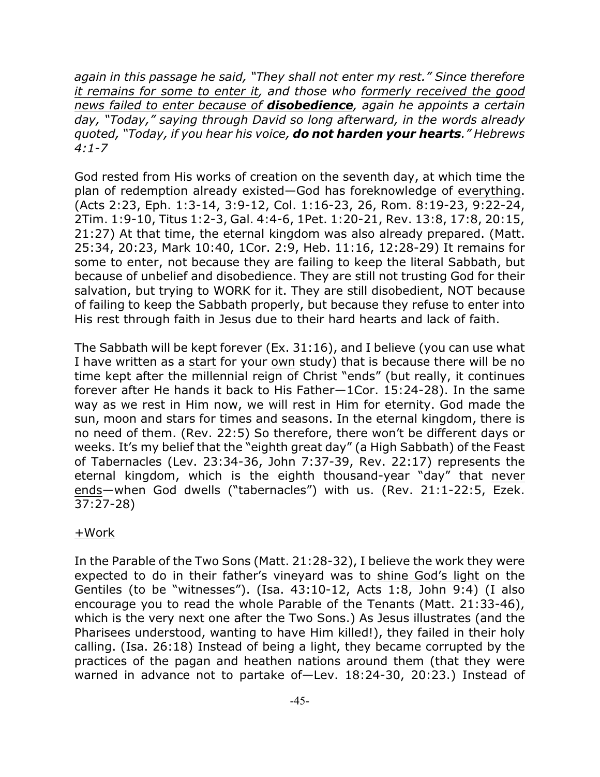*again in this passage he said, "They shall not enter my rest." Since therefore it remains for some to enter it, and those who formerly received the good news failed to enter because of disobedience, again he appoints a certain day, "Today," saying through David so long afterward, in the words already quoted, "Today, if you hear his voice, do not harden your hearts." Hebrews 4:1-7*

God rested from His works of creation on the seventh day, at which time the plan of redemption already existed—God has foreknowledge of everything. (Acts 2:23, Eph. 1:3-14, 3:9-12, Col. 1:16-23, 26, Rom. 8:19-23, 9:22-24, 2Tim. 1:9-10, Titus 1:2-3, Gal. 4:4-6, 1Pet. 1:20-21, Rev. 13:8, 17:8, 20:15, 21:27) At that time, the eternal kingdom was also already prepared. (Matt. 25:34, 20:23, Mark 10:40, 1Cor. 2:9, Heb. 11:16, 12:28-29) It remains for some to enter, not because they are failing to keep the literal Sabbath, but because of unbelief and disobedience. They are still not trusting God for their salvation, but trying to WORK for it. They are still disobedient, NOT because of failing to keep the Sabbath properly, but because they refuse to enter into His rest through faith in Jesus due to their hard hearts and lack of faith.

The Sabbath will be kept forever (Ex. 31:16), and I believe (you can use what I have written as a start for your own study) that is because there will be no time kept after the millennial reign of Christ "ends" (but really, it continues forever after He hands it back to His Father—1Cor. 15:24-28). In the same way as we rest in Him now, we will rest in Him for eternity. God made the sun, moon and stars for times and seasons. In the eternal kingdom, there is no need of them. (Rev. 22:5) So therefore, there won't be different days or weeks. It's my belief that the "eighth great day" (a High Sabbath) of the Feast of Tabernacles (Lev. 23:34-36, John 7:37-39, Rev. 22:17) represents the eternal kingdom, which is the eighth thousand-year "day" that never ends—when God dwells ("tabernacles") with us. (Rev. 21:1-22:5, Ezek. 37:27-28)

## +Work

In the Parable of the Two Sons (Matt. 21:28-32), I believe the work they were expected to do in their father's vineyard was to shine God's light on the Gentiles (to be "witnesses"). (Isa. 43:10-12, Acts 1:8, John 9:4) (I also encourage you to read the whole Parable of the Tenants (Matt. 21:33-46), which is the very next one after the Two Sons.) As Jesus illustrates (and the Pharisees understood, wanting to have Him killed!), they failed in their holy calling. (Isa. 26:18) Instead of being a light, they became corrupted by the practices of the pagan and heathen nations around them (that they were warned in advance not to partake of—Lev. 18:24-30, 20:23.) Instead of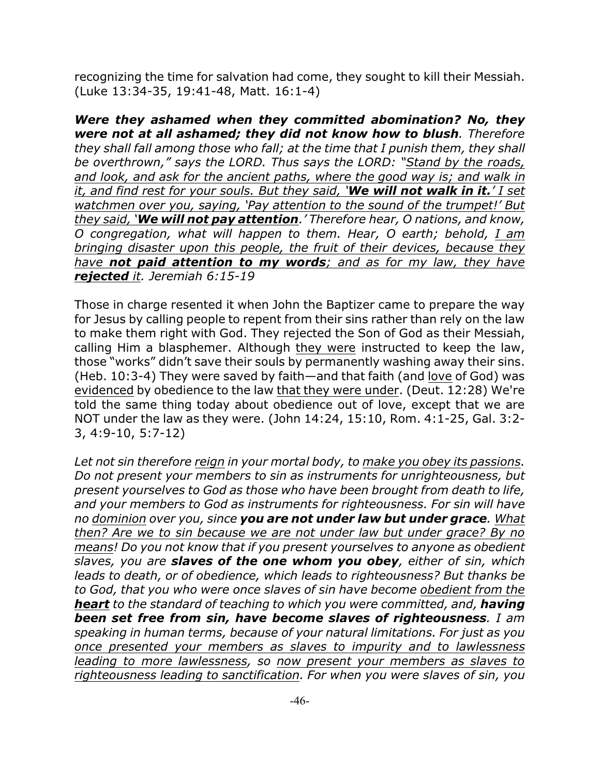recognizing the time for salvation had come, they sought to kill their Messiah. (Luke 13:34-35, 19:41-48, Matt. 16:1-4)

*Were they ashamed when they committed abomination? No, they were not at all ashamed; they did not know how to blush. Therefore they shall fall among those who fall; at the time that I punish them, they shall be overthrown," says the LORD. Thus says the LORD: "Stand by the roads, and look, and ask for the ancient paths, where the good way is; and walk in it, and find rest for your souls. But they said, 'We will not walk in it.' I set watchmen over you, saying, 'Pay attention to the sound of the trumpet!' But they said, 'We will not pay attention.' Therefore hear, O nations, and know, O congregation, what will happen to them. Hear, O earth; behold, I am bringing disaster upon this people, the fruit of their devices, because they have not paid attention to my words; and as for my law, they have rejected it. Jeremiah 6:15-19*

Those in charge resented it when John the Baptizer came to prepare the way for Jesus by calling people to repent from their sins rather than rely on the law to make them right with God. They rejected the Son of God as their Messiah, calling Him a blasphemer. Although they were instructed to keep the law, those "works" didn't save their souls by permanently washing away their sins. (Heb. 10:3-4) They were saved by faith—and that faith (and love of God) was evidenced by obedience to the law that they were under. (Deut. 12:28) We're told the same thing today about obedience out of love, except that we are NOT under the law as they were. (John 14:24, 15:10, Rom. 4:1-25, Gal. 3:2- 3, 4:9-10, 5:7-12)

*Let not sin therefore reign in your mortal body, to make you obey its passions. Do not present your members to sin as instruments for unrighteousness, but present yourselves to God as those who have been brought from death to life, and your members to God as instruments for righteousness. For sin will have no dominion over you, since you are not under law but under grace. What then? Are we to sin because we are not under law but under grace? By no means! Do you not know that if you present yourselves to anyone as obedient slaves, you are slaves of the one whom you obey, either of sin, which leads to death, or of obedience, which leads to righteousness? But thanks be to God, that you who were once slaves of sin have become obedient from the heart to the standard of teaching to which you were committed, and, having been set free from sin, have become slaves of righteousness. I am speaking in human terms, because of your natural limitations. For just as you once presented your members as slaves to impurity and to lawlessness leading to more lawlessness, so now present your members as slaves to righteousness leading to sanctification. For when you were slaves of sin, you*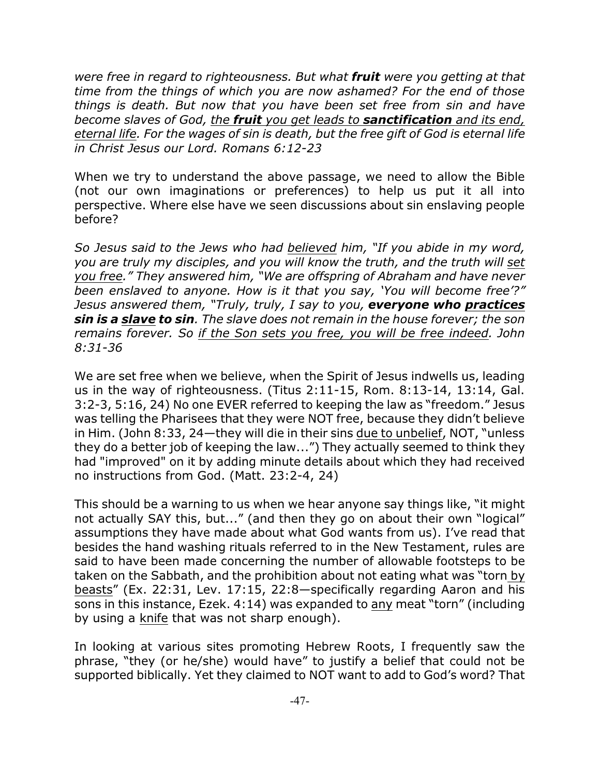*were free in regard to righteousness. But what fruit were you getting at that time from the things of which you are now ashamed? For the end of those things is death. But now that you have been set free from sin and have become slaves of God, the fruit you get leads to sanctification and its end, eternal life. For the wages of sin is death, but the free gift of God is eternal life in Christ Jesus our Lord. Romans 6:12-23*

When we try to understand the above passage, we need to allow the Bible (not our own imaginations or preferences) to help us put it all into perspective. Where else have we seen discussions about sin enslaving people before?

*So Jesus said to the Jews who had believed him, "If you abide in my word, you are truly my disciples, and you will know the truth, and the truth will set you free." They answered him, "We are offspring of Abraham and have never been enslaved to anyone. How is it that you say, 'You will become free'?" Jesus answered them, "Truly, truly, I say to you, everyone who practices sin is a slave to sin. The slave does not remain in the house forever; the son remains forever. So if the Son sets you free, you will be free indeed. John 8:31-36*

We are set free when we believe, when the Spirit of Jesus indwells us, leading us in the way of righteousness. (Titus 2:11-15, Rom. 8:13-14, 13:14, Gal. 3:2-3, 5:16, 24) No one EVER referred to keeping the law as "freedom." Jesus was telling the Pharisees that they were NOT free, because they didn't believe in Him. (John 8:33, 24—they will die in their sins due to unbelief, NOT, "unless they do a better job of keeping the law...") They actually seemed to think they had "improved" on it by adding minute details about which they had received no instructions from God. (Matt. 23:2-4, 24)

This should be a warning to us when we hear anyone say things like, "it might not actually SAY this, but..." (and then they go on about their own "logical" assumptions they have made about what God wants from us). I've read that besides the hand washing rituals referred to in the New Testament, rules are said to have been made concerning the number of allowable footsteps to be taken on the Sabbath, and the prohibition about not eating what was "torn by beasts" (Ex. 22:31, Lev. 17:15, 22:8—specifically regarding Aaron and his sons in this instance, Ezek. 4:14) was expanded to any meat "torn" (including by using a knife that was not sharp enough).

In looking at various sites promoting Hebrew Roots, I frequently saw the phrase, "they (or he/she) would have" to justify a belief that could not be supported biblically. Yet they claimed to NOT want to add to God's word? That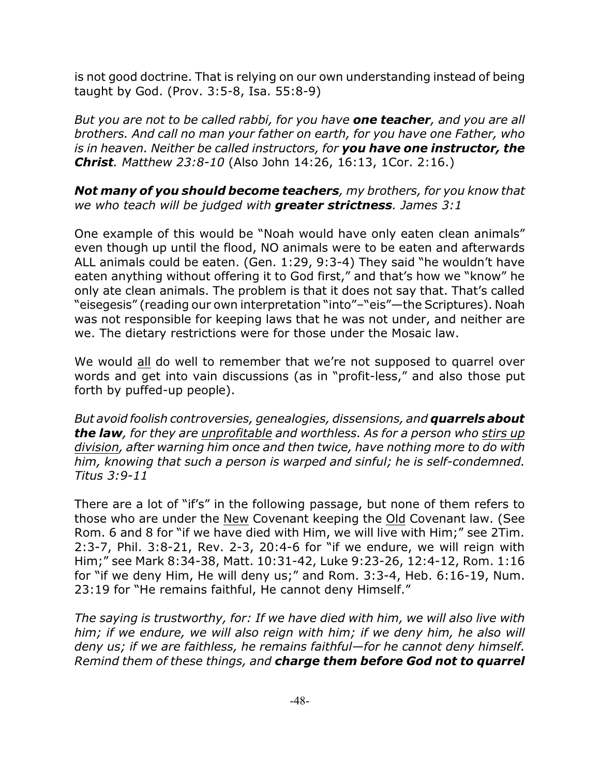is not good doctrine. That is relying on our own understanding instead of being taught by God. (Prov. 3:5-8, Isa. 55:8-9)

*But you are not to be called rabbi, for you have one teacher, and you are all brothers. And call no man your father on earth, for you have one Father, who is in heaven. Neither be called instructors, for you have one instructor, the Christ. Matthew 23:8-10* (Also John 14:26, 16:13, 1Cor. 2:16.)

*Not many of you should become teachers, my brothers, for you know that we who teach will be judged with greater strictness. James 3:1*

One example of this would be "Noah would have only eaten clean animals" even though up until the flood, NO animals were to be eaten and afterwards ALL animals could be eaten. (Gen. 1:29, 9:3-4) They said "he wouldn't have eaten anything without offering it to God first," and that's how we "know" he only ate clean animals. The problem is that it does not say that. That's called "eisegesis" (reading our own interpretation "into"–"eis"—the Scriptures). Noah was not responsible for keeping laws that he was not under, and neither are we. The dietary restrictions were for those under the Mosaic law.

We would all do well to remember that we're not supposed to quarrel over words and get into vain discussions (as in "profit-less," and also those put forth by puffed-up people).

*But avoid foolish controversies, genealogies, dissensions, and quarrels about the law, for they are unprofitable and worthless. As for a person who stirs up division, after warning him once and then twice, have nothing more to do with him, knowing that such a person is warped and sinful; he is self-condemned. Titus 3:9-11*

There are a lot of "if's" in the following passage, but none of them refers to those who are under the New Covenant keeping the Old Covenant law. (See Rom. 6 and 8 for "if we have died with Him, we will live with Him;" see 2Tim. 2:3-7, Phil. 3:8-21, Rev. 2-3, 20:4-6 for "if we endure, we will reign with Him;" see Mark 8:34-38, Matt. 10:31-42, Luke 9:23-26, 12:4-12, Rom. 1:16 for "if we deny Him, He will deny us;" and Rom. 3:3-4, Heb. 6:16-19, Num. 23:19 for "He remains faithful, He cannot deny Himself."

*The saying is trustworthy, for: If we have died with him, we will also live with him; if we endure, we will also reign with him; if we deny him, he also will deny us; if we are faithless, he remains faithful—for he cannot deny himself. Remind them of these things, and charge them before God not to quarrel*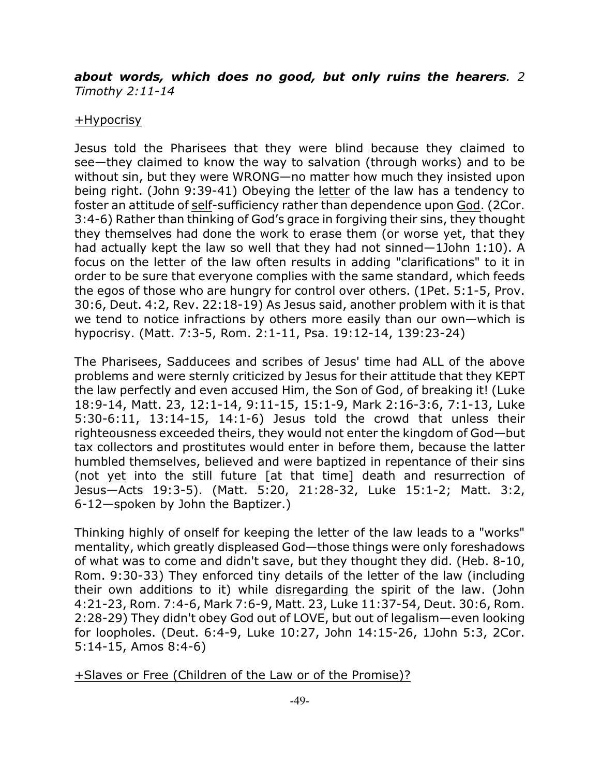#### *about words, which does no good, but only ruins the hearers. 2 Timothy 2:11-14*

## +Hypocrisy

Jesus told the Pharisees that they were blind because they claimed to see—they claimed to know the way to salvation (through works) and to be without sin, but they were WRONG—no matter how much they insisted upon being right. (John 9:39-41) Obeying the letter of the law has a tendency to foster an attitude of self-sufficiency rather than dependence upon God. (2Cor. 3:4-6) Rather than thinking of God's grace in forgiving their sins, they thought they themselves had done the work to erase them (or worse yet, that they had actually kept the law so well that they had not sinned—1John 1:10). A focus on the letter of the law often results in adding "clarifications" to it in order to be sure that everyone complies with the same standard, which feeds the egos of those who are hungry for control over others. (1Pet. 5:1-5, Prov. 30:6, Deut. 4:2, Rev. 22:18-19) As Jesus said, another problem with it is that we tend to notice infractions by others more easily than our own—which is hypocrisy. (Matt. 7:3-5, Rom. 2:1-11, Psa. 19:12-14, 139:23-24)

The Pharisees, Sadducees and scribes of Jesus' time had ALL of the above problems and were sternly criticized by Jesus for their attitude that they KEPT the law perfectly and even accused Him, the Son of God, of breaking it! (Luke 18:9-14, Matt. 23, 12:1-14, 9:11-15, 15:1-9, Mark 2:16-3:6, 7:1-13, Luke 5:30-6:11, 13:14-15, 14:1-6) Jesus told the crowd that unless their righteousness exceeded theirs, they would not enter the kingdom of God—but tax collectors and prostitutes would enter in before them, because the latter humbled themselves, believed and were baptized in repentance of their sins (not yet into the still future [at that time] death and resurrection of Jesus—Acts 19:3-5). (Matt. 5:20, 21:28-32, Luke 15:1-2; Matt. 3:2, 6-12—spoken by John the Baptizer.)

Thinking highly of onself for keeping the letter of the law leads to a "works" mentality, which greatly displeased God—those things were only foreshadows of what was to come and didn't save, but they thought they did. (Heb. 8-10, Rom. 9:30-33) They enforced tiny details of the letter of the law (including their own additions to it) while disregarding the spirit of the law. (John 4:21-23, Rom. 7:4-6, Mark 7:6-9, Matt. 23, Luke 11:37-54, Deut. 30:6, Rom. 2:28-29) They didn't obey God out of LOVE, but out of legalism—even looking for loopholes. (Deut. 6:4-9, Luke 10:27, John 14:15-26, 1John 5:3, 2Cor. 5:14-15, Amos 8:4-6)

+Slaves or Free (Children of the Law or of the Promise)?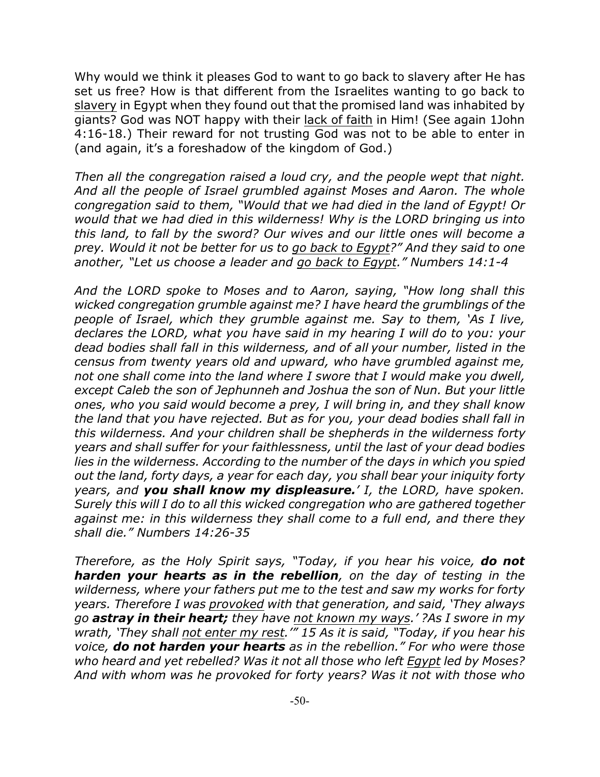Why would we think it pleases God to want to go back to slavery after He has set us free? How is that different from the Israelites wanting to go back to slavery in Egypt when they found out that the promised land was inhabited by giants? God was NOT happy with their lack of faith in Him! (See again 1John 4:16-18.) Their reward for not trusting God was not to be able to enter in (and again, it's a foreshadow of the kingdom of God.)

*Then all the congregation raised a loud cry, and the people wept that night. And all the people of Israel grumbled against Moses and Aaron. The whole congregation said to them, "Would that we had died in the land of Egypt! Or would that we had died in this wilderness! Why is the LORD bringing us into this land, to fall by the sword? Our wives and our little ones will become a prey. Would it not be better for us to go back to Egypt?" And they said to one another, "Let us choose a leader and go back to Egypt." Numbers 14:1-4*

*And the LORD spoke to Moses and to Aaron, saying, "How long shall this wicked congregation grumble against me? I have heard the grumblings of the people of Israel, which they grumble against me. Say to them, 'As I live, declares the LORD, what you have said in my hearing I will do to you: your dead bodies shall fall in this wilderness, and of all your number, listed in the census from twenty years old and upward, who have grumbled against me, not one shall come into the land where I swore that I would make you dwell, except Caleb the son of Jephunneh and Joshua the son of Nun. But your little ones, who you said would become a prey, I will bring in, and they shall know the land that you have rejected. But as for you, your dead bodies shall fall in this wilderness. And your children shall be shepherds in the wilderness forty years and shall suffer for your faithlessness, until the last of your dead bodies lies in the wilderness. According to the number of the days in which you spied out the land, forty days, a year for each day, you shall bear your iniquity forty years, and you shall know my displeasure.' I, the LORD, have spoken. Surely this will I do to all this wicked congregation who are gathered together against me: in this wilderness they shall come to a full end, and there they shall die." Numbers 14:26-35*

*Therefore, as the Holy Spirit says, "Today, if you hear his voice, do not harden your hearts as in the rebellion, on the day of testing in the wilderness, where your fathers put me to the test and saw my works for forty years. Therefore I was provoked with that generation, and said, 'They always go astray in their heart; they have not known my ways.' ?As I swore in my wrath, 'They shall not enter my rest.'" 15 As it is said, "Today, if you hear his voice, do not harden your hearts as in the rebellion." For who were those who heard and yet rebelled? Was it not all those who left Egypt led by Moses? And with whom was he provoked for forty years? Was it not with those who*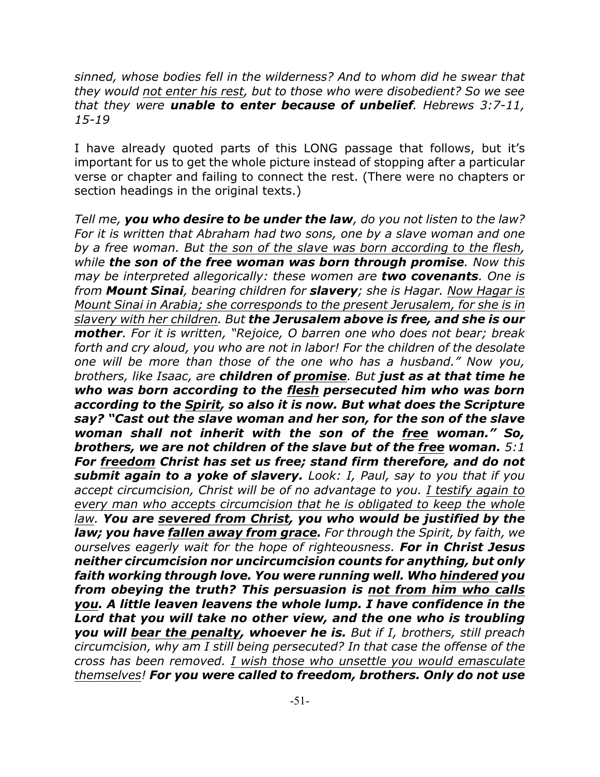*sinned, whose bodies fell in the wilderness? And to whom did he swear that they would not enter his rest, but to those who were disobedient? So we see that they were unable to enter because of unbelief. Hebrews 3:7-11, 15-19*

I have already quoted parts of this LONG passage that follows, but it's important for us to get the whole picture instead of stopping after a particular verse or chapter and failing to connect the rest. (There were no chapters or section headings in the original texts.)

*Tell me, you who desire to be under the law, do you not listen to the law? For it is written that Abraham had two sons, one by a slave woman and one by a free woman. But the son of the slave was born according to the flesh, while the son of the free woman was born through promise. Now this may be interpreted allegorically: these women are two covenants. One is from Mount Sinai, bearing children for slavery; she is Hagar. Now Hagar is Mount Sinai in Arabia; she corresponds to the present Jerusalem, for she is in slavery with her children. But the Jerusalem above is free, and she is our mother. For it is written, "Rejoice, O barren one who does not bear; break forth and cry aloud, you who are not in labor! For the children of the desolate one will be more than those of the one who has a husband." Now you, brothers, like Isaac, are children of promise. But just as at that time he who was born according to the flesh persecuted him who was born according to the Spirit, so also it is now. But what does the Scripture say? "Cast out the slave woman and her son, for the son of the slave woman shall not inherit with the son of the free woman." So, brothers, we are not children of the slave but of the free woman. 5:1 For freedom Christ has set us free; stand firm therefore, and do not submit again to a yoke of slavery. Look: I, Paul, say to you that if you accept circumcision, Christ will be of no advantage to you. I testify again to every man who accepts circumcision that he is obligated to keep the whole law. You are severed from Christ, you who would be justified by the law; you have fallen away from grace. For through the Spirit, by faith, we ourselves eagerly wait for the hope of righteousness. For in Christ Jesus neither circumcision nor uncircumcision counts for anything, but only faith working through love. You were running well. Who hindered you from obeying the truth? This persuasion is not from him who calls you. A little leaven leavens the whole lump. I have confidence in the Lord that you will take no other view, and the one who is troubling you will bear the penalty, whoever he is. But if I, brothers, still preach circumcision, why am I still being persecuted? In that case the offense of the cross has been removed. I wish those who unsettle you would emasculate themselves! For you were called to freedom, brothers. Only do not use*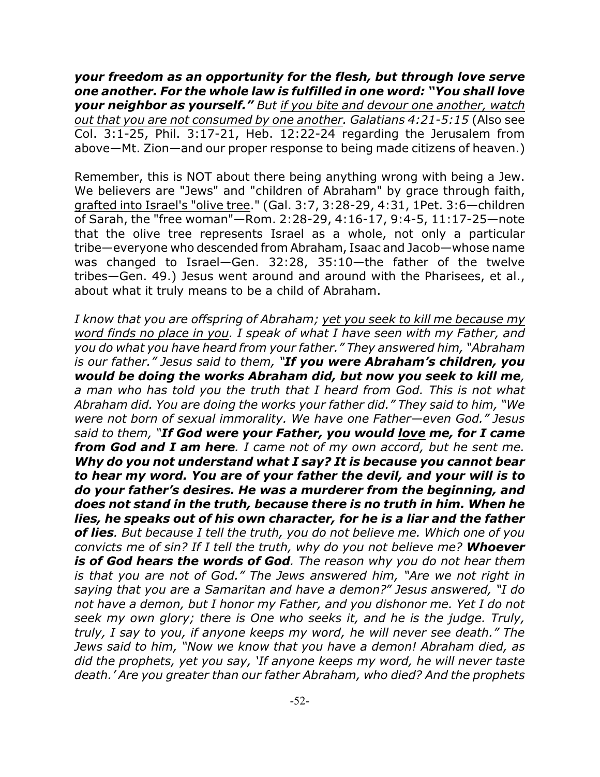*your freedom as an opportunity for the flesh, but through love serve one another. For the whole law is fulfilled in one word: "You shall love your neighbor as yourself." But if you bite and devour one another, watch out that you are not consumed by one another. Galatians 4:21-5:15* (Also see Col. 3:1-25, Phil. 3:17-21, Heb. 12:22-24 regarding the Jerusalem from above—Mt. Zion—and our proper response to being made citizens of heaven.)

Remember, this is NOT about there being anything wrong with being a Jew. We believers are "Jews" and "children of Abraham" by grace through faith, grafted into Israel's "olive tree." (Gal. 3:7, 3:28-29, 4:31, 1Pet. 3:6—children of Sarah, the "free woman"—Rom. 2:28-29, 4:16-17, 9:4-5, 11:17-25—note that the olive tree represents Israel as a whole, not only a particular tribe—everyone who descended from Abraham, Isaac and Jacob—whose name was changed to Israel—Gen. 32:28, 35:10—the father of the twelve tribes—Gen. 49.) Jesus went around and around with the Pharisees, et al., about what it truly means to be a child of Abraham.

*I know that you are offspring of Abraham; yet you seek to kill me because my word finds no place in you. I speak of what I have seen with my Father, and you do what you have heard from your father." They answered him, "Abraham is our father." Jesus said to them, "If you were Abraham's children, you would be doing the works Abraham did, but now you seek to kill me, a man who has told you the truth that I heard from God. This is not what Abraham did. You are doing the works your father did." They said to him, "We were not born of sexual immorality. We have one Father—even God." Jesus said to them, "If God were your Father, you would love me, for I came from God and I am here. I came not of my own accord, but he sent me. Why do you not understand what I say? It is because you cannot bear to hear my word. You are of your father the devil, and your will is to do your father's desires. He was a murderer from the beginning, and does not stand in the truth, because there is no truth in him. When he lies, he speaks out of his own character, for he is a liar and the father of lies. But because I tell the truth, you do not believe me. Which one of you convicts me of sin? If I tell the truth, why do you not believe me? Whoever is of God hears the words of God. The reason why you do not hear them is that you are not of God." The Jews answered him, "Are we not right in saying that you are a Samaritan and have a demon?" Jesus answered, "I do not have a demon, but I honor my Father, and you dishonor me. Yet I do not seek my own glory; there is One who seeks it, and he is the judge. Truly, truly, I say to you, if anyone keeps my word, he will never see death." The Jews said to him, "Now we know that you have a demon! Abraham died, as did the prophets, yet you say, 'If anyone keeps my word, he will never taste death.' Are you greater than our father Abraham, who died? And the prophets*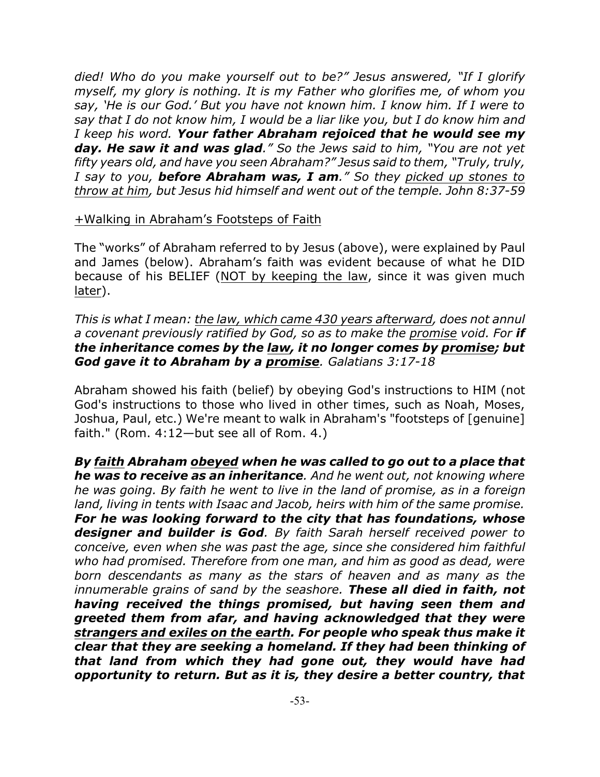*died! Who do you make yourself out to be?" Jesus answered, "If I glorify myself, my glory is nothing. It is my Father who glorifies me, of whom you say, 'He is our God.' But you have not known him. I know him. If I were to say that I do not know him, I would be a liar like you, but I do know him and I keep his word. Your father Abraham rejoiced that he would see my day. He saw it and was glad." So the Jews said to him, "You are not yet fifty years old, and have you seen Abraham?" Jesus said to them, "Truly, truly, I say to you, before Abraham was, I am." So they picked up stones to throw at him, but Jesus hid himself and went out of the temple. John 8:37-59*

#### +Walking in Abraham's Footsteps of Faith

The "works" of Abraham referred to by Jesus (above), were explained by Paul and James (below). Abraham's faith was evident because of what he DID because of his BELIEF (NOT by keeping the law, since it was given much later).

*This is what I mean: the law, which came 430 years afterward, does not annul* a covenant previously ratified by God, so as to make the promise void. For **if** *the inheritance comes by the law, it no longer comes by promise; but God gave it to Abraham by a promise. Galatians 3:17-18*

Abraham showed his faith (belief) by obeying God's instructions to HIM (not God's instructions to those who lived in other times, such as Noah, Moses, Joshua, Paul, etc.) We're meant to walk in Abraham's "footsteps of [genuine] faith." (Rom. 4:12—but see all of Rom. 4.)

*By faith Abraham obeyed when he was called to go out to a place that he was to receive as an inheritance. And he went out, not knowing where he was going. By faith he went to live in the land of promise, as in a foreign land, living in tents with Isaac and Jacob, heirs with him of the same promise. For he was looking forward to the city that has foundations, whose designer and builder is God. By faith Sarah herself received power to conceive, even when she was past the age, since she considered him faithful who had promised. Therefore from one man, and him as good as dead, were born descendants as many as the stars of heaven and as many as the innumerable grains of sand by the seashore. These all died in faith, not having received the things promised, but having seen them and greeted them from afar, and having acknowledged that they were strangers and exiles on the earth. For people who speak thus make it clear that they are seeking a homeland. If they had been thinking of that land from which they had gone out, they would have had opportunity to return. But as it is, they desire a better country, that*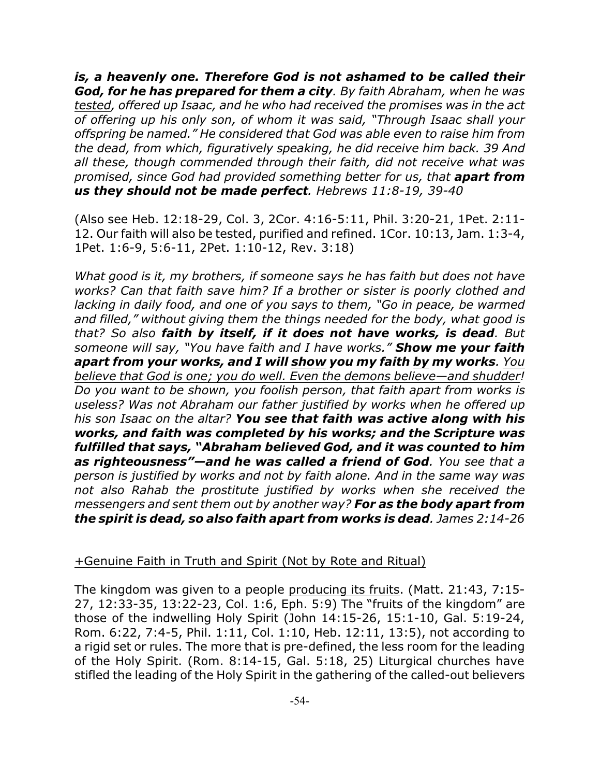*is, a heavenly one. Therefore God is not ashamed to be called their God, for he has prepared for them a city. By faith Abraham, when he was tested, offered up Isaac, and he who had received the promises was in the act of offering up his only son, of whom it was said, "Through Isaac shall your offspring be named." He considered that God was able even to raise him from the dead, from which, figuratively speaking, he did receive him back. 39 And all these, though commended through their faith, did not receive what was promised, since God had provided something better for us, that apart from us they should not be made perfect. Hebrews 11:8-19, 39-40*

(Also see Heb. 12:18-29, Col. 3, 2Cor. 4:16-5:11, Phil. 3:20-21, 1Pet. 2:11- 12. Our faith will also be tested, purified and refined. 1Cor. 10:13, Jam. 1:3-4, 1Pet. 1:6-9, 5:6-11, 2Pet. 1:10-12, Rev. 3:18)

*What good is it, my brothers, if someone says he has faith but does not have works? Can that faith save him? If a brother or sister is poorly clothed and lacking in daily food, and one of you says to them, "Go in peace, be warmed and filled," without giving them the things needed for the body, what good is that? So also faith by itself, if it does not have works, is dead. But someone will say, "You have faith and I have works." Show me your faith apart from your works, and I will show you my faith by my works. You believe that God is one; you do well. Even the demons believe—and shudder! Do you want to be shown, you foolish person, that faith apart from works is useless? Was not Abraham our father justified by works when he offered up his son Isaac on the altar? You see that faith was active along with his works, and faith was completed by his works; and the Scripture was fulfilled that says, "Abraham believed God, and it was counted to him as righteousness"—and he was called a friend of God. You see that a person is justified by works and not by faith alone. And in the same way was not also Rahab the prostitute justified by works when she received the messengers and sent them out by another way? For as the body apart from the spirit is dead, so also faith apart from works is dead. James 2:14-26*

## +Genuine Faith in Truth and Spirit (Not by Rote and Ritual)

The kingdom was given to a people producing its fruits. (Matt. 21:43, 7:15- 27, 12:33-35, 13:22-23, Col. 1:6, Eph. 5:9) The "fruits of the kingdom" are those of the indwelling Holy Spirit (John 14:15-26, 15:1-10, Gal. 5:19-24, Rom. 6:22, 7:4-5, Phil. 1:11, Col. 1:10, Heb. 12:11, 13:5), not according to a rigid set or rules. The more that is pre-defined, the less room for the leading of the Holy Spirit. (Rom. 8:14-15, Gal. 5:18, 25) Liturgical churches have stifled the leading of the Holy Spirit in the gathering of the called-out believers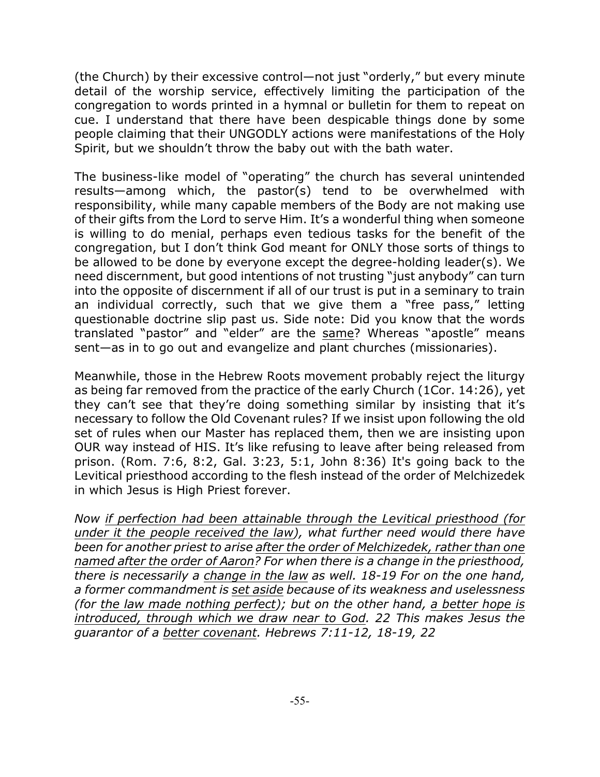(the Church) by their excessive control—not just "orderly," but every minute detail of the worship service, effectively limiting the participation of the congregation to words printed in a hymnal or bulletin for them to repeat on cue. I understand that there have been despicable things done by some people claiming that their UNGODLY actions were manifestations of the Holy Spirit, but we shouldn't throw the baby out with the bath water.

The business-like model of "operating" the church has several unintended results—among which, the pastor(s) tend to be overwhelmed with responsibility, while many capable members of the Body are not making use of their gifts from the Lord to serve Him. It's a wonderful thing when someone is willing to do menial, perhaps even tedious tasks for the benefit of the congregation, but I don't think God meant for ONLY those sorts of things to be allowed to be done by everyone except the degree-holding leader(s). We need discernment, but good intentions of not trusting "just anybody" can turn into the opposite of discernment if all of our trust is put in a seminary to train an individual correctly, such that we give them a "free pass," letting questionable doctrine slip past us. Side note: Did you know that the words translated "pastor" and "elder" are the same? Whereas "apostle" means sent—as in to go out and evangelize and plant churches (missionaries).

Meanwhile, those in the Hebrew Roots movement probably reject the liturgy as being far removed from the practice of the early Church (1Cor. 14:26), yet they can't see that they're doing something similar by insisting that it's necessary to follow the Old Covenant rules? If we insist upon following the old set of rules when our Master has replaced them, then we are insisting upon OUR way instead of HIS. It's like refusing to leave after being released from prison. (Rom. 7:6, 8:2, Gal. 3:23, 5:1, John 8:36) It's going back to the Levitical priesthood according to the flesh instead of the order of Melchizedek in which Jesus is High Priest forever.

*Now if perfection had been attainable through the Levitical priesthood (for under it the people received the law), what further need would there have been for another priest to arise after the order of Melchizedek, rather than one named after the order of Aaron? For when there is a change in the priesthood, there is necessarily a change in the law as well. 18-19 For on the one hand, a former commandment is set aside because of its weakness and uselessness (for the law made nothing perfect); but on the other hand, a better hope is introduced, through which we draw near to God. 22 This makes Jesus the guarantor of a better covenant. Hebrews 7:11-12, 18-19, 22*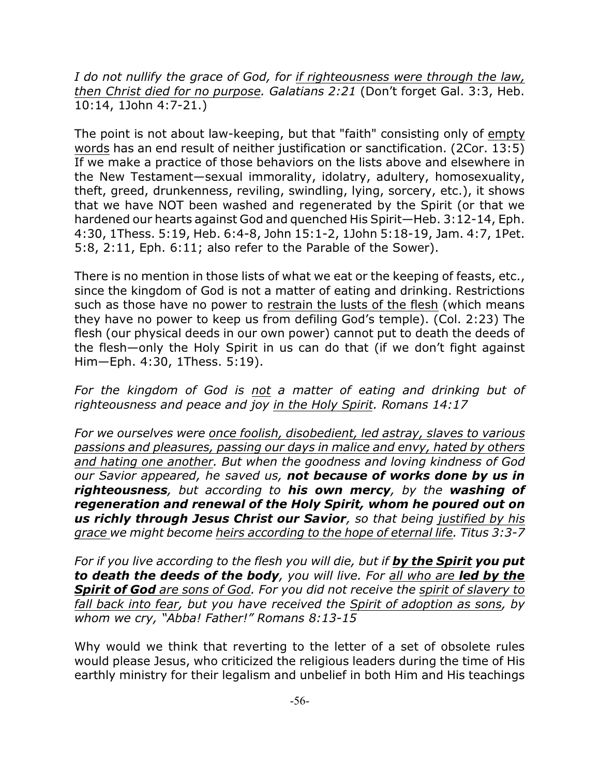*I do not nullify the grace of God, for if righteousness were through the law, then Christ died for no purpose. Galatians 2:21* (Don't forget Gal. 3:3, Heb. 10:14, 1John 4:7-21.)

The point is not about law-keeping, but that "faith" consisting only of empty words has an end result of neither justification or sanctification. (2Cor. 13:5) If we make a practice of those behaviors on the lists above and elsewhere in the New Testament—sexual immorality, idolatry, adultery, homosexuality, theft, greed, drunkenness, reviling, swindling, lying, sorcery, etc.), it shows that we have NOT been washed and regenerated by the Spirit (or that we hardened our hearts against God and quenched His Spirit—Heb. 3:12-14, Eph. 4:30, 1Thess. 5:19, Heb. 6:4-8, John 15:1-2, 1John 5:18-19, Jam. 4:7, 1Pet. 5:8, 2:11, Eph. 6:11; also refer to the Parable of the Sower).

There is no mention in those lists of what we eat or the keeping of feasts, etc., since the kingdom of God is not a matter of eating and drinking. Restrictions such as those have no power to restrain the lusts of the flesh (which means they have no power to keep us from defiling God's temple). (Col. 2:23) The flesh (our physical deeds in our own power) cannot put to death the deeds of the flesh—only the Holy Spirit in us can do that (if we don't fight against Him—Eph. 4:30, 1Thess. 5:19).

*For the kingdom of God is not a matter of eating and drinking but of righteousness and peace and joy in the Holy Spirit. Romans 14:17*

*For we ourselves were once foolish, disobedient, led astray, slaves to various passions and pleasures, passing our days in malice and envy, hated by others and hating one another. But when the goodness and loving kindness of God our Savior appeared, he saved us, not because of works done by us in righteousness, but according to his own mercy, by the washing of regeneration and renewal of the Holy Spirit, whom he poured out on us richly through Jesus Christ our Savior, so that being justified by his grace we might become heirs according to the hope of eternal life. Titus 3:3-7*

*For if you live according to the flesh you will die, but if by the Spirit you put to death the deeds of the body, you will live. For all who are led by the Spirit of God are sons of God. For you did not receive the spirit of slavery to fall back into fear, but you have received the Spirit of adoption as sons, by whom we cry, "Abba! Father!" Romans 8:13-15*

Why would we think that reverting to the letter of a set of obsolete rules would please Jesus, who criticized the religious leaders during the time of His earthly ministry for their legalism and unbelief in both Him and His teachings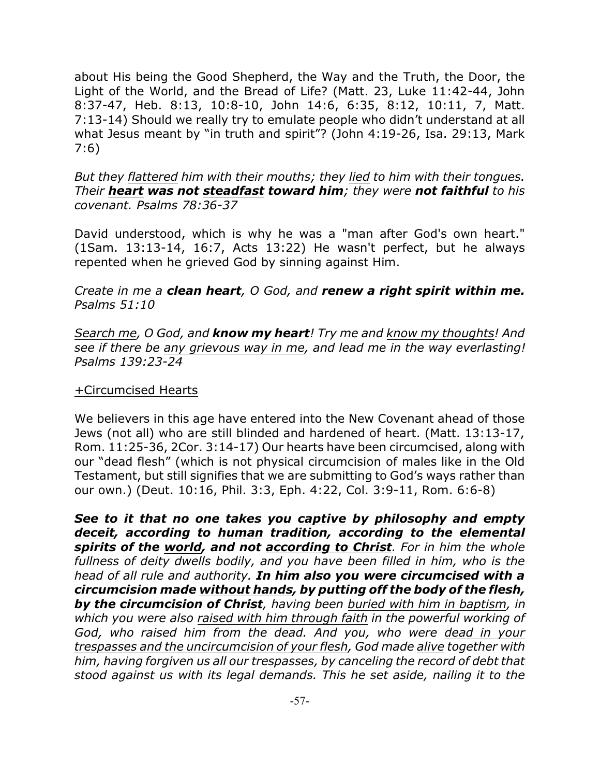about His being the Good Shepherd, the Way and the Truth, the Door, the Light of the World, and the Bread of Life? (Matt. 23, Luke 11:42-44, John 8:37-47, Heb. 8:13, 10:8-10, John 14:6, 6:35, 8:12, 10:11, 7, Matt. 7:13-14) Should we really try to emulate people who didn't understand at all what Jesus meant by "in truth and spirit"? (John 4:19-26, Isa. 29:13, Mark 7:6)

*But they flattered him with their mouths; they lied to him with their tongues. Their heart was not steadfast toward him; they were not faithful to his covenant. Psalms 78:36-37*

David understood, which is why he was a "man after God's own heart." (1Sam. 13:13-14, 16:7, Acts 13:22) He wasn't perfect, but he always repented when he grieved God by sinning against Him.

## *Create in me a clean heart, O God, and renew a right spirit within me. Psalms 51:10*

*Search me, O God, and know my heart! Try me and know my thoughts! And see if there be any grievous way in me, and lead me in the way everlasting! Psalms 139:23-24*

## +Circumcised Hearts

We believers in this age have entered into the New Covenant ahead of those Jews (not all) who are still blinded and hardened of heart. (Matt. 13:13-17, Rom. 11:25-36, 2Cor. 3:14-17) Our hearts have been circumcised, along with our "dead flesh" (which is not physical circumcision of males like in the Old Testament, but still signifies that we are submitting to God's ways rather than our own.) (Deut. 10:16, Phil. 3:3, Eph. 4:22, Col. 3:9-11, Rom. 6:6-8)

*See to it that no one takes you captive by philosophy and empty deceit, according to human tradition, according to the elemental spirits of the world, and not according to Christ. For in him the whole fullness of deity dwells bodily, and you have been filled in him, who is the head of all rule and authority. In him also you were circumcised with a circumcision made without hands, by putting off the body of the flesh, by the circumcision of Christ, having been buried with him in baptism, in which you were also raised with him through faith in the powerful working of God, who raised him from the dead. And you, who were dead in your trespasses and the uncircumcision of your flesh, God made alive together with him, having forgiven us all our trespasses, by canceling the record of debt that stood against us with its legal demands. This he set aside, nailing it to the*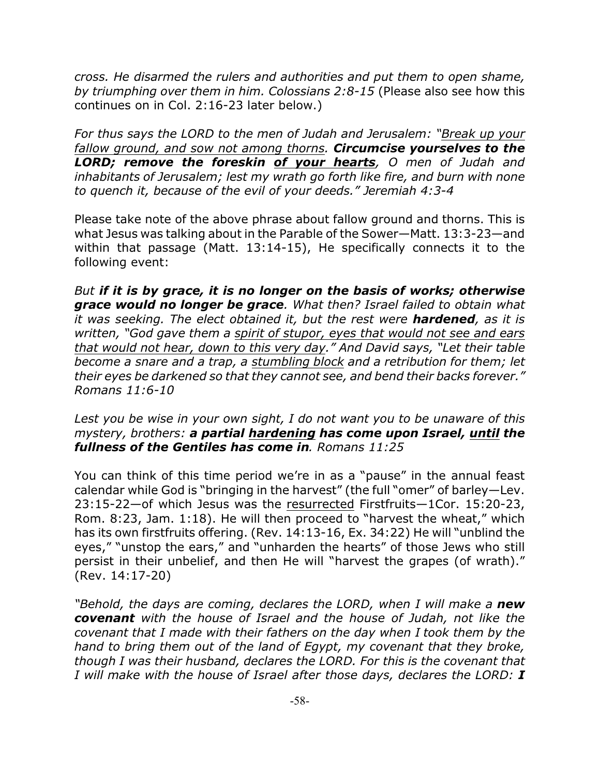*cross. He disarmed the rulers and authorities and put them to open shame, by triumphing over them in him. Colossians 2:8-15* (Please also see how this continues on in Col. 2:16-23 later below.)

*For thus says the LORD to the men of Judah and Jerusalem: "Break up your fallow ground, and sow not among thorns. Circumcise yourselves to the LORD; remove the foreskin of your hearts, O men of Judah and inhabitants of Jerusalem; lest my wrath go forth like fire, and burn with none to quench it, because of the evil of your deeds." Jeremiah 4:3-4*

Please take note of the above phrase about fallow ground and thorns. This is what Jesus was talking about in the Parable of the Sower—Matt. 13:3-23—and within that passage (Matt. 13:14-15), He specifically connects it to the following event:

*But if it is by grace, it is no longer on the basis of works; otherwise grace would no longer be grace. What then? Israel failed to obtain what it was seeking. The elect obtained it, but the rest were hardened, as it is written, "God gave them a spirit of stupor, eyes that would not see and ears that would not hear, down to this very day." And David says, "Let their table become a snare and a trap, a stumbling block and a retribution for them; let their eyes be darkened so that they cannot see, and bend their backs forever." Romans 11:6-10*

*Lest you be wise in your own sight, I do not want you to be unaware of this mystery, brothers: a partial hardening has come upon Israel, until the fullness of the Gentiles has come in. Romans 11:25*

You can think of this time period we're in as a "pause" in the annual feast calendar while God is "bringing in the harvest" (the full "omer" of barley—Lev. 23:15-22—of which Jesus was the resurrected Firstfruits—1Cor. 15:20-23, Rom. 8:23, Jam. 1:18). He will then proceed to "harvest the wheat," which has its own firstfruits offering. (Rev. 14:13-16, Ex. 34:22) He will "unblind the eyes," "unstop the ears," and "unharden the hearts" of those Jews who still persist in their unbelief, and then He will "harvest the grapes (of wrath)." (Rev. 14:17-20)

*"Behold, the days are coming, declares the LORD, when I will make a new covenant with the house of Israel and the house of Judah, not like the covenant that I made with their fathers on the day when I took them by the hand to bring them out of the land of Egypt, my covenant that they broke, though I was their husband, declares the LORD. For this is the covenant that I will make with the house of Israel after those days, declares the LORD: I*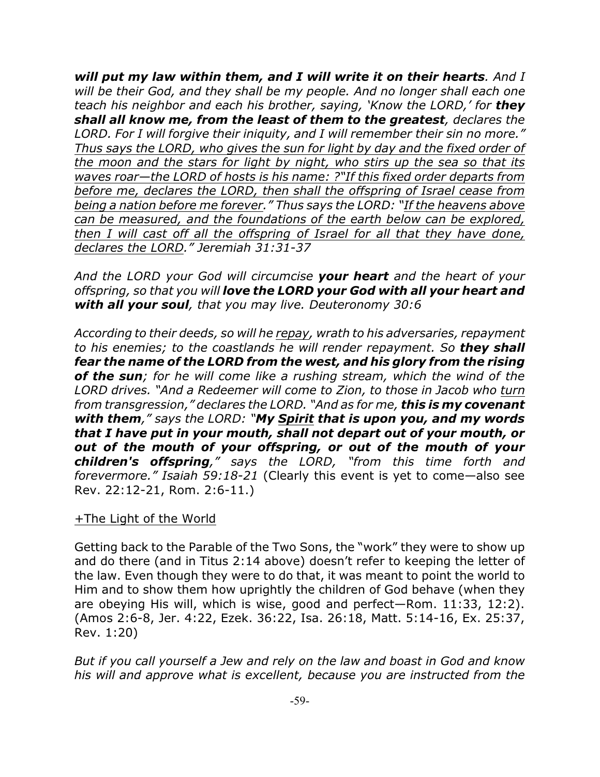*will put my law within them, and I will write it on their hearts. And I will be their God, and they shall be my people. And no longer shall each one teach his neighbor and each his brother, saying, 'Know the LORD,' for they shall all know me, from the least of them to the greatest, declares the LORD. For I will forgive their iniquity, and I will remember their sin no more." Thus says the LORD, who gives the sun for light by day and the fixed order of the moon and the stars for light by night, who stirs up the sea so that its waves roar—the LORD of hosts is his name: ?"If this fixed order departs from before me, declares the LORD, then shall the offspring of Israel cease from being a nation before me forever." Thus says the LORD: "If the heavens above can be measured, and the foundations of the earth below can be explored, then I will cast off all the offspring of Israel for all that they have done, declares the LORD." Jeremiah 31:31-37*

*And the LORD your God will circumcise your heart and the heart of your offspring, so that you will love the LORD your God with all your heart and with all your soul, that you may live. Deuteronomy 30:6*

*According to their deeds, so will he repay, wrath to his adversaries, repayment to his enemies; to the coastlands he will render repayment. So they shall fear the name of the LORD from the west, and his glory from the rising of the sun; for he will come like a rushing stream, which the wind of the LORD drives. "And a Redeemer will come to Zion, to those in Jacob who turn from transgression," declares the LORD. "And as for me, this is my covenant with them," says the LORD: "My Spirit that is upon you, and my words that I have put in your mouth, shall not depart out of your mouth, or out of the mouth of your offspring, or out of the mouth of your children's offspring," says the LORD, "from this time forth and forevermore." Isaiah 59:18-21* (Clearly this event is yet to come—also see Rev. 22:12-21, Rom. 2:6-11.)

#### +The Light of the World

Getting back to the Parable of the Two Sons, the "work" they were to show up and do there (and in Titus 2:14 above) doesn't refer to keeping the letter of the law. Even though they were to do that, it was meant to point the world to Him and to show them how uprightly the children of God behave (when they are obeying His will, which is wise, good and perfect—Rom. 11:33, 12:2). (Amos 2:6-8, Jer. 4:22, Ezek. 36:22, Isa. 26:18, Matt. 5:14-16, Ex. 25:37, Rev. 1:20)

*But if you call yourself a Jew and rely on the law and boast in God and know his will and approve what is excellent, because you are instructed from the*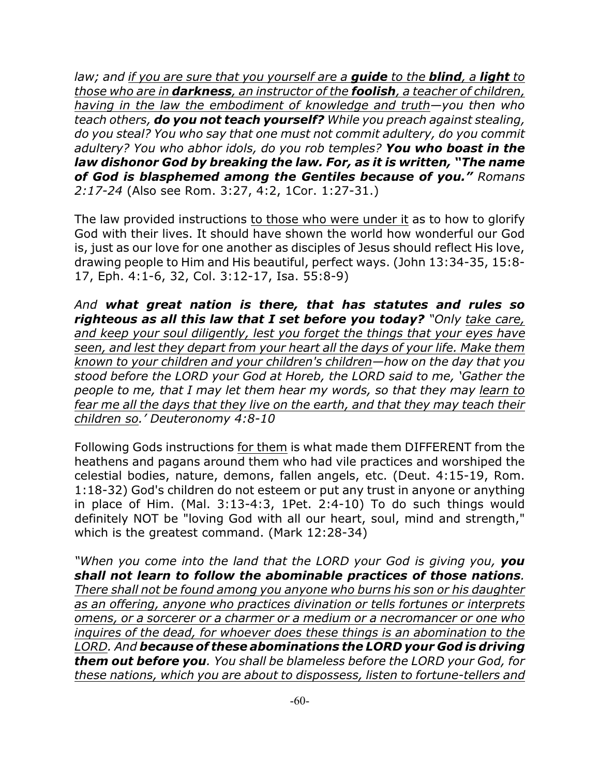*law; and if you are sure that you yourself are a guide to the blind, a light to those who are in darkness, an instructor of the foolish, a teacher of children, having in the law the embodiment of knowledge and truth—you then who teach others, do you not teach yourself? While you preach against stealing, do you steal? You who say that one must not commit adultery, do you commit adultery? You who abhor idols, do you rob temples? You who boast in the law dishonor God by breaking the law. For, as it is written, "The name of God is blasphemed among the Gentiles because of you." Romans 2:17-24* (Also see Rom. 3:27, 4:2, 1Cor. 1:27-31.)

The law provided instructions to those who were under it as to how to glorify God with their lives. It should have shown the world how wonderful our God is, just as our love for one another as disciples of Jesus should reflect His love, drawing people to Him and His beautiful, perfect ways. (John 13:34-35, 15:8- 17, Eph. 4:1-6, 32, Col. 3:12-17, Isa. 55:8-9)

*And what great nation is there, that has statutes and rules so righteous as all this law that I set before you today? "Only take care, and keep your soul diligently, lest you forget the things that your eyes have seen, and lest they depart from your heart all the days of your life. Make them known to your children and your children's children—how on the day that you stood before the LORD your God at Horeb, the LORD said to me, 'Gather the people to me, that I may let them hear my words, so that they may learn to fear me all the days that they live on the earth, and that they may teach their children so.' Deuteronomy 4:8-10*

Following Gods instructions for them is what made them DIFFERENT from the heathens and pagans around them who had vile practices and worshiped the celestial bodies, nature, demons, fallen angels, etc. (Deut. 4:15-19, Rom. 1:18-32) God's children do not esteem or put any trust in anyone or anything in place of Him. (Mal. 3:13-4:3, 1Pet. 2:4-10) To do such things would definitely NOT be "loving God with all our heart, soul, mind and strength," which is the greatest command. (Mark 12:28-34)

*"When you come into the land that the LORD your God is giving you, you shall not learn to follow the abominable practices of those nations. There shall not be found among you anyone who burns his son or his daughter as an offering, anyone who practices divination or tells fortunes or interprets omens, or a sorcerer or a charmer or a medium or a necromancer or one who inquires of the dead, for whoever does these things is an abomination to the LORD. And because of these abominations the LORD your God is driving them out before you. You shall be blameless before the LORD your God, for these nations, which you are about to dispossess, listen to fortune-tellers and*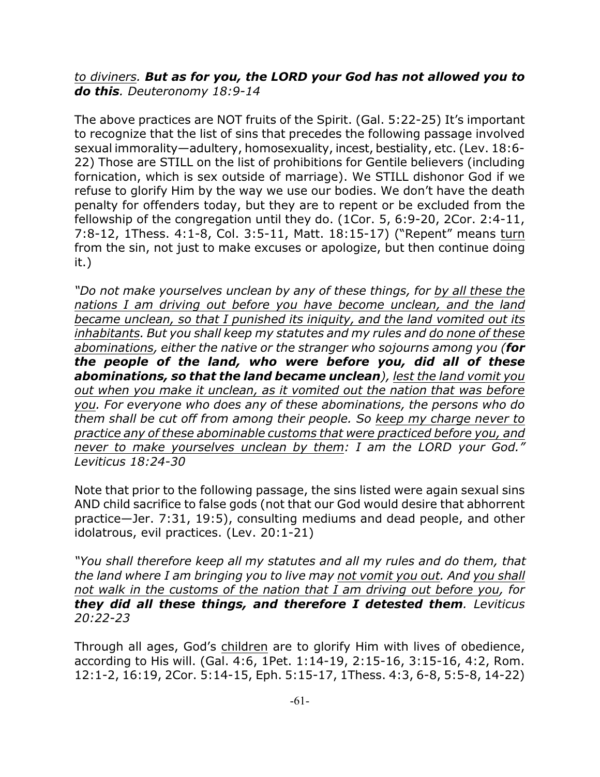# *to diviners. But as for you, the LORD your God has not allowed you to do this. Deuteronomy 18:9-14*

The above practices are NOT fruits of the Spirit. (Gal. 5:22-25) It's important to recognize that the list of sins that precedes the following passage involved sexual immorality—adultery, homosexuality, incest, bestiality, etc. (Lev. 18:6- 22) Those are STILL on the list of prohibitions for Gentile believers (including fornication, which is sex outside of marriage). We STILL dishonor God if we refuse to glorify Him by the way we use our bodies. We don't have the death penalty for offenders today, but they are to repent or be excluded from the fellowship of the congregation until they do. (1Cor. 5, 6:9-20, 2Cor. 2:4-11, 7:8-12, 1Thess. 4:1-8, Col. 3:5-11, Matt. 18:15-17) ("Repent" means turn from the sin, not just to make excuses or apologize, but then continue doing it.)

*"Do not make yourselves unclean by any of these things, for by all these the nations I am driving out before you have become unclean, and the land became unclean, so that I punished its iniquity, and the land vomited out its inhabitants. But you shall keep my statutes and my rules and do none of these abominations, either the native or the stranger who sojourns among you (for the people of the land, who were before you, did all of these abominations, so that the land became unclean), lest the land vomit you out when you make it unclean, as it vomited out the nation that was before you. For everyone who does any of these abominations, the persons who do them shall be cut off from among their people. So keep my charge never to practice any of these abominable customs that were practiced before you, and never to make yourselves unclean by them: I am the LORD your God." Leviticus 18:24-30*

Note that prior to the following passage, the sins listed were again sexual sins AND child sacrifice to false gods (not that our God would desire that abhorrent practice—Jer. 7:31, 19:5), consulting mediums and dead people, and other idolatrous, evil practices. (Lev. 20:1-21)

*"You shall therefore keep all my statutes and all my rules and do them, that the land where I am bringing you to live may not vomit you out. And you shall not walk in the customs of the nation that I am driving out before you, for they did all these things, and therefore I detested them. Leviticus 20:22-23*

Through all ages, God's children are to glorify Him with lives of obedience, according to His will. (Gal. 4:6, 1Pet. 1:14-19, 2:15-16, 3:15-16, 4:2, Rom. 12:1-2, 16:19, 2Cor. 5:14-15, Eph. 5:15-17, 1Thess. 4:3, 6-8, 5:5-8, 14-22)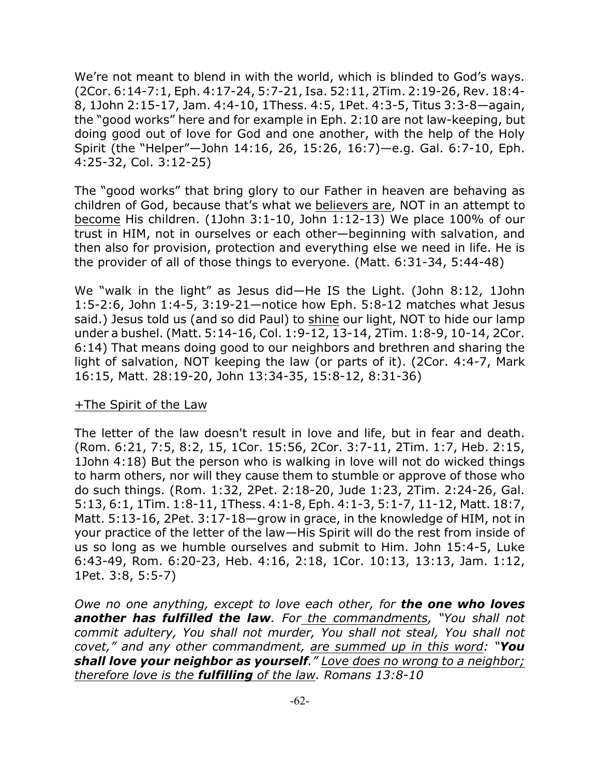We're not meant to blend in with the world, which is blinded to God's ways. (2Cor. 6:14-7:1, Eph. 4:17-24, 5:7-21, Isa. 52:11, 2Tim. 2:19-26, Rev. 18:4- 8, 1John 2:15-17, Jam. 4:4-10, 1Thess. 4:5, 1Pet. 4:3-5, Titus 3:3-8—again, the "good works" here and for example in Eph. 2:10 are not law-keeping, but doing good out of love for God and one another, with the help of the Holy Spirit (the "Helper"—John 14:16, 26, 15:26, 16:7)—e.g. Gal. 6:7-10, Eph. 4:25-32, Col. 3:12-25)

The "good works" that bring glory to our Father in heaven are behaving as children of God, because that's what we believers are, NOT in an attempt to become His children. (1John 3:1-10, John 1:12-13) We place 100% of our trust in HIM, not in ourselves or each other—beginning with salvation, and then also for provision, protection and everything else we need in life. He is the provider of all of those things to everyone. (Matt. 6:31-34, 5:44-48)

We "walk in the light" as Jesus did—He IS the Light. (John 8:12, 1John 1:5-2:6, John 1:4-5, 3:19-21—notice how Eph. 5:8-12 matches what Jesus said.) Jesus told us (and so did Paul) to shine our light, NOT to hide our lamp under a bushel. (Matt. 5:14-16, Col. 1:9-12, 13-14, 2Tim. 1:8-9, 10-14, 2Cor. 6:14) That means doing good to our neighbors and brethren and sharing the light of salvation, NOT keeping the law (or parts of it). (2Cor. 4:4-7, Mark 16:15, Matt. 28:19-20, John 13:34-35, 15:8-12, 8:31-36)

#### +The Spirit of the Law

The letter of the law doesn't result in love and life, but in fear and death. (Rom. 6:21, 7:5, 8:2, 15, 1Cor. 15:56, 2Cor. 3:7-11, 2Tim. 1:7, Heb. 2:15, 1John 4:18) But the person who is walking in love will not do wicked things to harm others, nor will they cause them to stumble or approve of those who do such things. (Rom. 1:32, 2Pet. 2:18-20, Jude 1:23, 2Tim. 2:24-26, Gal. 5:13, 6:1, 1Tim. 1:8-11, 1Thess. 4:1-8, Eph. 4:1-3, 5:1-7, 11-12, Matt. 18:7, Matt. 5:13-16, 2Pet. 3:17-18—grow in grace, in the knowledge of HIM, not in your practice of the letter of the law—His Spirit will do the rest from inside of us so long as we humble ourselves and submit to Him. John 15:4-5, Luke 6:43-49, Rom. 6:20-23, Heb. 4:16, 2:18, 1Cor. 10:13, 13:13, Jam. 1:12, 1Pet. 3:8, 5:5-7)

*Owe no one anything, except to love each other, for the one who loves another has fulfilled the law. For the commandments, "You shall not commit adultery, You shall not murder, You shall not steal, You shall not covet," and any other commandment, are summed up in this word: "You shall love your neighbor as yourself." Love does no wrong to a neighbor; therefore love is the fulfilling of the law. Romans 13:8-10*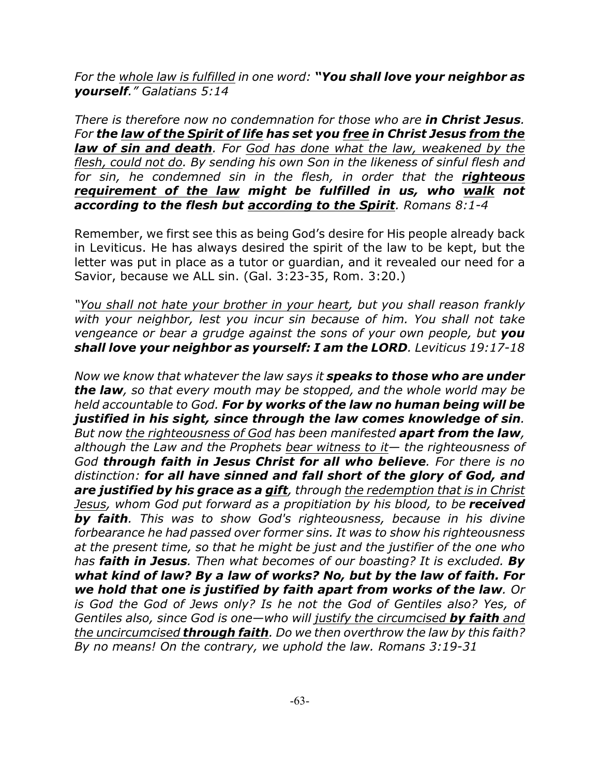*For the whole law is fulfilled in one word: "You shall love your neighbor as yourself." Galatians 5:14*

*There is therefore now no condemnation for those who are in Christ Jesus. For the law of the Spirit of life has set you free in Christ Jesus from the law of sin and death. For God has done what the law, weakened by the flesh, could not do. By sending his own Son in the likeness of sinful flesh and for sin, he condemned sin in the flesh, in order that the righteous requirement of the law might be fulfilled in us, who walk not according to the flesh but according to the Spirit. Romans 8:1-4*

Remember, we first see this as being God's desire for His people already back in Leviticus. He has always desired the spirit of the law to be kept, but the letter was put in place as a tutor or guardian, and it revealed our need for a Savior, because we ALL sin. (Gal. 3:23-35, Rom. 3:20.)

*"You shall not hate your brother in your heart, but you shall reason frankly with your neighbor, lest you incur sin because of him. You shall not take vengeance or bear a grudge against the sons of your own people, but you shall love your neighbor as yourself: I am the LORD. Leviticus 19:17-18*

*Now we know that whatever the law says it speaks to those who are under the law, so that every mouth may be stopped, and the whole world may be held accountable to God. For by works of the law no human being will be justified in his sight, since through the law comes knowledge of sin. But now the righteousness of God has been manifested apart from the law, although the Law and the Prophets bear witness to it— the righteousness of God through faith in Jesus Christ for all who believe. For there is no distinction: for all have sinned and fall short of the glory of God, and are justified by his grace as a gift, through the redemption that is in Christ Jesus, whom God put forward as a propitiation by his blood, to be received by faith. This was to show God's righteousness, because in his divine forbearance he had passed over former sins. It was to show his righteousness at the present time, so that he might be just and the justifier of the one who has faith in Jesus. Then what becomes of our boasting? It is excluded. By what kind of law? By a law of works? No, but by the law of faith. For we hold that one is justified by faith apart from works of the law. Or is God the God of Jews only? Is he not the God of Gentiles also? Yes, of Gentiles also, since God is one—who will justify the circumcised by faith and the uncircumcised through faith. Do we then overthrow the law by this faith? By no means! On the contrary, we uphold the law. Romans 3:19-31*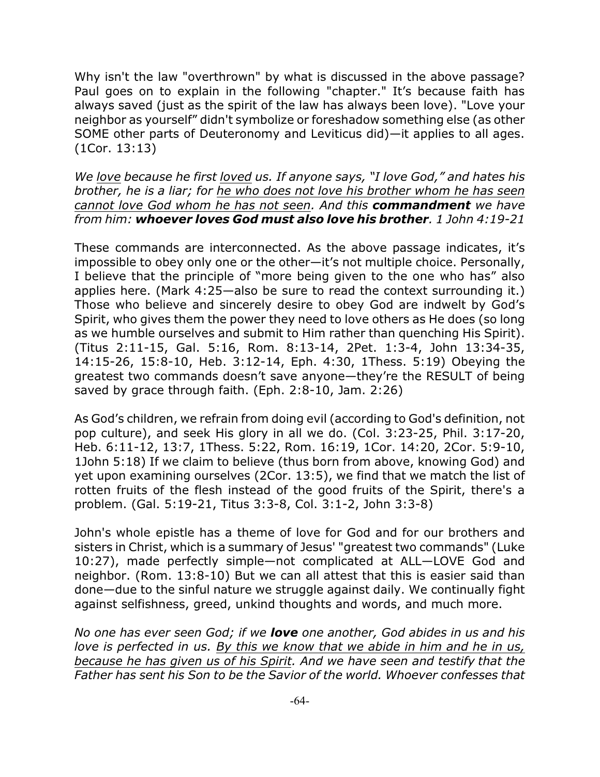Why isn't the law "overthrown" by what is discussed in the above passage? Paul goes on to explain in the following "chapter." It's because faith has always saved (just as the spirit of the law has always been love). "Love your neighbor as yourself" didn't symbolize or foreshadow something else (as other SOME other parts of Deuteronomy and Leviticus did)—it applies to all ages. (1Cor. 13:13)

*We love because he first loved us. If anyone says, "I love God," and hates his brother, he is a liar; for he who does not love his brother whom he has seen cannot love God whom he has not seen. And this commandment we have from him: whoever loves God must also love his brother. 1 John 4:19-21*

These commands are interconnected. As the above passage indicates, it's impossible to obey only one or the other—it's not multiple choice. Personally, I believe that the principle of "more being given to the one who has" also applies here. (Mark 4:25—also be sure to read the context surrounding it.) Those who believe and sincerely desire to obey God are indwelt by God's Spirit, who gives them the power they need to love others as He does (so long as we humble ourselves and submit to Him rather than quenching His Spirit). (Titus 2:11-15, Gal. 5:16, Rom. 8:13-14, 2Pet. 1:3-4, John 13:34-35, 14:15-26, 15:8-10, Heb. 3:12-14, Eph. 4:30, 1Thess. 5:19) Obeying the greatest two commands doesn't save anyone—they're the RESULT of being saved by grace through faith. (Eph. 2:8-10, Jam. 2:26)

As God's children, we refrain from doing evil (according to God's definition, not pop culture), and seek His glory in all we do. (Col. 3:23-25, Phil. 3:17-20, Heb. 6:11-12, 13:7, 1Thess. 5:22, Rom. 16:19, 1Cor. 14:20, 2Cor. 5:9-10, 1John 5:18) If we claim to believe (thus born from above, knowing God) and yet upon examining ourselves (2Cor. 13:5), we find that we match the list of rotten fruits of the flesh instead of the good fruits of the Spirit, there's a problem. (Gal. 5:19-21, Titus 3:3-8, Col. 3:1-2, John 3:3-8)

John's whole epistle has a theme of love for God and for our brothers and sisters in Christ, which is a summary of Jesus' "greatest two commands" (Luke 10:27), made perfectly simple—not complicated at ALL—LOVE God and neighbor. (Rom. 13:8-10) But we can all attest that this is easier said than done—due to the sinful nature we struggle against daily. We continually fight against selfishness, greed, unkind thoughts and words, and much more.

*No one has ever seen God; if we love one another, God abides in us and his love is perfected in us. By this we know that we abide in him and he in us, because he has given us of his Spirit. And we have seen and testify that the Father has sent his Son to be the Savior of the world. Whoever confesses that*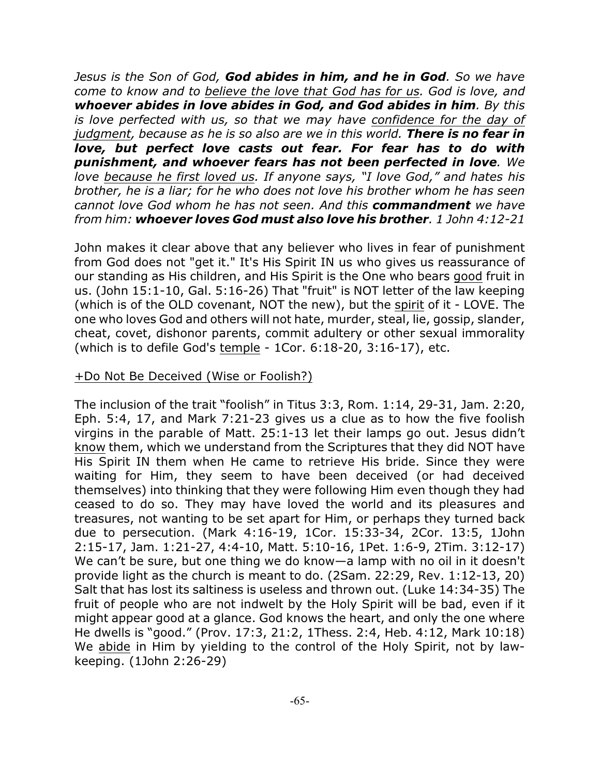*Jesus is the Son of God, God abides in him, and he in God. So we have come to know and to believe the love that God has for us. God is love, and whoever abides in love abides in God, and God abides in him. By this is love perfected with us, so that we may have confidence for the day of judgment, because as he is so also are we in this world. There is no fear in love, but perfect love casts out fear. For fear has to do with punishment, and whoever fears has not been perfected in love. We love because he first loved us. If anyone says, "I love God," and hates his brother, he is a liar; for he who does not love his brother whom he has seen cannot love God whom he has not seen. And this commandment we have from him: whoever loves God must also love his brother. 1 John 4:12-21*

John makes it clear above that any believer who lives in fear of punishment from God does not "get it." It's His Spirit IN us who gives us reassurance of our standing as His children, and His Spirit is the One who bears good fruit in us. (John 15:1-10, Gal. 5:16-26) That "fruit" is NOT letter of the law keeping (which is of the OLD covenant, NOT the new), but the spirit of it - LOVE. The one who loves God and others will not hate, murder, steal, lie, gossip, slander, cheat, covet, dishonor parents, commit adultery or other sexual immorality (which is to defile God's temple - 1Cor. 6:18-20, 3:16-17), etc.

#### +Do Not Be Deceived (Wise or Foolish?)

The inclusion of the trait "foolish" in Titus 3:3, Rom. 1:14, 29-31, Jam. 2:20, Eph. 5:4, 17, and Mark 7:21-23 gives us a clue as to how the five foolish virgins in the parable of Matt. 25:1-13 let their lamps go out. Jesus didn't know them, which we understand from the Scriptures that they did NOT have His Spirit IN them when He came to retrieve His bride. Since they were waiting for Him, they seem to have been deceived (or had deceived themselves) into thinking that they were following Him even though they had ceased to do so. They may have loved the world and its pleasures and treasures, not wanting to be set apart for Him, or perhaps they turned back due to persecution. (Mark 4:16-19, 1Cor. 15:33-34, 2Cor. 13:5, 1John 2:15-17, Jam. 1:21-27, 4:4-10, Matt. 5:10-16, 1Pet. 1:6-9, 2Tim. 3:12-17) We can't be sure, but one thing we do know—a lamp with no oil in it doesn't provide light as the church is meant to do. (2Sam. 22:29, Rev. 1:12-13, 20) Salt that has lost its saltiness is useless and thrown out. (Luke 14:34-35) The fruit of people who are not indwelt by the Holy Spirit will be bad, even if it might appear good at a glance. God knows the heart, and only the one where He dwells is "good." (Prov. 17:3, 21:2, 1Thess. 2:4, Heb. 4:12, Mark 10:18) We abide in Him by yielding to the control of the Holy Spirit, not by lawkeeping. (1John 2:26-29)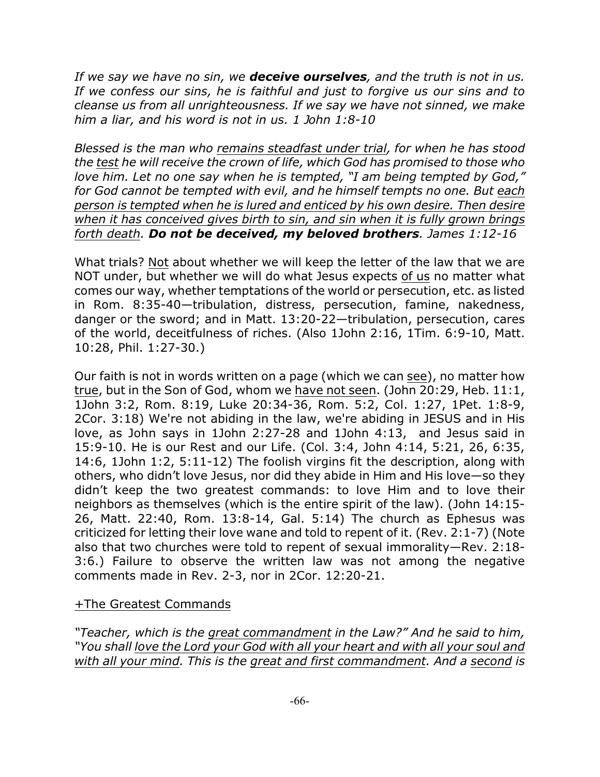*If we say we have no sin, we deceive ourselves, and the truth is not in us. If we confess our sins, he is faithful and just to forgive us our sins and to cleanse us from all unrighteousness. If we say we have not sinned, we make him a liar, and his word is not in us. 1 John 1:8-10*

*Blessed is the man who remains steadfast under trial, for when he has stood the test he will receive the crown of life, which God has promised to those who love him. Let no one say when he is tempted, "I am being tempted by God," for God cannot be tempted with evil, and he himself tempts no one. But each person is tempted when he is lured and enticed by his own desire. Then desire when it has conceived gives birth to sin, and sin when it is fully grown brings forth death. Do not be deceived, my beloved brothers. James 1:12-16*

What trials? Not about whether we will keep the letter of the law that we are NOT under, but whether we will do what Jesus expects of us no matter what comes our way, whether temptations of the world or persecution, etc. as listed in Rom. 8:35-40—tribulation, distress, persecution, famine, nakedness, danger or the sword; and in Matt. 13:20-22—tribulation, persecution, cares of the world, deceitfulness of riches. (Also 1John 2:16, 1Tim. 6:9-10, Matt. 10:28, Phil. 1:27-30.)

Our faith is not in words written on a page (which we can see), no matter how true, but in the Son of God, whom we have not seen. (John 20:29, Heb. 11:1, 1John 3:2, Rom. 8:19, Luke 20:34-36, Rom. 5:2, Col. 1:27, 1Pet. 1:8-9, 2Cor. 3:18) We're not abiding in the law, we're abiding in JESUS and in His love, as John says in 1John 2:27-28 and 1John 4:13, and Jesus said in 15:9-10. He is our Rest and our Life. (Col. 3:4, John 4:14, 5:21, 26, 6:35, 14:6, 1John 1:2, 5:11-12) The foolish virgins fit the description, along with others, who didn't love Jesus, nor did they abide in Him and His love—so they didn't keep the two greatest commands: to love Him and to love their neighbors as themselves (which is the entire spirit of the law). (John 14:15- 26, Matt. 22:40, Rom. 13:8-14, Gal. 5:14) The church as Ephesus was criticized for letting their love wane and told to repent of it. (Rev. 2:1-7) (Note also that two churches were told to repent of sexual immorality—Rev. 2:18- 3:6.) Failure to observe the written law was not among the negative comments made in Rev. 2-3, nor in 2Cor. 12:20-21.

# +The Greatest Commands

*"Teacher, which is the great commandment in the Law?" And he said to him, "You shall love the Lord your God with all your heart and with all your soul and with all your mind. This is the great and first commandment. And a second is*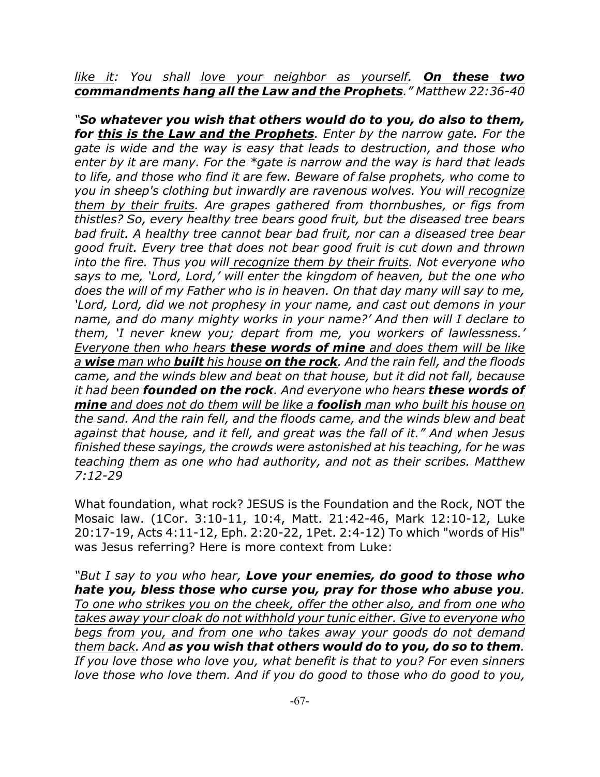*like it: You shall love your neighbor as yourself. On these two commandments hang all the Law and the Prophets." Matthew 22:36-40*

*"So whatever you wish that others would do to you, do also to them, for this is the Law and the Prophets. Enter by the narrow gate. For the gate is wide and the way is easy that leads to destruction, and those who enter by it are many. For the \*gate is narrow and the way is hard that leads to life, and those who find it are few. Beware of false prophets, who come to you in sheep's clothing but inwardly are ravenous wolves. You will recognize them by their fruits. Are grapes gathered from thornbushes, or figs from thistles? So, every healthy tree bears good fruit, but the diseased tree bears bad fruit. A healthy tree cannot bear bad fruit, nor can a diseased tree bear good fruit. Every tree that does not bear good fruit is cut down and thrown into the fire. Thus you will recognize them by their fruits. Not everyone who says to me, 'Lord, Lord,' will enter the kingdom of heaven, but the one who does the will of my Father who is in heaven. On that day many will say to me, 'Lord, Lord, did we not prophesy in your name, and cast out demons in your name, and do many mighty works in your name?' And then will I declare to them, 'I never knew you; depart from me, you workers of lawlessness.' Everyone then who hears these words of mine and does them will be like a wise man who built his house on the rock. And the rain fell, and the floods came, and the winds blew and beat on that house, but it did not fall, because it had been founded on the rock. And everyone who hears these words of mine and does not do them will be like a foolish man who built his house on the sand. And the rain fell, and the floods came, and the winds blew and beat against that house, and it fell, and great was the fall of it." And when Jesus finished these sayings, the crowds were astonished at his teaching, for he was teaching them as one who had authority, and not as their scribes. Matthew 7:12-29*

What foundation, what rock? JESUS is the Foundation and the Rock, NOT the Mosaic law. (1Cor. 3:10-11, 10:4, Matt. 21:42-46, Mark 12:10-12, Luke 20:17-19, Acts 4:11-12, Eph. 2:20-22, 1Pet. 2:4-12) To which "words of His" was Jesus referring? Here is more context from Luke:

*"But I say to you who hear, Love your enemies, do good to those who hate you, bless those who curse you, pray for those who abuse you. To one who strikes you on the cheek, offer the other also, and from one who takes away your cloak do not withhold your tunic either. Give to everyone who begs from you, and from one who takes away your goods do not demand them back. And as you wish that others would do to you, do so to them. If you love those who love you, what benefit is that to you? For even sinners love those who love them. And if you do good to those who do good to you,*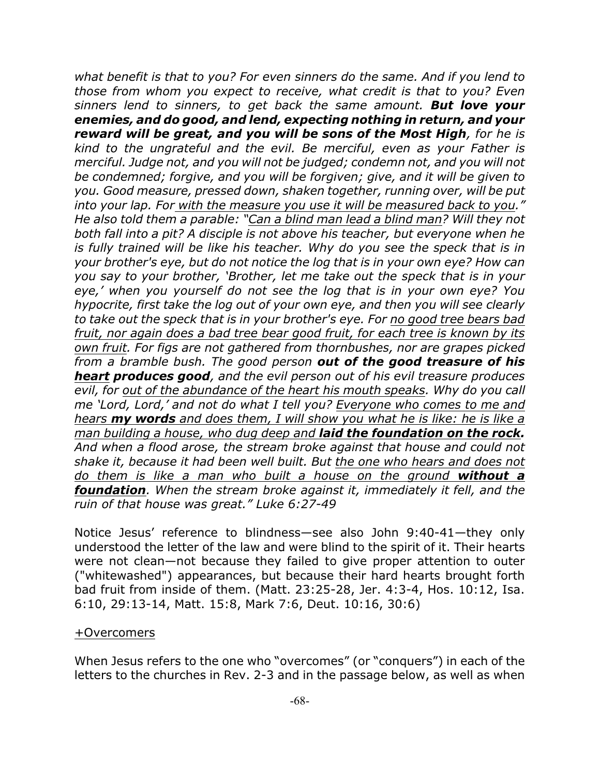*what benefit is that to you? For even sinners do the same. And if you lend to those from whom you expect to receive, what credit is that to you? Even sinners lend to sinners, to get back the same amount. But love your enemies, and do good, and lend, expecting nothing in return, and your reward will be great, and you will be sons of the Most High, for he is kind to the ungrateful and the evil. Be merciful, even as your Father is merciful. Judge not, and you will not be judged; condemn not, and you will not be condemned; forgive, and you will be forgiven; give, and it will be given to you. Good measure, pressed down, shaken together, running over, will be put into your lap. For with the measure you use it will be measured back to you." He also told them a parable: "Can a blind man lead a blind man? Will they not both fall into a pit? A disciple is not above his teacher, but everyone when he is fully trained will be like his teacher. Why do you see the speck that is in your brother's eye, but do not notice the log that is in your own eye? How can you say to your brother, 'Brother, let me take out the speck that is in your eye,' when you yourself do not see the log that is in your own eye? You hypocrite, first take the log out of your own eye, and then you will see clearly to take out the speck that is in your brother's eye. For no good tree bears bad fruit, nor again does a bad tree bear good fruit, for each tree is known by its own fruit. For figs are not gathered from thornbushes, nor are grapes picked from a bramble bush. The good person out of the good treasure of his heart produces good, and the evil person out of his evil treasure produces evil, for out of the abundance of the heart his mouth speaks. Why do you call me 'Lord, Lord,' and not do what I tell you? Everyone who comes to me and hears my words and does them, I will show you what he is like: he is like a man building a house, who dug deep and laid the foundation on the rock. And when a flood arose, the stream broke against that house and could not shake it, because it had been well built. But the one who hears and does not do them is like a man who built a house on the ground without a foundation. When the stream broke against it, immediately it fell, and the ruin of that house was great." Luke 6:27-49*

Notice Jesus' reference to blindness—see also John 9:40-41—they only understood the letter of the law and were blind to the spirit of it. Their hearts were not clean—not because they failed to give proper attention to outer ("whitewashed") appearances, but because their hard hearts brought forth bad fruit from inside of them. (Matt. 23:25-28, Jer. 4:3-4, Hos. 10:12, Isa. 6:10, 29:13-14, Matt. 15:8, Mark 7:6, Deut. 10:16, 30:6)

#### +Overcomers

When Jesus refers to the one who "overcomes" (or "conquers") in each of the letters to the churches in Rev. 2-3 and in the passage below, as well as when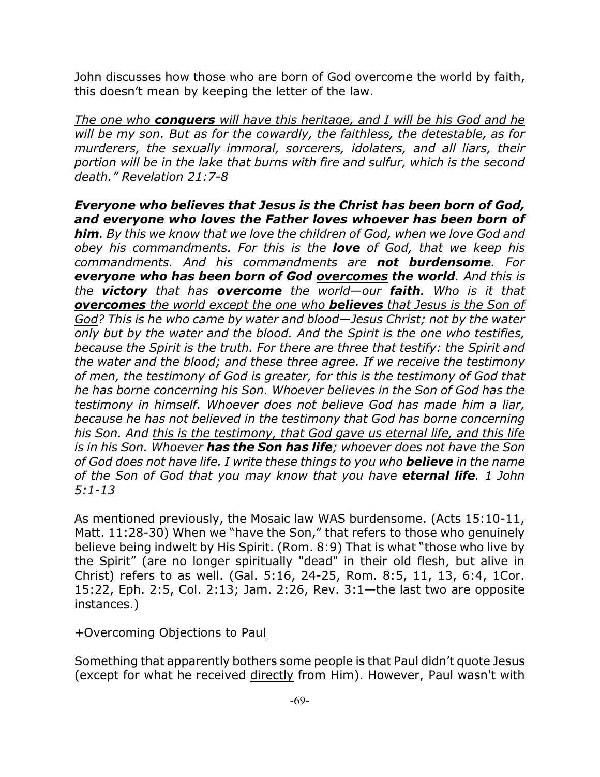John discusses how those who are born of God overcome the world by faith, this doesn't mean by keeping the letter of the law.

*The one who conquers will have this heritage, and I will be his God and he will be my son. But as for the cowardly, the faithless, the detestable, as for murderers, the sexually immoral, sorcerers, idolaters, and all liars, their portion will be in the lake that burns with fire and sulfur, which is the second death." Revelation 21:7-8*

*Everyone who believes that Jesus is the Christ has been born of God, and everyone who loves the Father loves whoever has been born of him. By this we know that we love the children of God, when we love God and obey his commandments. For this is the love of God, that we keep his commandments. And his commandments are not burdensome. For everyone who has been born of God overcomes the world. And this is the victory that has overcome the world—our faith. Who is it that overcomes the world except the one who believes that Jesus is the Son of God? This is he who came by water and blood—Jesus Christ; not by the water only but by the water and the blood. And the Spirit is the one who testifies, because the Spirit is the truth. For there are three that testify: the Spirit and the water and the blood; and these three agree. If we receive the testimony of men, the testimony of God is greater, for this is the testimony of God that he has borne concerning his Son. Whoever believes in the Son of God has the testimony in himself. Whoever does not believe God has made him a liar, because he has not believed in the testimony that God has borne concerning his Son. And this is the testimony, that God gave us eternal life, and this life is in his Son. Whoever has the Son has life; whoever does not have the Son of God does not have life. I write these things to you who believe in the name of the Son of God that you may know that you have eternal life. 1 John 5:1-13* 

As mentioned previously, the Mosaic law WAS burdensome. (Acts 15:10-11, Matt. 11:28-30) When we "have the Son," that refers to those who genuinely believe being indwelt by His Spirit. (Rom. 8:9) That is what "those who live by the Spirit" (are no longer spiritually "dead" in their old flesh, but alive in Christ) refers to as well. (Gal. 5:16, 24-25, Rom. 8:5, 11, 13, 6:4, 1Cor. 15:22, Eph. 2:5, Col. 2:13; Jam. 2:26, Rev. 3:1—the last two are opposite instances.)

## +Overcoming Objections to Paul

Something that apparently bothers some people is that Paul didn't quote Jesus (except for what he received directly from Him). However, Paul wasn't with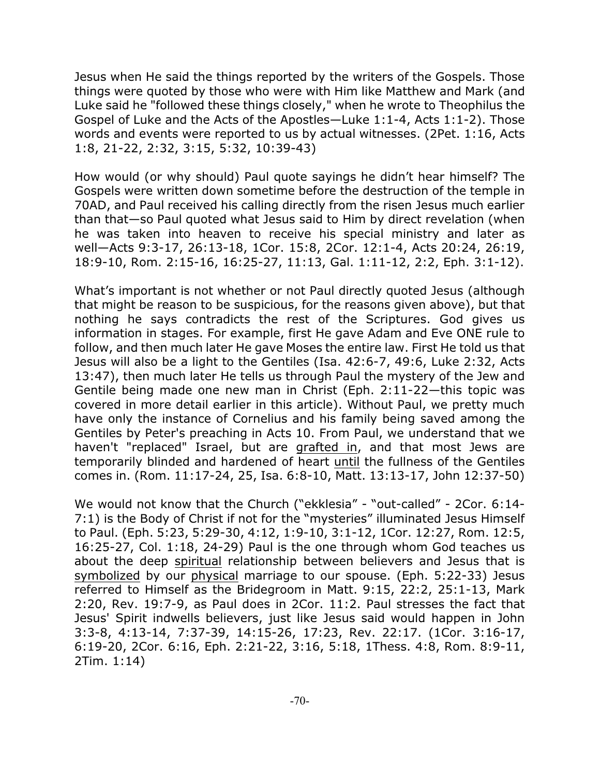Jesus when He said the things reported by the writers of the Gospels. Those things were quoted by those who were with Him like Matthew and Mark (and Luke said he "followed these things closely," when he wrote to Theophilus the Gospel of Luke and the Acts of the Apostles—Luke 1:1-4, Acts 1:1-2). Those words and events were reported to us by actual witnesses. (2Pet. 1:16, Acts 1:8, 21-22, 2:32, 3:15, 5:32, 10:39-43)

How would (or why should) Paul quote sayings he didn't hear himself? The Gospels were written down sometime before the destruction of the temple in 70AD, and Paul received his calling directly from the risen Jesus much earlier than that—so Paul quoted what Jesus said to Him by direct revelation (when he was taken into heaven to receive his special ministry and later as well—Acts 9:3-17, 26:13-18, 1Cor. 15:8, 2Cor. 12:1-4, Acts 20:24, 26:19, 18:9-10, Rom. 2:15-16, 16:25-27, 11:13, Gal. 1:11-12, 2:2, Eph. 3:1-12).

What's important is not whether or not Paul directly quoted Jesus (although that might be reason to be suspicious, for the reasons given above), but that nothing he says contradicts the rest of the Scriptures. God gives us information in stages. For example, first He gave Adam and Eve ONE rule to follow, and then much later He gave Moses the entire law. First He told us that Jesus will also be a light to the Gentiles (Isa. 42:6-7, 49:6, Luke 2:32, Acts 13:47), then much later He tells us through Paul the mystery of the Jew and Gentile being made one new man in Christ (Eph. 2:11-22—this topic was covered in more detail earlier in this article). Without Paul, we pretty much have only the instance of Cornelius and his family being saved among the Gentiles by Peter's preaching in Acts 10. From Paul, we understand that we haven't "replaced" Israel, but are grafted in, and that most Jews are temporarily blinded and hardened of heart until the fullness of the Gentiles comes in. (Rom. 11:17-24, 25, Isa. 6:8-10, Matt. 13:13-17, John 12:37-50)

We would not know that the Church ("ekklesia" - "out-called" - 2Cor. 6:14- 7:1) is the Body of Christ if not for the "mysteries" illuminated Jesus Himself to Paul. (Eph. 5:23, 5:29-30, 4:12, 1:9-10, 3:1-12, 1Cor. 12:27, Rom. 12:5, 16:25-27, Col. 1:18, 24-29) Paul is the one through whom God teaches us about the deep spiritual relationship between believers and Jesus that is symbolized by our physical marriage to our spouse. (Eph. 5:22-33) Jesus referred to Himself as the Bridegroom in Matt. 9:15, 22:2, 25:1-13, Mark 2:20, Rev. 19:7-9, as Paul does in 2Cor. 11:2. Paul stresses the fact that Jesus' Spirit indwells believers, just like Jesus said would happen in John 3:3-8, 4:13-14, 7:37-39, 14:15-26, 17:23, Rev. 22:17. (1Cor. 3:16-17, 6:19-20, 2Cor. 6:16, Eph. 2:21-22, 3:16, 5:18, 1Thess. 4:8, Rom. 8:9-11, 2Tim. 1:14)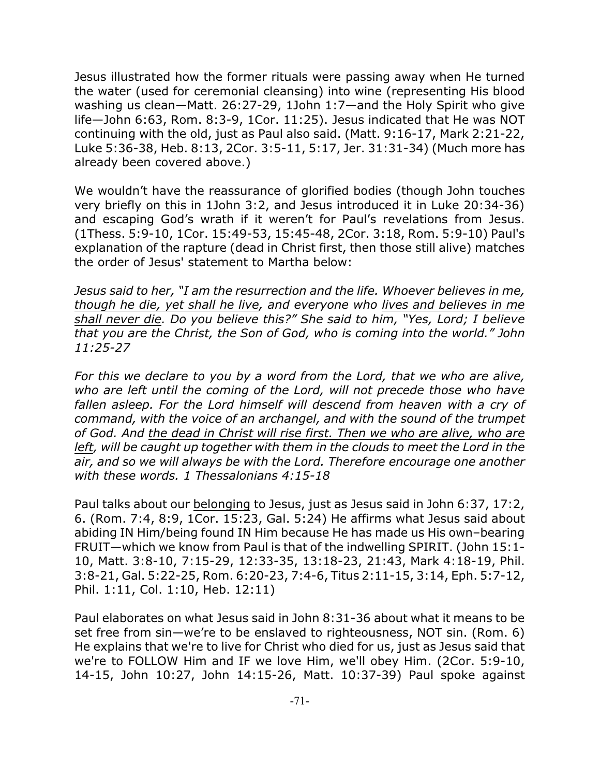Jesus illustrated how the former rituals were passing away when He turned the water (used for ceremonial cleansing) into wine (representing His blood washing us clean—Matt. 26:27-29, 1John 1:7—and the Holy Spirit who give life—John 6:63, Rom. 8:3-9, 1Cor. 11:25). Jesus indicated that He was NOT continuing with the old, just as Paul also said. (Matt. 9:16-17, Mark 2:21-22, Luke 5:36-38, Heb. 8:13, 2Cor. 3:5-11, 5:17, Jer. 31:31-34) (Much more has already been covered above.)

We wouldn't have the reassurance of glorified bodies (though John touches very briefly on this in 1John 3:2, and Jesus introduced it in Luke 20:34-36) and escaping God's wrath if it weren't for Paul's revelations from Jesus. (1Thess. 5:9-10, 1Cor. 15:49-53, 15:45-48, 2Cor. 3:18, Rom. 5:9-10) Paul's explanation of the rapture (dead in Christ first, then those still alive) matches the order of Jesus' statement to Martha below:

*Jesus said to her, "I am the resurrection and the life. Whoever believes in me, though he die, yet shall he live, and everyone who lives and believes in me shall never die. Do you believe this?" She said to him, "Yes, Lord; I believe that you are the Christ, the Son of God, who is coming into the world." John 11:25-27*

*For this we declare to you by a word from the Lord, that we who are alive, who are left until the coming of the Lord, will not precede those who have fallen asleep. For the Lord himself will descend from heaven with a cry of command, with the voice of an archangel, and with the sound of the trumpet of God. And the dead in Christ will rise first. Then we who are alive, who are left, will be caught up together with them in the clouds to meet the Lord in the air, and so we will always be with the Lord. Therefore encourage one another with these words. 1 Thessalonians 4:15-18*

Paul talks about our belonging to Jesus, just as Jesus said in John 6:37, 17:2, 6. (Rom. 7:4, 8:9, 1Cor. 15:23, Gal. 5:24) He affirms what Jesus said about abiding IN Him/being found IN Him because He has made us His own–bearing FRUIT—which we know from Paul is that of the indwelling SPIRIT. (John 15:1- 10, Matt. 3:8-10, 7:15-29, 12:33-35, 13:18-23, 21:43, Mark 4:18-19, Phil. 3:8-21, Gal. 5:22-25, Rom. 6:20-23, 7:4-6, Titus 2:11-15, 3:14, Eph. 5:7-12, Phil. 1:11, Col. 1:10, Heb. 12:11)

Paul elaborates on what Jesus said in John 8:31-36 about what it means to be set free from sin—we're to be enslaved to righteousness, NOT sin. (Rom. 6) He explains that we're to live for Christ who died for us, just as Jesus said that we're to FOLLOW Him and IF we love Him, we'll obey Him. (2Cor. 5:9-10, 14-15, John 10:27, John 14:15-26, Matt. 10:37-39) Paul spoke against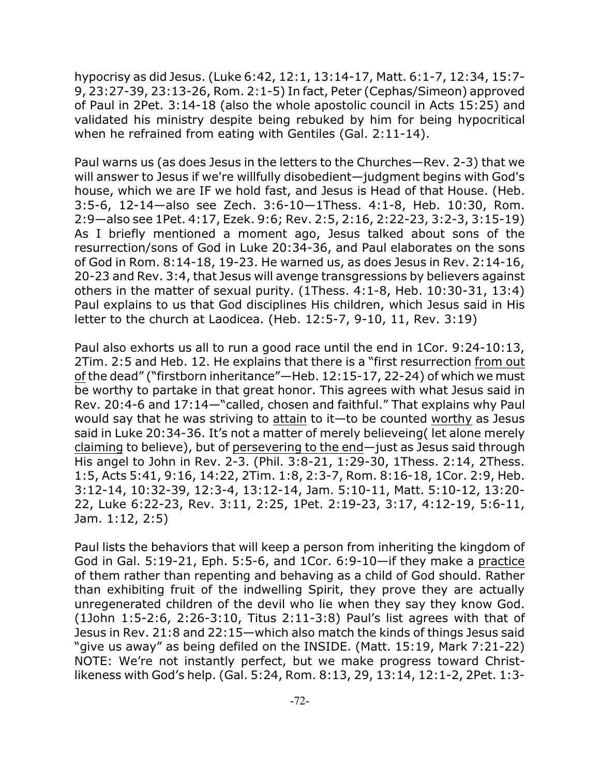hypocrisy as did Jesus. (Luke 6:42, 12:1, 13:14-17, Matt. 6:1-7, 12:34, 15:7- 9, 23:27-39, 23:13-26, Rom. 2:1-5) In fact, Peter (Cephas/Simeon) approved of Paul in 2Pet. 3:14-18 (also the whole apostolic council in Acts 15:25) and validated his ministry despite being rebuked by him for being hypocritical when he refrained from eating with Gentiles (Gal. 2:11-14).

Paul warns us (as does Jesus in the letters to the Churches—Rev. 2-3) that we will answer to Jesus if we're willfully disobedient—judgment begins with God's house, which we are IF we hold fast, and Jesus is Head of that House. (Heb. 3:5-6, 12-14—also see Zech. 3:6-10—1Thess. 4:1-8, Heb. 10:30, Rom. 2:9—also see 1Pet. 4:17, Ezek. 9:6; Rev. 2:5, 2:16, 2:22-23, 3:2-3, 3:15-19) As I briefly mentioned a moment ago, Jesus talked about sons of the resurrection/sons of God in Luke 20:34-36, and Paul elaborates on the sons of God in Rom. 8:14-18, 19-23. He warned us, as does Jesus in Rev. 2:14-16, 20-23 and Rev. 3:4, that Jesus will avenge transgressions by believers against others in the matter of sexual purity. (1Thess. 4:1-8, Heb. 10:30-31, 13:4) Paul explains to us that God disciplines His children, which Jesus said in His letter to the church at Laodicea. (Heb. 12:5-7, 9-10, 11, Rev. 3:19)

Paul also exhorts us all to run a good race until the end in 1Cor. 9:24-10:13, 2Tim. 2:5 and Heb. 12. He explains that there is a "first resurrection from out of the dead" ("firstborn inheritance"—Heb. 12:15-17, 22-24) of which we must be worthy to partake in that great honor. This agrees with what Jesus said in Rev. 20:4-6 and 17:14—"called, chosen and faithful." That explains why Paul would say that he was striving to attain to it—to be counted worthy as Jesus said in Luke 20:34-36. It's not a matter of merely believeing( let alone merely claiming to believe), but of persevering to the end—just as Jesus said through His angel to John in Rev. 2-3. (Phil. 3:8-21, 1:29-30, 1Thess. 2:14, 2Thess. 1:5, Acts 5:41, 9:16, 14:22, 2Tim. 1:8, 2:3-7, Rom. 8:16-18, 1Cor. 2:9, Heb. 3:12-14, 10:32-39, 12:3-4, 13:12-14, Jam. 5:10-11, Matt. 5:10-12, 13:20- 22, Luke 6:22-23, Rev. 3:11, 2:25, 1Pet. 2:19-23, 3:17, 4:12-19, 5:6-11, Jam. 1:12, 2:5)

Paul lists the behaviors that will keep a person from inheriting the kingdom of God in Gal. 5:19-21, Eph. 5:5-6, and 1Cor. 6:9-10—if they make a practice of them rather than repenting and behaving as a child of God should. Rather than exhibiting fruit of the indwelling Spirit, they prove they are actually unregenerated children of the devil who lie when they say they know God. (1John 1:5-2:6, 2:26-3:10, Titus 2:11-3:8) Paul's list agrees with that of Jesus in Rev. 21:8 and 22:15—which also match the kinds of things Jesus said "give us away" as being defiled on the INSIDE. (Matt. 15:19, Mark 7:21-22) NOTE: We're not instantly perfect, but we make progress toward Christlikeness with God's help. (Gal. 5:24, Rom. 8:13, 29, 13:14, 12:1-2, 2Pet. 1:3-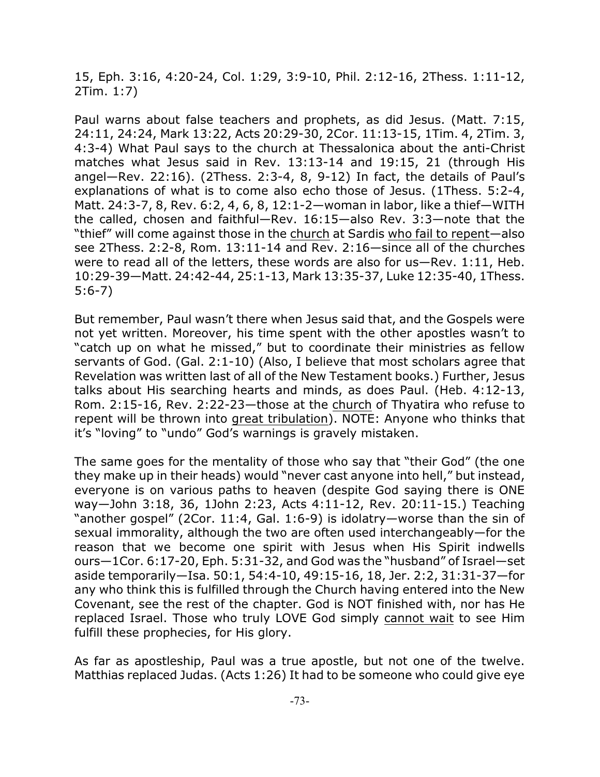15, Eph. 3:16, 4:20-24, Col. 1:29, 3:9-10, Phil. 2:12-16, 2Thess. 1:11-12, 2Tim. 1:7)

Paul warns about false teachers and prophets, as did Jesus. (Matt. 7:15, 24:11, 24:24, Mark 13:22, Acts 20:29-30, 2Cor. 11:13-15, 1Tim. 4, 2Tim. 3, 4:3-4) What Paul says to the church at Thessalonica about the anti-Christ matches what Jesus said in Rev. 13:13-14 and 19:15, 21 (through His angel—Rev. 22:16). (2Thess. 2:3-4, 8, 9-12) In fact, the details of Paul's explanations of what is to come also echo those of Jesus. (1Thess. 5:2-4, Matt. 24:3-7, 8, Rev. 6:2, 4, 6, 8, 12:1-2—woman in labor, like a thief—WITH the called, chosen and faithful—Rev. 16:15—also Rev. 3:3—note that the "thief" will come against those in the church at Sardis who fail to repent—also see 2Thess. 2:2-8, Rom. 13:11-14 and Rev. 2:16—since all of the churches were to read all of the letters, these words are also for us—Rev. 1:11, Heb. 10:29-39—Matt. 24:42-44, 25:1-13, Mark 13:35-37, Luke 12:35-40, 1Thess. 5:6-7)

But remember, Paul wasn't there when Jesus said that, and the Gospels were not yet written. Moreover, his time spent with the other apostles wasn't to "catch up on what he missed," but to coordinate their ministries as fellow servants of God. (Gal. 2:1-10) (Also, I believe that most scholars agree that Revelation was written last of all of the New Testament books.) Further, Jesus talks about His searching hearts and minds, as does Paul. (Heb. 4:12-13, Rom. 2:15-16, Rev. 2:22-23—those at the church of Thyatira who refuse to repent will be thrown into great tribulation). NOTE: Anyone who thinks that it's "loving" to "undo" God's warnings is gravely mistaken.

The same goes for the mentality of those who say that "their God" (the one they make up in their heads) would "never cast anyone into hell," but instead, everyone is on various paths to heaven (despite God saying there is ONE way—John 3:18, 36, 1John 2:23, Acts 4:11-12, Rev. 20:11-15.) Teaching "another gospel" (2Cor. 11:4, Gal. 1:6-9) is idolatry—worse than the sin of sexual immorality, although the two are often used interchangeably—for the reason that we become one spirit with Jesus when His Spirit indwells ours—1Cor. 6:17-20, Eph. 5:31-32, and God was the "husband" of Israel—set aside temporarily—Isa. 50:1, 54:4-10, 49:15-16, 18, Jer. 2:2, 31:31-37—for any who think this is fulfilled through the Church having entered into the New Covenant, see the rest of the chapter. God is NOT finished with, nor has He replaced Israel. Those who truly LOVE God simply cannot wait to see Him fulfill these prophecies, for His glory.

As far as apostleship, Paul was a true apostle, but not one of the twelve. Matthias replaced Judas. (Acts 1:26) It had to be someone who could give eye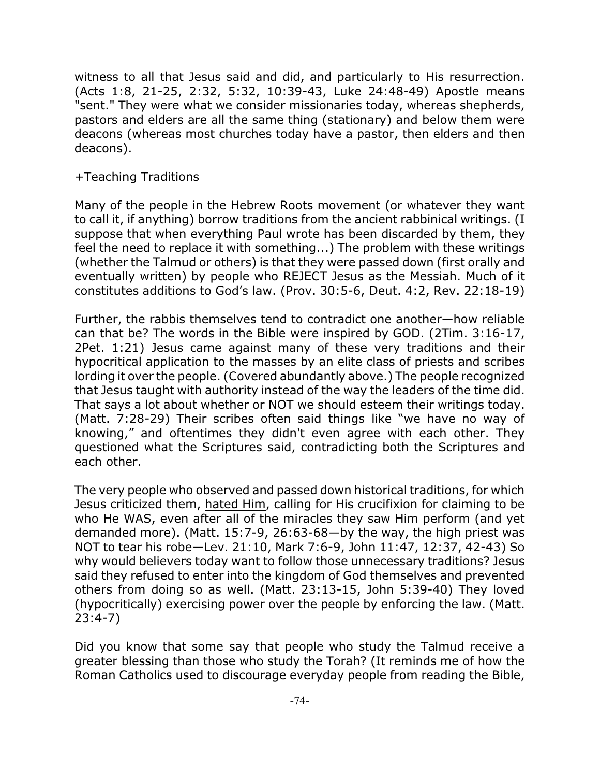witness to all that Jesus said and did, and particularly to His resurrection. (Acts 1:8, 21-25, 2:32, 5:32, 10:39-43, Luke 24:48-49) Apostle means "sent." They were what we consider missionaries today, whereas shepherds, pastors and elders are all the same thing (stationary) and below them were deacons (whereas most churches today have a pastor, then elders and then deacons).

## +Teaching Traditions

Many of the people in the Hebrew Roots movement (or whatever they want to call it, if anything) borrow traditions from the ancient rabbinical writings. (I suppose that when everything Paul wrote has been discarded by them, they feel the need to replace it with something...) The problem with these writings (whether the Talmud or others) is that they were passed down (first orally and eventually written) by people who REJECT Jesus as the Messiah. Much of it constitutes additions to God's law. (Prov. 30:5-6, Deut. 4:2, Rev. 22:18-19)

Further, the rabbis themselves tend to contradict one another—how reliable can that be? The words in the Bible were inspired by GOD. (2Tim. 3:16-17, 2Pet. 1:21) Jesus came against many of these very traditions and their hypocritical application to the masses by an elite class of priests and scribes lording it over the people. (Covered abundantly above.) The people recognized that Jesus taught with authority instead of the way the leaders of the time did. That says a lot about whether or NOT we should esteem their writings today. (Matt. 7:28-29) Their scribes often said things like "we have no way of knowing," and oftentimes they didn't even agree with each other. They questioned what the Scriptures said, contradicting both the Scriptures and each other.

The very people who observed and passed down historical traditions, for which Jesus criticized them, hated Him, calling for His crucifixion for claiming to be who He WAS, even after all of the miracles they saw Him perform (and yet demanded more). (Matt. 15:7-9, 26:63-68—by the way, the high priest was NOT to tear his robe—Lev. 21:10, Mark 7:6-9, John 11:47, 12:37, 42-43) So why would believers today want to follow those unnecessary traditions? Jesus said they refused to enter into the kingdom of God themselves and prevented others from doing so as well. (Matt. 23:13-15, John 5:39-40) They loved (hypocritically) exercising power over the people by enforcing the law. (Matt. 23:4-7)

Did you know that some say that people who study the Talmud receive a greater blessing than those who study the Torah? (It reminds me of how the Roman Catholics used to discourage everyday people from reading the Bible,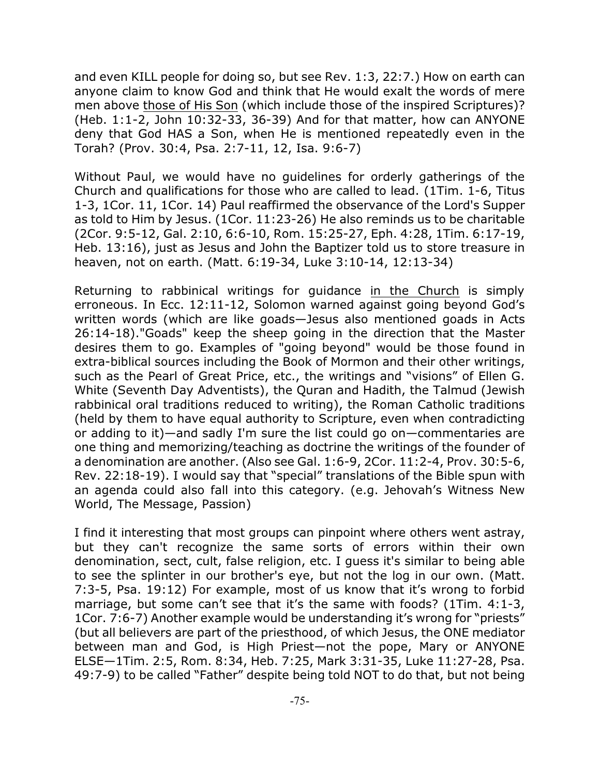and even KILL people for doing so, but see Rev. 1:3, 22:7.) How on earth can anyone claim to know God and think that He would exalt the words of mere men above those of His Son (which include those of the inspired Scriptures)? (Heb. 1:1-2, John 10:32-33, 36-39) And for that matter, how can ANYONE deny that God HAS a Son, when He is mentioned repeatedly even in the Torah? (Prov. 30:4, Psa. 2:7-11, 12, Isa. 9:6-7)

Without Paul, we would have no guidelines for orderly gatherings of the Church and qualifications for those who are called to lead. (1Tim. 1-6, Titus 1-3, 1Cor. 11, 1Cor. 14) Paul reaffirmed the observance of the Lord's Supper as told to Him by Jesus. (1Cor. 11:23-26) He also reminds us to be charitable (2Cor. 9:5-12, Gal. 2:10, 6:6-10, Rom. 15:25-27, Eph. 4:28, 1Tim. 6:17-19, Heb. 13:16), just as Jesus and John the Baptizer told us to store treasure in heaven, not on earth. (Matt. 6:19-34, Luke 3:10-14, 12:13-34)

Returning to rabbinical writings for guidance in the Church is simply erroneous. In Ecc. 12:11-12, Solomon warned against going beyond God's written words (which are like goads—Jesus also mentioned goads in Acts 26:14-18)."Goads" keep the sheep going in the direction that the Master desires them to go. Examples of "going beyond" would be those found in extra-biblical sources including the Book of Mormon and their other writings, such as the Pearl of Great Price, etc., the writings and "visions" of Ellen G. White (Seventh Day Adventists), the Quran and Hadith, the Talmud (Jewish rabbinical oral traditions reduced to writing), the Roman Catholic traditions (held by them to have equal authority to Scripture, even when contradicting or adding to it)—and sadly I'm sure the list could go on—commentaries are one thing and memorizing/teaching as doctrine the writings of the founder of a denomination are another. (Also see Gal. 1:6-9, 2Cor. 11:2-4, Prov. 30:5-6, Rev. 22:18-19). I would say that "special" translations of the Bible spun with an agenda could also fall into this category. (e.g. Jehovah's Witness New World, The Message, Passion)

I find it interesting that most groups can pinpoint where others went astray, but they can't recognize the same sorts of errors within their own denomination, sect, cult, false religion, etc. I guess it's similar to being able to see the splinter in our brother's eye, but not the log in our own. (Matt. 7:3-5, Psa. 19:12) For example, most of us know that it's wrong to forbid marriage, but some can't see that it's the same with foods? (1Tim. 4:1-3, 1Cor. 7:6-7) Another example would be understanding it's wrong for "priests" (but all believers are part of the priesthood, of which Jesus, the ONE mediator between man and God, is High Priest—not the pope, Mary or ANYONE ELSE—1Tim. 2:5, Rom. 8:34, Heb. 7:25, Mark 3:31-35, Luke 11:27-28, Psa. 49:7-9) to be called "Father" despite being told NOT to do that, but not being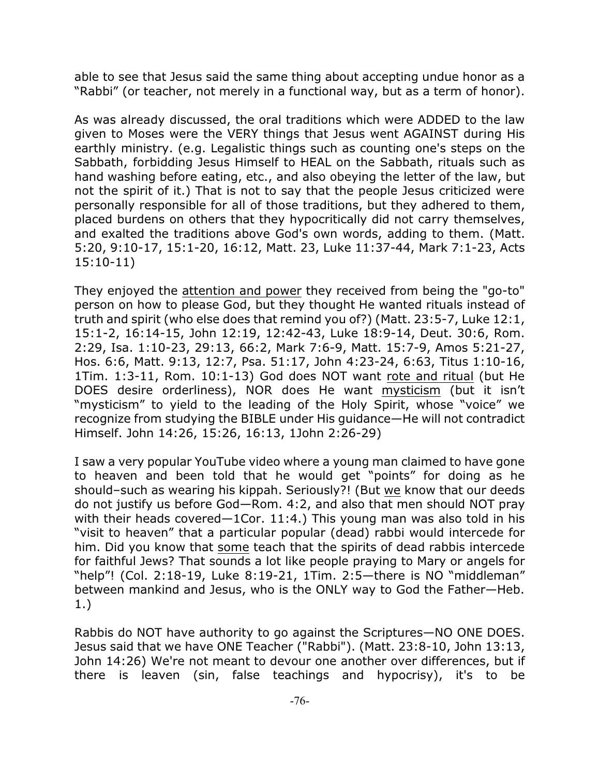able to see that Jesus said the same thing about accepting undue honor as a "Rabbi" (or teacher, not merely in a functional way, but as a term of honor).

As was already discussed, the oral traditions which were ADDED to the law given to Moses were the VERY things that Jesus went AGAINST during His earthly ministry. (e.g. Legalistic things such as counting one's steps on the Sabbath, forbidding Jesus Himself to HEAL on the Sabbath, rituals such as hand washing before eating, etc., and also obeying the letter of the law, but not the spirit of it.) That is not to say that the people Jesus criticized were personally responsible for all of those traditions, but they adhered to them, placed burdens on others that they hypocritically did not carry themselves, and exalted the traditions above God's own words, adding to them. (Matt. 5:20, 9:10-17, 15:1-20, 16:12, Matt. 23, Luke 11:37-44, Mark 7:1-23, Acts 15:10-11)

They enjoyed the attention and power they received from being the "go-to" person on how to please God, but they thought He wanted rituals instead of truth and spirit (who else does that remind you of?) (Matt. 23:5-7, Luke 12:1, 15:1-2, 16:14-15, John 12:19, 12:42-43, Luke 18:9-14, Deut. 30:6, Rom. 2:29, Isa. 1:10-23, 29:13, 66:2, Mark 7:6-9, Matt. 15:7-9, Amos 5:21-27, Hos. 6:6, Matt. 9:13, 12:7, Psa. 51:17, John 4:23-24, 6:63, Titus 1:10-16, 1Tim. 1:3-11, Rom. 10:1-13) God does NOT want rote and ritual (but He DOES desire orderliness), NOR does He want mysticism (but it isn't "mysticism" to yield to the leading of the Holy Spirit, whose "voice" we recognize from studying the BIBLE under His guidance—He will not contradict Himself. John 14:26, 15:26, 16:13, 1John 2:26-29)

I saw a very popular YouTube video where a young man claimed to have gone to heaven and been told that he would get "points" for doing as he should–such as wearing his kippah. Seriously?! (But we know that our deeds do not justify us before God—Rom. 4:2, and also that men should NOT pray with their heads covered-1Cor. 11:4.) This young man was also told in his "visit to heaven" that a particular popular (dead) rabbi would intercede for him. Did you know that some teach that the spirits of dead rabbis intercede for faithful Jews? That sounds a lot like people praying to Mary or angels for "help"! (Col. 2:18-19, Luke 8:19-21, 1Tim. 2:5—there is NO "middleman" between mankind and Jesus, who is the ONLY way to God the Father—Heb. 1.)

Rabbis do NOT have authority to go against the Scriptures—NO ONE DOES. Jesus said that we have ONE Teacher ("Rabbi"). (Matt. 23:8-10, John 13:13, John 14:26) We're not meant to devour one another over differences, but if there is leaven (sin, false teachings and hypocrisy), it's to be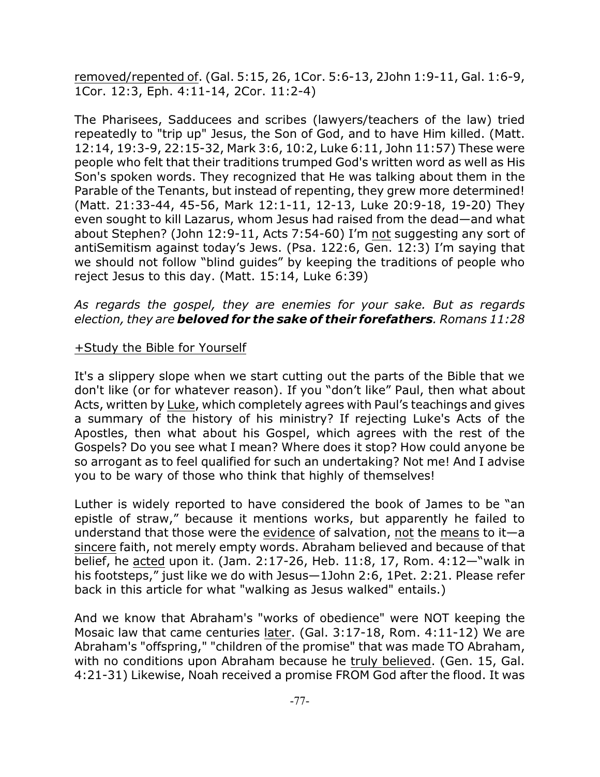removed/repented of. (Gal. 5:15, 26, 1Cor. 5:6-13, 2John 1:9-11, Gal. 1:6-9, 1Cor. 12:3, Eph. 4:11-14, 2Cor. 11:2-4)

The Pharisees, Sadducees and scribes (lawyers/teachers of the law) tried repeatedly to "trip up" Jesus, the Son of God, and to have Him killed. (Matt. 12:14, 19:3-9, 22:15-32, Mark 3:6, 10:2, Luke 6:11, John 11:57) These were people who felt that their traditions trumped God's written word as well as His Son's spoken words. They recognized that He was talking about them in the Parable of the Tenants, but instead of repenting, they grew more determined! (Matt. 21:33-44, 45-56, Mark 12:1-11, 12-13, Luke 20:9-18, 19-20) They even sought to kill Lazarus, whom Jesus had raised from the dead—and what about Stephen? (John 12:9-11, Acts 7:54-60) I'm not suggesting any sort of antiSemitism against today's Jews. (Psa. 122:6, Gen. 12:3) I'm saying that we should not follow "blind guides" by keeping the traditions of people who reject Jesus to this day. (Matt. 15:14, Luke 6:39)

*As regards the gospel, they are enemies for your sake. But as regards election, they are beloved for the sake of their forefathers. Romans 11:28*

## +Study the Bible for Yourself

It's a slippery slope when we start cutting out the parts of the Bible that we don't like (or for whatever reason). If you "don't like" Paul, then what about Acts, written by Luke, which completely agrees with Paul's teachings and gives a summary of the history of his ministry? If rejecting Luke's Acts of the Apostles, then what about his Gospel, which agrees with the rest of the Gospels? Do you see what I mean? Where does it stop? How could anyone be so arrogant as to feel qualified for such an undertaking? Not me! And I advise you to be wary of those who think that highly of themselves!

Luther is widely reported to have considered the book of James to be "an epistle of straw," because it mentions works, but apparently he failed to understand that those were the evidence of salvation, not the means to it—a sincere faith, not merely empty words. Abraham believed and because of that belief, he acted upon it. (Jam. 2:17-26, Heb. 11:8, 17, Rom. 4:12—"walk in his footsteps," just like we do with Jesus—1John 2:6, 1Pet. 2:21. Please refer back in this article for what "walking as Jesus walked" entails.)

And we know that Abraham's "works of obedience" were NOT keeping the Mosaic law that came centuries later. (Gal. 3:17-18, Rom. 4:11-12) We are Abraham's "offspring," "children of the promise" that was made TO Abraham, with no conditions upon Abraham because he truly believed. (Gen. 15, Gal. 4:21-31) Likewise, Noah received a promise FROM God after the flood. It was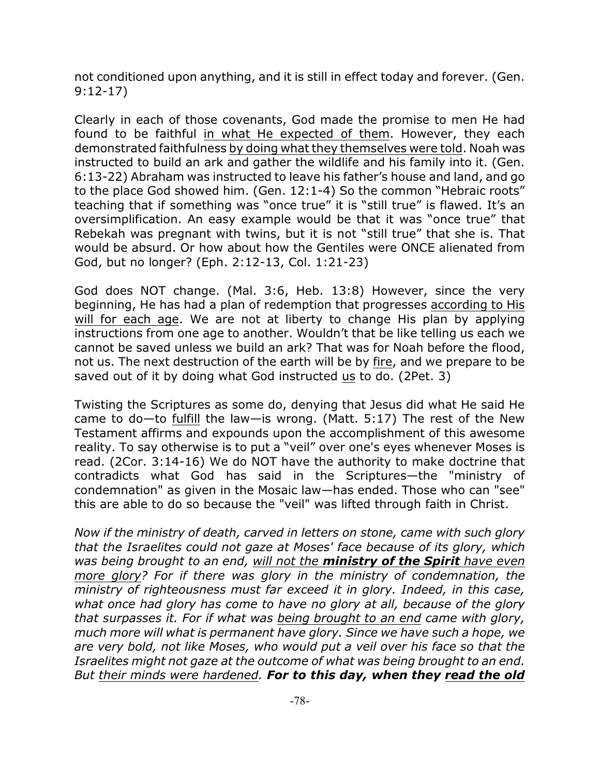not conditioned upon anything, and it is still in effect today and forever. (Gen. 9:12-17)

Clearly in each of those covenants, God made the promise to men He had found to be faithful in what He expected of them. However, they each demonstrated faithfulness by doing what they themselves were told. Noah was instructed to build an ark and gather the wildlife and his family into it. (Gen. 6:13-22) Abraham was instructed to leave his father's house and land, and go to the place God showed him. (Gen. 12:1-4) So the common "Hebraic roots" teaching that if something was "once true" it is "still true" is flawed. It's an oversimplification. An easy example would be that it was "once true" that Rebekah was pregnant with twins, but it is not "still true" that she is. That would be absurd. Or how about how the Gentiles were ONCE alienated from God, but no longer? (Eph. 2:12-13, Col. 1:21-23)

God does NOT change. (Mal. 3:6, Heb. 13:8) However, since the very beginning, He has had a plan of redemption that progresses according to His will for each age. We are not at liberty to change His plan by applying instructions from one age to another. Wouldn't that be like telling us each we cannot be saved unless we build an ark? That was for Noah before the flood, not us. The next destruction of the earth will be by fire, and we prepare to be saved out of it by doing what God instructed us to do. (2Pet. 3)

Twisting the Scriptures as some do, denying that Jesus did what He said He came to do—to fulfill the law—is wrong. (Matt. 5:17) The rest of the New Testament affirms and expounds upon the accomplishment of this awesome reality. To say otherwise is to put a "veil" over one's eyes whenever Moses is read. (2Cor. 3:14-16) We do NOT have the authority to make doctrine that contradicts what God has said in the Scriptures—the "ministry of condemnation" as given in the Mosaic law—has ended. Those who can "see" this are able to do so because the "veil" was lifted through faith in Christ.

*Now if the ministry of death, carved in letters on stone, came with such glory that the Israelites could not gaze at Moses' face because of its glory, which was being brought to an end, will not the ministry of the Spirit have even more glory? For if there was glory in the ministry of condemnation, the ministry of righteousness must far exceed it in glory. Indeed, in this case, what once had glory has come to have no glory at all, because of the glory that surpasses it. For if what was being brought to an end came with glory, much more will what is permanent have glory. Since we have such a hope, we are very bold, not like Moses, who would put a veil over his face so that the Israelites might not gaze at the outcome of what was being brought to an end. But their minds were hardened. For to this day, when they read the old*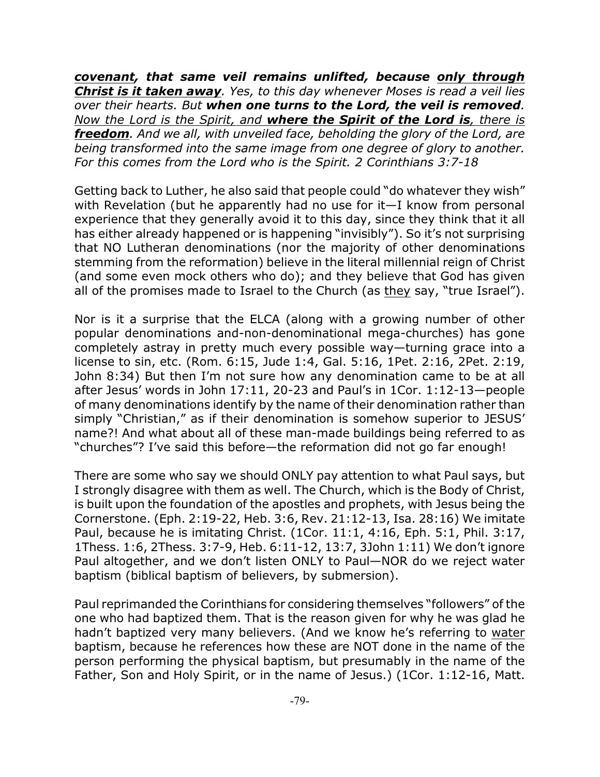*covenant, that same veil remains unlifted, because only through Christ is it taken away. Yes, to this day whenever Moses is read a veil lies over their hearts. But when one turns to the Lord, the veil is removed. Now the Lord is the Spirit, and where the Spirit of the Lord is, there is freedom. And we all, with unveiled face, beholding the glory of the Lord, are being transformed into the same image from one degree of glory to another. For this comes from the Lord who is the Spirit. 2 Corinthians 3:7-18*

Getting back to Luther, he also said that people could "do whatever they wish" with Revelation (but he apparently had no use for it—I know from personal experience that they generally avoid it to this day, since they think that it all has either already happened or is happening "invisibly"). So it's not surprising that NO Lutheran denominations (nor the majority of other denominations stemming from the reformation) believe in the literal millennial reign of Christ (and some even mock others who do); and they believe that God has given all of the promises made to Israel to the Church (as they say, "true Israel").

Nor is it a surprise that the ELCA (along with a growing number of other popular denominations and-non-denominational mega-churches) has gone completely astray in pretty much every possible way—turning grace into a license to sin, etc. (Rom. 6:15, Jude 1:4, Gal. 5:16, 1Pet. 2:16, 2Pet. 2:19, John 8:34) But then I'm not sure how any denomination came to be at all after Jesus' words in John 17:11, 20-23 and Paul's in 1Cor. 1:12-13—people of many denominations identify by the name of their denomination rather than simply "Christian," as if their denomination is somehow superior to JESUS' name?! And what about all of these man-made buildings being referred to as "churches"? I've said this before—the reformation did not go far enough!

There are some who say we should ONLY pay attention to what Paul says, but I strongly disagree with them as well. The Church, which is the Body of Christ, is built upon the foundation of the apostles and prophets, with Jesus being the Cornerstone. (Eph. 2:19-22, Heb. 3:6, Rev. 21:12-13, Isa. 28:16) We imitate Paul, because he is imitating Christ. (1Cor. 11:1, 4:16, Eph. 5:1, Phil. 3:17, 1Thess. 1:6, 2Thess. 3:7-9, Heb. 6:11-12, 13:7, 3John 1:11) We don't ignore Paul altogether, and we don't listen ONLY to Paul—NOR do we reject water baptism (biblical baptism of believers, by submersion).

Paul reprimanded the Corinthians for considering themselves "followers" of the one who had baptized them. That is the reason given for why he was glad he hadn't baptized very many believers. (And we know he's referring to water baptism, because he references how these are NOT done in the name of the person performing the physical baptism, but presumably in the name of the Father, Son and Holy Spirit, or in the name of Jesus.) (1Cor. 1:12-16, Matt.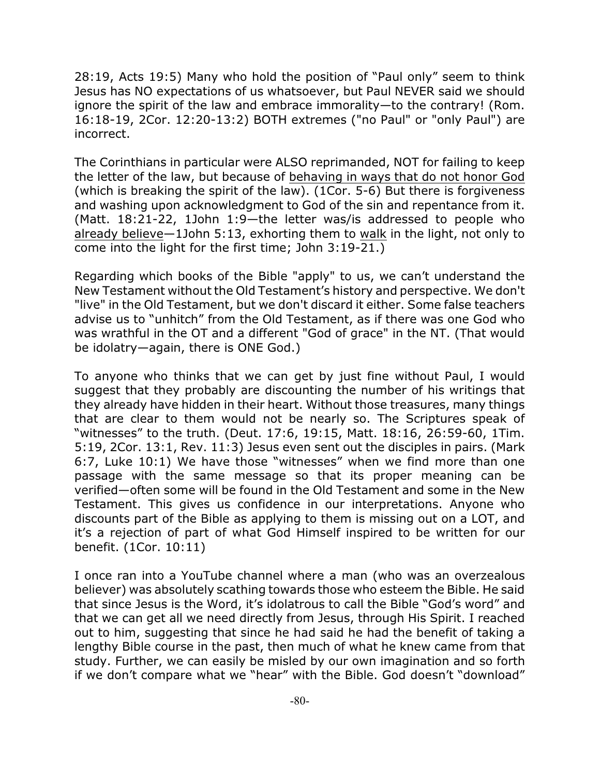28:19, Acts 19:5) Many who hold the position of "Paul only" seem to think Jesus has NO expectations of us whatsoever, but Paul NEVER said we should ignore the spirit of the law and embrace immorality—to the contrary! (Rom. 16:18-19, 2Cor. 12:20-13:2) BOTH extremes ("no Paul" or "only Paul") are incorrect.

The Corinthians in particular were ALSO reprimanded, NOT for failing to keep the letter of the law, but because of behaving in ways that do not honor God (which is breaking the spirit of the law). (1Cor. 5-6) But there is forgiveness and washing upon acknowledgment to God of the sin and repentance from it. (Matt. 18:21-22, 1John 1:9—the letter was/is addressed to people who already believe—1John 5:13, exhorting them to walk in the light, not only to come into the light for the first time; John 3:19-21.)

Regarding which books of the Bible "apply" to us, we can't understand the New Testament without the Old Testament's history and perspective. We don't "live" in the Old Testament, but we don't discard it either. Some false teachers advise us to "unhitch" from the Old Testament, as if there was one God who was wrathful in the OT and a different "God of grace" in the NT. (That would be idolatry—again, there is ONE God.)

To anyone who thinks that we can get by just fine without Paul, I would suggest that they probably are discounting the number of his writings that they already have hidden in their heart. Without those treasures, many things that are clear to them would not be nearly so. The Scriptures speak of "witnesses" to the truth. (Deut. 17:6, 19:15, Matt. 18:16, 26:59-60, 1Tim. 5:19, 2Cor. 13:1, Rev. 11:3) Jesus even sent out the disciples in pairs. (Mark 6:7, Luke 10:1) We have those "witnesses" when we find more than one passage with the same message so that its proper meaning can be verified—often some will be found in the Old Testament and some in the New Testament. This gives us confidence in our interpretations. Anyone who discounts part of the Bible as applying to them is missing out on a LOT, and it's a rejection of part of what God Himself inspired to be written for our benefit. (1Cor. 10:11)

I once ran into a YouTube channel where a man (who was an overzealous believer) was absolutely scathing towards those who esteem the Bible. He said that since Jesus is the Word, it's idolatrous to call the Bible "God's word" and that we can get all we need directly from Jesus, through His Spirit. I reached out to him, suggesting that since he had said he had the benefit of taking a lengthy Bible course in the past, then much of what he knew came from that study. Further, we can easily be misled by our own imagination and so forth if we don't compare what we "hear" with the Bible. God doesn't "download"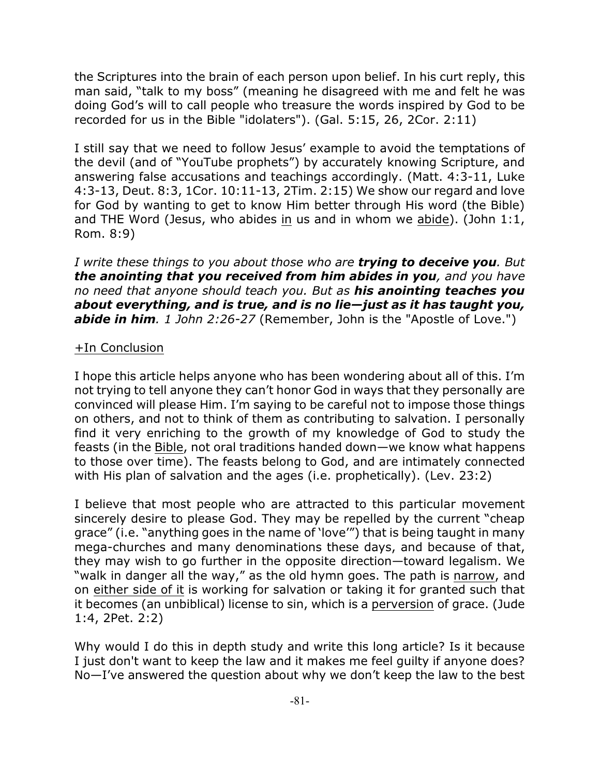the Scriptures into the brain of each person upon belief. In his curt reply, this man said, "talk to my boss" (meaning he disagreed with me and felt he was doing God's will to call people who treasure the words inspired by God to be recorded for us in the Bible "idolaters"). (Gal. 5:15, 26, 2Cor. 2:11)

I still say that we need to follow Jesus' example to avoid the temptations of the devil (and of "YouTube prophets") by accurately knowing Scripture, and answering false accusations and teachings accordingly. (Matt. 4:3-11, Luke 4:3-13, Deut. 8:3, 1Cor. 10:11-13, 2Tim. 2:15) We show our regard and love for God by wanting to get to know Him better through His word (the Bible) and THE Word (Jesus, who abides in us and in whom we abide). (John 1:1, Rom. 8:9)

*I write these things to you about those who are trying to deceive you. But the anointing that you received from him abides in you, and you have no need that anyone should teach you. But as his anointing teaches you about everything, and is true, and is no lie—just as it has taught you, abide in him. 1 John 2:26-27* (Remember, John is the "Apostle of Love.")

## +In Conclusion

I hope this article helps anyone who has been wondering about all of this. I'm not trying to tell anyone they can't honor God in ways that they personally are convinced will please Him. I'm saying to be careful not to impose those things on others, and not to think of them as contributing to salvation. I personally find it very enriching to the growth of my knowledge of God to study the feasts (in the Bible, not oral traditions handed down—we know what happens to those over time). The feasts belong to God, and are intimately connected with His plan of salvation and the ages (i.e. prophetically). (Lev. 23:2)

I believe that most people who are attracted to this particular movement sincerely desire to please God. They may be repelled by the current "cheap grace" (i.e. "anything goes in the name of 'love'") that is being taught in many mega-churches and many denominations these days, and because of that, they may wish to go further in the opposite direction—toward legalism. We "walk in danger all the way," as the old hymn goes. The path is narrow, and on either side of it is working for salvation or taking it for granted such that it becomes (an unbiblical) license to sin, which is a perversion of grace. (Jude 1:4, 2Pet. 2:2)

Why would I do this in depth study and write this long article? Is it because I just don't want to keep the law and it makes me feel guilty if anyone does? No—I've answered the question about why we don't keep the law to the best